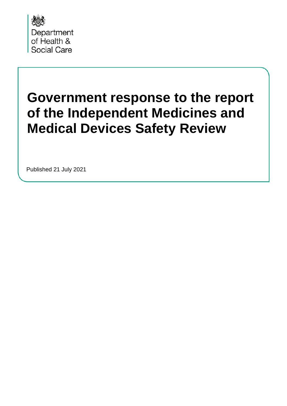

# **Government response to the report of the Independent Medicines and Medical Devices Safety Review**

Published 21 July 2021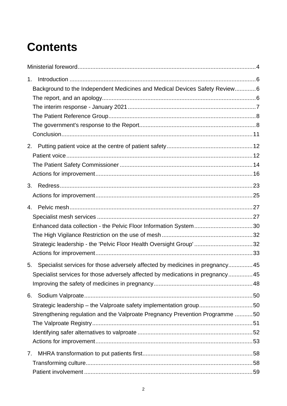# **Contents**

| 1.                                                                                  |  |
|-------------------------------------------------------------------------------------|--|
| Background to the Independent Medicines and Medical Devices Safety Review6          |  |
|                                                                                     |  |
|                                                                                     |  |
|                                                                                     |  |
|                                                                                     |  |
|                                                                                     |  |
| 2.                                                                                  |  |
|                                                                                     |  |
|                                                                                     |  |
|                                                                                     |  |
| 3.                                                                                  |  |
|                                                                                     |  |
|                                                                                     |  |
|                                                                                     |  |
| Enhanced data collection - the Pelvic Floor Information System30                    |  |
|                                                                                     |  |
| Strategic leadership - the 'Pelvic Floor Health Oversight Group'32                  |  |
|                                                                                     |  |
| Specialist services for those adversely affected by medicines in pregnancy 45<br>5. |  |
| Specialist services for those adversely affected by medications in pregnancy45      |  |
|                                                                                     |  |
| 6.                                                                                  |  |
| Strategic leadership - the Valproate safety implementation group50                  |  |
| Strengthening regulation and the Valproate Pregnancy Prevention Programme 50        |  |
|                                                                                     |  |
|                                                                                     |  |
|                                                                                     |  |
| 7.                                                                                  |  |
|                                                                                     |  |
|                                                                                     |  |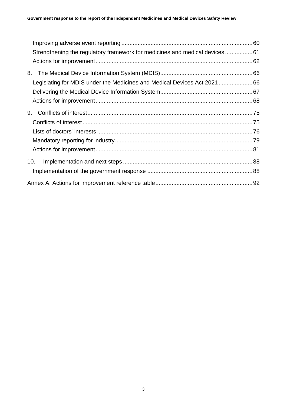| Strengthening the regulatory framework for medicines and medical devices61 |  |
|----------------------------------------------------------------------------|--|
|                                                                            |  |
| 8.                                                                         |  |
| Legislating for MDIS under the Medicines and Medical Devices Act 2021 66   |  |
|                                                                            |  |
|                                                                            |  |
| 9.                                                                         |  |
|                                                                            |  |
|                                                                            |  |
|                                                                            |  |
|                                                                            |  |
| 10.                                                                        |  |
|                                                                            |  |
|                                                                            |  |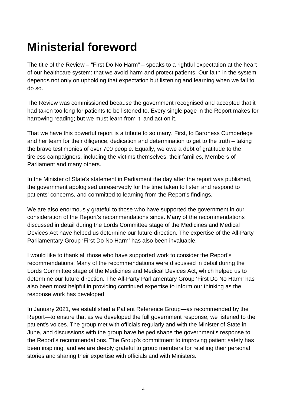# <span id="page-3-0"></span>**Ministerial foreword**

The title of the Review – "First Do No Harm" – speaks to a rightful expectation at the heart of our healthcare system: that we avoid harm and protect patients. Our faith in the system depends not only on upholding that expectation but listening and learning when we fail to do so.

The Review was commissioned because the government recognised and accepted that it had taken too long for patients to be listened to. Every single page in the Report makes for harrowing reading; but we must learn from it, and act on it.

That we have this powerful report is a tribute to so many. First, to Baroness Cumberlege and her team for their diligence, dedication and determination to get to the truth – taking the brave testimonies of over 700 people. Equally, we owe a debt of gratitude to the tireless campaigners, including the victims themselves, their families, Members of Parliament and many others.

In the Minister of State's statement in Parliament the day after the report was published, the government apologised unreservedly for the time taken to listen and respond to patients' concerns, and committed to learning from the Report's findings.

We are also enormously grateful to those who have supported the government in our consideration of the Report's recommendations since. Many of the recommendations discussed in detail during the Lords Committee stage of the Medicines and Medical Devices Act have helped us determine our future direction. The expertise of the All-Party Parliamentary Group 'First Do No Harm' has also been invaluable.

I would like to thank all those who have supported work to consider the Report's recommendations. Many of the recommendations were discussed in detail during the Lords Committee stage of the Medicines and Medical Devices Act, which helped us to determine our future direction. The All-Party Parliamentary Group 'First Do No Harm' has also been most helpful in providing continued expertise to inform our thinking as the response work has developed.

In January 2021, we established a Patient Reference Group—as recommended by the Report—to ensure that as we developed the full government response, we listened to the patient's voices. The group met with officials regularly and with the Minister of State in June, and discussions with the group have helped shape the government's response to the Report's recommendations. The Group's commitment to improving patient safety has been inspiring, and we are deeply grateful to group members for retelling their personal stories and sharing their expertise with officials and with Ministers.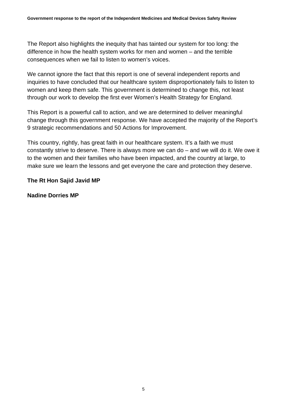The Report also highlights the inequity that has tainted our system for too long: the difference in how the health system works for men and women – and the terrible consequences when we fail to listen to women's voices.

We cannot ignore the fact that this report is one of several independent reports and inquiries to have concluded that our healthcare system disproportionately fails to listen to women and keep them safe. This government is determined to change this, not least through our work to develop the first ever Women's Health Strategy for England.

This Report is a powerful call to action, and we are determined to deliver meaningful change through this government response. We have accepted the majority of the Report's 9 strategic recommendations and 50 Actions for Improvement.

This country, rightly, has great faith in our healthcare system. It's a faith we must constantly strive to deserve. There is always more we can do – and we will do it. We owe it to the women and their families who have been impacted, and the country at large, to make sure we learn the lessons and get everyone the care and protection they deserve.

#### **The Rt Hon Sajid Javid MP**

**Nadine Dorries MP**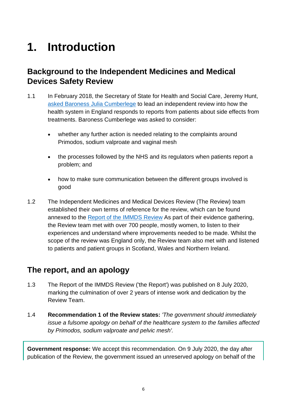# <span id="page-5-0"></span>**1. Introduction**

## <span id="page-5-1"></span>**Background to the Independent Medicines and Medical Devices Safety Review**

- 1.1 In February 2018, the Secretary of State for Health and Social Care, Jeremy Hunt, [asked Baroness Julia Cumberlege](https://www.gov.uk/government/news/review-launched-to-respond-to-patient-concerns-about-nhs-treatments) to lead an independent review into how the health system in England responds to reports from patients about side effects from treatments. Baroness Cumberlege was asked to consider:
	- whether any further action is needed relating to the complaints around Primodos, sodium valproate and vaginal mesh
	- the processes followed by the NHS and its regulators when patients report a problem; and
	- how to make sure communication between the different groups involved is good
- 1.2 The Independent Medicines and Medical Devices Review (The Review) team established their own terms of reference for the review, which can be found annexed to the [Report of the IMMDS Review](https://www.gov.uk/government/publications/independent-medicines-and-medical-devices-safety-review-report) As part of their evidence gathering, the Review team met with over 700 people, mostly women, to listen to their experiences and understand where improvements needed to be made. Whilst the scope of the review was England only, the Review team also met with and listened to patients and patient groups in Scotland, Wales and Northern Ireland.

## <span id="page-5-2"></span>**The report, and an apology**

- 1.3 The Report of the IMMDS Review ('the Report') was published on 8 July 2020, marking the culmination of over 2 years of intense work and dedication by the Review Team.
- 1.4 **Recommendation 1 of the Review states:** *'The government should immediately issue a fulsome apology on behalf of the healthcare system to the families affected by Primodos, sodium valproate and pelvic mesh'.*

**Government response:** We accept this recommendation. On 9 July 2020, the day after publication of the Review, the government issued an unreserved apology on behalf of the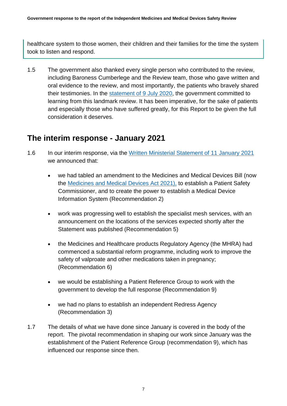healthcare system to those women, their children and their families for the time the system took to listen and respond.

1.5 The government also thanked every single person who contributed to the review, including Baroness Cumberlege and the Review team, those who gave written and oral evidence to the review, and most importantly, the patients who bravely shared their testimonies. In the [statement of 9 July 2020,](https://hansard.parliament.uk/commons/2020-07-09/debates/5190E4DD-1319-4187-B1A2-13E9ACC3098D/IndependentMedicinesAndMedicalDevicesSafetyReview) the government committed to learning from this landmark review. It has been imperative, for the sake of patients and especially those who have suffered greatly, for this Report to be given the full consideration it deserves.

### <span id="page-6-0"></span>**The interim response - January 2021**

- 1.6 In our interim response, via the [Written Ministerial Statement of 11 January 2021](https://www.gov.uk/government/speeches/update-on-the-governments-response-to-the-independent-medicines-and-medical-devices-safety-review) we announced that:
	- we had tabled an amendment to the Medicines and Medical Devices Bill (now the [Medicines and Medical Devices Act 2021\)](https://www.legislation.gov.uk/ukpga/2021/3/enacted), to establish a Patient Safety Commissioner, and to create the power to establish a Medical Device Information System (Recommendation 2)
	- work was progressing well to establish the specialist mesh services, with an announcement on the locations of the services expected shortly after the Statement was published (Recommendation 5)
	- the Medicines and Healthcare products Regulatory Agency (the MHRA) had commenced a substantial reform programme, including work to improve the safety of valproate and other medications taken in pregnancy; (Recommendation 6)
	- we would be establishing a Patient Reference Group to work with the government to develop the full response (Recommendation 9)
	- we had no plans to establish an independent Redress Agency (Recommendation 3)
- 1.7 The details of what we have done since January is covered in the body of the report. The pivotal recommendation in shaping our work since January was the establishment of the Patient Reference Group (recommendation 9), which has influenced our response since then.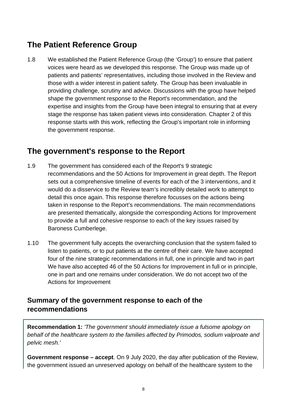## <span id="page-7-0"></span>**The Patient Reference Group**

1.8 We established the Patient Reference Group (the 'Group') to ensure that patient voices were heard as we developed this response. The Group was made up of patients and patients' representatives, including those involved in the Review and those with a wider interest in patient safety. The Group has been invaluable in providing challenge, scrutiny and advice. Discussions with the group have helped shape the government response to the Report's recommendation, and the expertise and insights from the Group have been integral to ensuring that at every stage the response has taken patient views into consideration. Chapter 2 of this response starts with this work, reflecting the Group's important role in informing the government response.

#### <span id="page-7-1"></span>**The government's response to the Report**

- 1.9 The government has considered each of the Report's 9 strategic recommendations and the 50 Actions for Improvement in great depth. The Report sets out a comprehensive timeline of events for each of the 3 interventions, and it would do a disservice to the Review team's incredibly detailed work to attempt to detail this once again. This response therefore focusses on the actions being taken in response to the Report's recommendations. The main recommendations are presented thematically, alongside the corresponding Actions for Improvement to provide a full and cohesive response to each of the key issues raised by Baroness Cumberlege.
- 1.10 The government fully accepts the overarching conclusion that the system failed to listen to patients, or to put patients at the centre of their care. We have accepted four of the nine strategic recommendations in full, one in principle and two in part We have also accepted 46 of the 50 Actions for Improvement in full or in principle. one in part and one remains under consideration. We do not accept two of the Actions for Improvement

#### **Summary of the government response to each of the recommendations**

**Recommendation 1:** *'The government should immediately issue a fulsome apology on behalf of the healthcare system to the families affected by Primodos, sodium valproate and pelvic mesh.'*

**Government response – accept**. On 9 July 2020, the day after publication of the Review, the government issued an unreserved apology on behalf of the healthcare system to the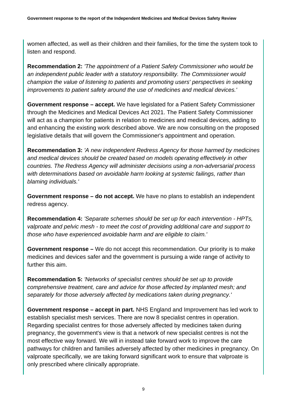women affected, as well as their children and their families, for the time the system took to listen and respond.

**Recommendation 2:** *'The appointment of a Patient Safety Commissioner who would be an independent public leader with a statutory responsibility. The Commissioner would champion the value of listening to patients and promoting users' perspectives in seeking improvements to patient safety around the use of medicines and medical devices.'*

**Government response – accept.** We have legislated for a Patient Safety Commissioner through the Medicines and Medical Devices Act 2021. The Patient Safety Commissioner will act as a champion for patients in relation to medicines and medical devices, adding to and enhancing the existing work described above. We are now consulting on the proposed legislative details that will govern the Commissioner's appointment and operation.

**Recommendation 3:** *'A new independent Redress Agency for those harmed by medicines and medical devices should be created based on models operating effectively in other countries. The Redress Agency will administer decisions using a non-adversarial process with determinations based on avoidable harm looking at systemic failings, rather than blaming individuals.'*

**Government response – do not accept.** We have no plans to establish an independent redress agency.

**Recommendation 4:** *'Separate schemes should be set up for each intervention - HPTs, valproate and pelvic mesh - to meet the cost of providing additional care and support to those who have experienced avoidable harm and are eligible to claim.'*

**Government response –** We do not accept this recommendation. Our priority is to make medicines and devices safer and the government is pursuing a wide range of activity to further this aim.

**Recommendation 5:** *'Networks of specialist centres should be set up to provide comprehensive treatment, care and advice for those affected by implanted mesh; and separately for those adversely affected by medications taken during pregnancy.'*

**Government response – accept in part.** NHS England and Improvement has led work to establish specialist mesh services. There are now 8 specialist centres in operation. Regarding specialist centres for those adversely affected by medicines taken during pregnancy, the government's view is that a network of new specialist centres is not the most effective way forward. We will in instead take forward work to improve the care pathways for children and families adversely affected by other medicines in pregnancy. On valproate specifically, we are taking forward significant work to ensure that valproate is only prescribed where clinically appropriate.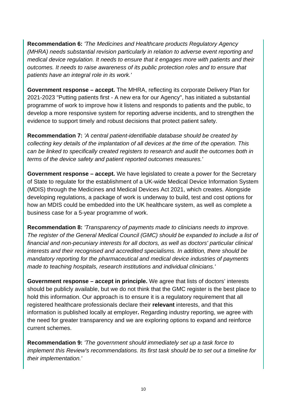**Recommendation 6:** *'The Medicines and Healthcare products Regulatory Agency (MHRA) needs substantial revision particularly in relation to adverse event reporting and medical device regulation. It needs to ensure that it engages more with patients and their outcomes. It needs to raise awareness of its public protection roles and to ensure that patients have an integral role in its work.'*

**Government response – accept.** The MHRA, reflecting its corporate Delivery Plan for 2021-2023 "Putting patients first - A new era for our Agency", has initiated a substantial programme of work to improve how it listens and responds to patients and the public, to develop a more responsive system for reporting adverse incidents, and to strengthen the evidence to support timely and robust decisions that protect patient safety.

**Recommendation 7:** *'A central patient-identifiable database should be created by collecting key details of the implantation of all devices at the time of the operation. This can be linked to specifically created registers to research and audit the outcomes both in terms of the device safety and patient reported outcomes measures.'*

**Government response – accept.** We have legislated to create a power for the Secretary of State to regulate for the establishment of a UK-wide Medical Device Information System (MDIS) through the Medicines and Medical Devices Act 2021, which creates. Alongside developing regulations, a package of work is underway to build, test and cost options for how an MDIS could be embedded into the UK healthcare system, as well as complete a business case for a 5-year programme of work.

**Recommendation 8:** *'Transparency of payments made to clinicians needs to improve. The register of the General Medical Council (GMC) should be expanded to include a list of financial and non-pecuniary interests for all doctors, as well as doctors' particular clinical interests and their recognised and accredited specialisms. In addition, there should be mandatory reporting for the pharmaceutical and medical device industries of payments made to teaching hospitals, research institutions and individual clinicians.'*

**Government response – accept in principle.** We agree that lists of doctors' interests should be publicly available, but we do not think that the GMC register is the best place to hold this information. Our approach is to ensure it is a regulatory requirement that all registered healthcare professionals declare their **relevant** interests, and that this information is published locally at employer**.** Regarding industry reporting, we agree with the need for greater transparency and we are exploring options to expand and reinforce current schemes.

**Recommendation 9:** *'The government should immediately set up a task force to implement this Review's recommendations. Its first task should be to set out a timeline for their implementation.'*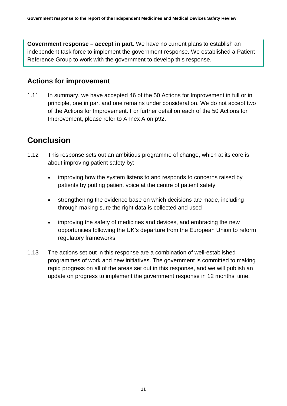**Government response – accept in part.** We have no current plans to establish an independent task force to implement the government response. We established a Patient Reference Group to work with the government to develop this response.

#### **Actions for improvement**

1.11 In summary, we have accepted 46 of the 50 Actions for Improvement in full or in principle, one in part and one remains under consideration. We do not accept two of the Actions for Improvement. For further detail on each of the 50 Actions for Improvement, please refer to Annex A on p92.

## <span id="page-10-0"></span>**Conclusion**

- 1.12 This response sets out an ambitious programme of change, which at its core is about improving patient safety by:
	- improving how the system listens to and responds to concerns raised by patients by putting patient voice at the centre of patient safety
	- strengthening the evidence base on which decisions are made, including through making sure the right data is collected and used
	- improving the safety of medicines and devices, and embracing the new opportunities following the UK's departure from the European Union to reform regulatory frameworks
- 1.13 The actions set out in this response are a combination of well-established programmes of work and new initiatives. The government is committed to making rapid progress on all of the areas set out in this response, and we will publish an update on progress to implement the government response in 12 months' time.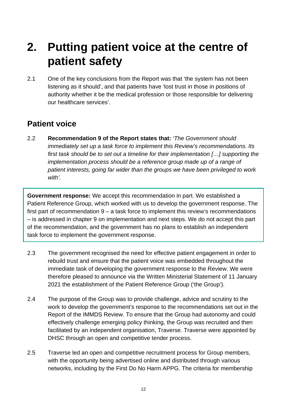## <span id="page-11-0"></span>**2. Putting patient voice at the centre of patient safety**

2.1 One of the key conclusions from the Report was that 'the system has not been listening as it should', and that patients have 'lost trust in those in positions of authority whether it be the medical profession or those responsible for delivering our healthcare services'.

### <span id="page-11-1"></span>**Patient voice**

2.2 **Recommendation 9 of the Report states that:** *'The Government should immediately set up a task force to implement this Review's recommendations. Its first task should be to set out a timeline for their implementation […] supporting the implementation process should be a reference group made up of a range of patient interests, going far wider than the groups we have been privileged to work with'.*

**Government response:** We accept this recommendation in part. We established a Patient Reference Group, which worked with us to develop the government response. The first part of recommendation 9 – a task force to implement this review's recommendations – is addressed in chapter 9 on implementation and next steps. We do not accept this part of the recommendation, and the government has no plans to establish an independent task force to implement the government response.

- 2.3 The government recognised the need for effective patient engagement in order to rebuild trust and ensure that the patient voice was embedded throughout the immediate task of developing the government response to the Review. We were therefore pleased to announce via the Written Ministerial Statement of 11 January 2021 the establishment of the Patient Reference Group ('the Group').
- 2.4 The purpose of the Group was to provide challenge, advice and scrutiny to the work to develop the government's response to the recommendations set out in the Report of the IMMDS Review. To ensure that the Group had autonomy and could effectively challenge emerging policy thinking, the Group was recruited and then facilitated by an independent organisation, Traverse. Traverse were appointed by DHSC through an open and competitive tender process.
- 2.5 Traverse led an open and competitive recruitment process for Group members, with the opportunity being advertised online and distributed through various networks, including by the First Do No Harm APPG. The criteria for membership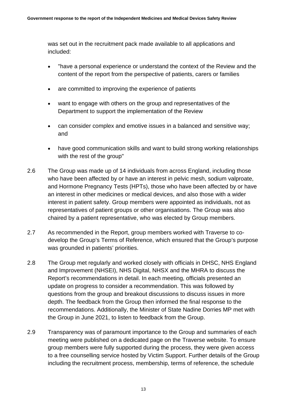was set out in the recruitment pack made available to all applications and included:

- "have a personal experience or understand the context of the Review and the content of the report from the perspective of patients, carers or families
- are committed to improving the experience of patients
- want to engage with others on the group and representatives of the Department to support the implementation of the Review
- can consider complex and emotive issues in a balanced and sensitive way; and
- have good communication skills and want to build strong working relationships with the rest of the group"
- 2.6 The Group was made up of 14 individuals from across England, including those who have been affected by or have an interest in pelvic mesh, sodium valproate, and Hormone Pregnancy Tests (HPTs), those who have been affected by or have an interest in other medicines or medical devices, and also those with a wider interest in patient safety. Group members were appointed as individuals, not as representatives of patient groups or other organisations. The Group was also chaired by a patient representative, who was elected by Group members.
- 2.7 As recommended in the Report, group members worked with Traverse to codevelop the Group's Terms of Reference, which ensured that the Group's purpose was grounded in patients' priorities.
- 2.8 The Group met regularly and worked closely with officials in DHSC, NHS England and Improvement (NHSEI), NHS Digital, NHSX and the MHRA to discuss the Report's recommendations in detail. In each meeting, officials presented an update on progress to consider a recommendation. This was followed by questions from the group and breakout discussions to discuss issues in more depth. The feedback from the Group then informed the final response to the recommendations. Additionally, the Minister of State Nadine Dorries MP met with the Group in June 2021, to listen to feedback from the Group.
- 2.9 Transparency was of paramount importance to the Group and summaries of each meeting were published on a dedicated page on the Traverse website. To ensure group members were fully supported during the process, they were given access to a free counselling service hosted by Victim Support. Further details of the Group including the recruitment process, membership, terms of reference, the schedule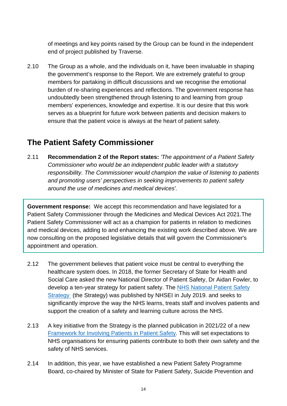of meetings and key points raised by the Group can be found in the independent end of project published by Traverse.

2.10 The Group as a whole, and the individuals on it, have been invaluable in shaping the government's response to the Report. We are extremely grateful to group members for partaking in difficult discussions and we recognise the emotional burden of re-sharing experiences and reflections. The government response has undoubtedly been strengthened through listening to and learning from group members' experiences, knowledge and expertise. It is our desire that this work serves as a blueprint for future work between patients and decision makers to ensure that the patient voice is always at the heart of patient safety.

## <span id="page-13-0"></span>**The Patient Safety Commissioner**

2.11 **Recommendation 2 of the Report states:** *'The appointment of a Patient Safety Commissioner who would be an independent public leader with a statutory responsibility. The Commissioner would champion the value of listening to patients and promoting users' perspectives in seeking improvements to patient safety around the use of medicines and medical devices'.*

**Government response:** We accept this recommendation and have legislated for a Patient Safety Commissioner through the Medicines and Medical Devices Act 2021.The Patient Safety Commissioner will act as a champion for patients in relation to medicines and medical devices, adding to and enhancing the existing work described above. We are now consulting on the proposed legislative details that will govern the Commissioner's appointment and operation.

- 2.12 The government believes that patient voice must be central to everything the healthcare system does. In 2018, the former Secretary of State for Health and Social Care asked the new National Director of Patient Safety, Dr Aidan Fowler, to develop a ten-year strategy for patient safety. The NHS National Patient Safety [Strategy](https://www.england.nhs.uk/wp-content/uploads/2020/08/190708_Patient_Safety_Strategy_for_website_v4.pdf) (the Strategy) was published by NHSEI in July 2019. and seeks to significantly improve the way the NHS learns, treats staff and involves patients and support the creation of a safety and learning culture across the NHS.
- 2.13 A key initiative from the Strategy is the planned publication in 2021/22 of a new [Framework for Involving Patients in Patient Safety.](https://engage.improvement.nhs.uk/policy-strategy-and-delivery-management/framework-for-involving-patients-in-patient-safety/) This will set expectations to NHS organisations for ensuring patients contribute to both their own safety and the safety of NHS services.
- 2.14 In addition, this year, we have established a new Patient Safety Programme Board, co-chaired by Minister of State for Patient Safety, Suicide Prevention and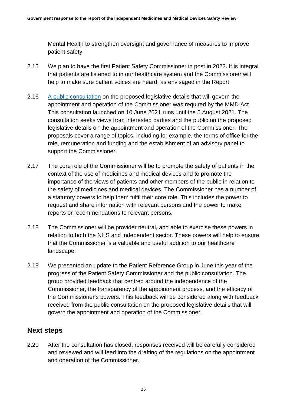Mental Health to strengthen oversight and governance of measures to improve patient safety.

- 2.15 We plan to have the first Patient Safety Commissioner in post in 2022. It is integral that patients are listened to in our healthcare system and the Commissioner will help to make sure patient voices are heard, as envisaged in the Report.
- 2.16 [A public consultation](https://www.gov.uk/government/consultations/the-appointment-and-operation-of-the-patient-safety-commissioner) on the proposed legislative details that will govern the appointment and operation of the Commissioner was required by the MMD Act. This consultation launched on 10 June 2021 runs until the 5 August 2021. The consultation seeks views from interested parties and the public on the proposed legislative details on the appointment and operation of the Commissioner. The proposals cover a range of topics, including for example, the terms of office for the role, remuneration and funding and the establishment of an advisory panel to support the Commissioner.
- 2.17 The core role of the Commissioner will be to promote the safety of patients in the context of the use of medicines and medical devices and to promote the importance of the views of patients and other members of the public in relation to the safety of medicines and medical devices. The Commissioner has a number of a statutory powers to help them fulfil their core role. This includes the power to request and share information with relevant persons and the power to make reports or recommendations to relevant persons.
- 2.18 The Commissioner will be provider neutral, and able to exercise these powers in relation to both the NHS and independent sector. These powers will help to ensure that the Commissioner is a valuable and useful addition to our healthcare landscape.
- 2.19 We presented an update to the Patient Reference Group in June this year of the progress of the Patient Safety Commissioner and the public consultation. The group provided feedback that centred around the independence of the Commissioner, the transparency of the appointment process, and the efficacy of the Commissioner's powers. This feedback will be considered along with feedback received from the public consultation on the proposed legislative details that will govern the appointment and operation of the Commissioner.

#### **Next steps**

2.20 After the consultation has closed, responses received will be carefully considered and reviewed and will feed into the drafting of the regulations on the appointment and operation of the Commissioner.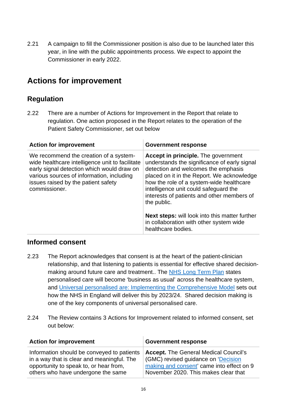2.21 A campaign to fill the Commissioner position is also due to be launched later this year, in line with the public appointments process. We expect to appoint the Commissioner in early 2022.

## <span id="page-15-0"></span>**Actions for improvement**

#### **Regulation**

2.22 There are a number of Actions for Improvement in the Report that relate to regulation. One action proposed in the Report relates to the operation of the Patient Safety Commissioner, set out below

| <b>Action for improvement</b>                                                                                                                                                                                                                | <b>Government response</b>                                                                                                                                                                                                                                                                                                        |
|----------------------------------------------------------------------------------------------------------------------------------------------------------------------------------------------------------------------------------------------|-----------------------------------------------------------------------------------------------------------------------------------------------------------------------------------------------------------------------------------------------------------------------------------------------------------------------------------|
| We recommend the creation of a system-<br>wide healthcare intelligence unit to facilitate<br>early signal detection which would draw on<br>various sources of information, including<br>issues raised by the patient safety<br>commissioner. | <b>Accept in principle.</b> The government<br>understands the significance of early signal<br>detection and welcomes the emphasis<br>placed on it in the Report. We acknowledge<br>how the role of a system-wide healthcare<br>intelligence unit could safeguard the<br>interests of patients and other members of<br>the public. |
|                                                                                                                                                                                                                                              | <b>Next steps:</b> will look into this matter further<br>in collaboration with other system wide<br>healthcare bodies.                                                                                                                                                                                                            |

#### **Informed consent**

- 2.23 The Report acknowledges that consent is at the heart of the patient-clinician relationship, and that listening to patients is essential for effective shared decisionmaking around future care and treatment.. The [NHS Long Term Plan](https://www.longtermplan.nhs.uk/) states personalised care will become 'business as usual' across the healthcare system, and [Universal personalised are: Implementing the Comprehensive Model](https://www.england.nhs.uk/personalisedcare/upc/comprehensive-model/) sets out how the NHS in England will deliver this by 2023/24. Shared decision making is one of the key components of universal personalised care.
- 2.24 The Review contains 3 Actions for Improvement related to informed consent, set out below:

| <b>Action for improvement</b>              | <b>Government response</b>                   |
|--------------------------------------------|----------------------------------------------|
| Information should be conveyed to patients | <b>Accept.</b> The General Medical Council's |
| in a way that is clear and meaningful. The | (GMC) revised guidance on 'Decision          |
| opportunity to speak to, or hear from,     | making and consent' came into effect on 9    |
| others who have undergone the same         | November 2020. This makes clear that         |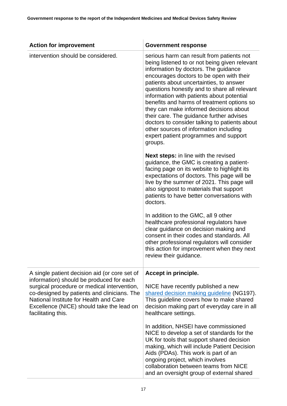| <b>Action for improvement</b>                                                                                                                                                                           | <b>Government response</b>                                                                                                                                                                                                                                                                                                                                                                                                                                                                                                                                                                                |
|---------------------------------------------------------------------------------------------------------------------------------------------------------------------------------------------------------|-----------------------------------------------------------------------------------------------------------------------------------------------------------------------------------------------------------------------------------------------------------------------------------------------------------------------------------------------------------------------------------------------------------------------------------------------------------------------------------------------------------------------------------------------------------------------------------------------------------|
| intervention should be considered.                                                                                                                                                                      | serious harm can result from patients not<br>being listened to or not being given relevant<br>information by doctors. The guidance<br>encourages doctors to be open with their<br>patients about uncertainties, to answer<br>questions honestly and to share all relevant<br>information with patients about potential<br>benefits and harms of treatment options so<br>they can make informed decisions about<br>their care. The guidance further advises<br>doctors to consider talking to patients about<br>other sources of information including<br>expert patient programmes and support<br>groups. |
|                                                                                                                                                                                                         | <b>Next steps:</b> in line with the revised<br>guidance, the GMC is creating a patient-<br>facing page on its website to highlight its<br>expectations of doctors. This page will be<br>live by the summer of 2021. This page will<br>also signpost to materials that support<br>patients to have better conversations with<br>doctors.                                                                                                                                                                                                                                                                   |
|                                                                                                                                                                                                         | In addition to the GMC, all 9 other<br>healthcare professional regulators have<br>clear guidance on decision making and<br>consent in their codes and standards. All<br>other professional regulators will consider<br>this action for improvement when they next<br>review their guidance.                                                                                                                                                                                                                                                                                                               |
| A single patient decision aid (or core set of<br>information) should be produced for each                                                                                                               | Accept in principle.                                                                                                                                                                                                                                                                                                                                                                                                                                                                                                                                                                                      |
| surgical procedure or medical intervention,<br>co-designed by patients and clinicians. The<br>National Institute for Health and Care<br>Excellence (NICE) should take the lead on<br>facilitating this. | NICE have recently published a new<br>shared decision making guideline (NG197).<br>This guideline covers how to make shared<br>decision making part of everyday care in all<br>healthcare settings.                                                                                                                                                                                                                                                                                                                                                                                                       |
|                                                                                                                                                                                                         | In addition, NHSEI have commissioned<br>NICE to develop a set of standards for the<br>UK for tools that support shared decision<br>making, which will include Patient Decision<br>Aids (PDAs). This work is part of an<br>ongoing project, which involves<br>collaboration between teams from NICE<br>and an oversight group of external shared                                                                                                                                                                                                                                                           |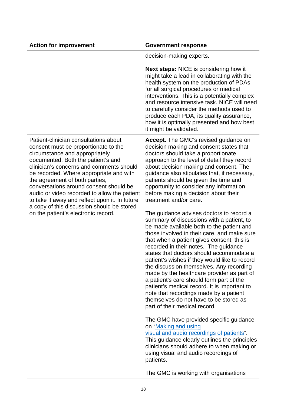| <b>Action for improvement</b>                                                                                                                                                                                                                                                                                                                                                                                                                                                                                   | <b>Government response</b>                                                                                                                                                                                                                                                                                                                                                                                                                                                                                                                                                                                                                                                       |
|-----------------------------------------------------------------------------------------------------------------------------------------------------------------------------------------------------------------------------------------------------------------------------------------------------------------------------------------------------------------------------------------------------------------------------------------------------------------------------------------------------------------|----------------------------------------------------------------------------------------------------------------------------------------------------------------------------------------------------------------------------------------------------------------------------------------------------------------------------------------------------------------------------------------------------------------------------------------------------------------------------------------------------------------------------------------------------------------------------------------------------------------------------------------------------------------------------------|
|                                                                                                                                                                                                                                                                                                                                                                                                                                                                                                                 | decision-making experts.                                                                                                                                                                                                                                                                                                                                                                                                                                                                                                                                                                                                                                                         |
|                                                                                                                                                                                                                                                                                                                                                                                                                                                                                                                 | <b>Next steps:</b> NICE is considering how it<br>might take a lead in collaborating with the<br>health system on the production of PDAs<br>for all surgical procedures or medical<br>interventions. This is a potentially complex<br>and resource intensive task. NICE will need<br>to carefully consider the methods used to<br>produce each PDA, its quality assurance,<br>how it is optimally presented and how best<br>it might be validated.                                                                                                                                                                                                                                |
| Patient-clinician consultations about<br>consent must be proportionate to the<br>circumstance and appropriately<br>documented. Both the patient's and<br>clinician's concerns and comments should<br>be recorded. Where appropriate and with<br>the agreement of both parties,<br>conversations around consent should be<br>audio or video recorded to allow the patient<br>to take it away and reflect upon it. In future<br>a copy of this discussion should be stored<br>on the patient's electronic record. | Accept. The GMC's revised guidance on<br>decision making and consent states that<br>doctors should take a proportionate<br>approach to the level of detail they record<br>about decision making and consent. The<br>guidance also stipulates that, if necessary,<br>patients should be given the time and<br>opportunity to consider any information<br>before making a decision about their<br>treatment and/or care.                                                                                                                                                                                                                                                           |
|                                                                                                                                                                                                                                                                                                                                                                                                                                                                                                                 | The guidance advises doctors to record a<br>summary of discussions with a patient, to<br>be made available both to the patient and<br>those involved in their care, and make sure<br>that when a patient gives consent, this is<br>recorded in their notes. The guidance<br>states that doctors should accommodate a<br>patient's wishes if they would like to record<br>the discussion themselves. Any recording<br>made by the healthcare provider as part of<br>a patient's care should form part of the<br>patient's medical record. It is important to<br>note that recordings made by a patient<br>themselves do not have to be stored as<br>part of their medical record. |
|                                                                                                                                                                                                                                                                                                                                                                                                                                                                                                                 | The GMC have provided specific guidance<br>on "Making and using<br>visual and audio recordings of patients".<br>This guidance clearly outlines the principles<br>clinicians should adhere to when making or<br>using visual and audio recordings of<br>patients.<br>The GMC is working with organisations                                                                                                                                                                                                                                                                                                                                                                        |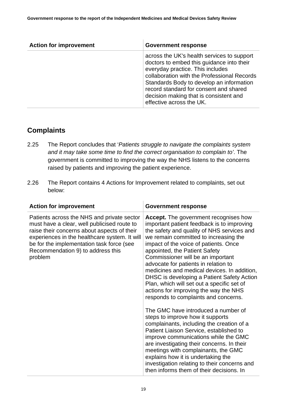| <b>Action for improvement</b> | <b>Government response</b>                                                                                                                                                                                                                                                                                                             |
|-------------------------------|----------------------------------------------------------------------------------------------------------------------------------------------------------------------------------------------------------------------------------------------------------------------------------------------------------------------------------------|
|                               | across the UK's health services to support<br>doctors to embed this guidance into their<br>everyday practice. This includes<br>collaboration with the Professional Records<br>Standards Body to develop an information<br>record standard for consent and shared<br>decision making that is consistent and<br>effective across the UK. |

#### **Complaints**

- 2.25 The Report concludes that '*Patients struggle to navigate the complaints system and it may take some time to find the correct organisation to complain to'*. The government is committed to improving the way the NHS listens to the concerns raised by patients and improving the patient experience.
- 2.26 The Report contains 4 Actions for Improvement related to complaints, set out below:

Ŷ.

| <b>Action for improvement</b>                                                                                                                                                                                                                                                          | <b>Government response</b>                                                                                                                                                                                                                                                                                                                                                                                                                                                                                                                                                                                                                                                                                                                                                                                                                                                                                                                                                                      |
|----------------------------------------------------------------------------------------------------------------------------------------------------------------------------------------------------------------------------------------------------------------------------------------|-------------------------------------------------------------------------------------------------------------------------------------------------------------------------------------------------------------------------------------------------------------------------------------------------------------------------------------------------------------------------------------------------------------------------------------------------------------------------------------------------------------------------------------------------------------------------------------------------------------------------------------------------------------------------------------------------------------------------------------------------------------------------------------------------------------------------------------------------------------------------------------------------------------------------------------------------------------------------------------------------|
| Patients across the NHS and private sector<br>must have a clear, well publicised route to<br>raise their concerns about aspects of their<br>experiences in the healthcare system. It will<br>be for the implementation task force (see<br>Recommendation 9) to address this<br>problem | Accept. The government recognises how<br>important patient feedback is to improving<br>the safety and quality of NHS services and<br>we remain committed to increasing the<br>impact of the voice of patients. Once<br>appointed, the Patient Safety<br>Commissioner will be an important<br>advocate for patients in relation to<br>medicines and medical devices. In addition,<br>DHSC is developing a Patient Safety Action<br>Plan, which will set out a specific set of<br>actions for improving the way the NHS<br>responds to complaints and concerns.<br>The GMC have introduced a number of<br>steps to improve how it supports<br>complainants, including the creation of a<br>Patient Liaison Service, established to<br>improve communications while the GMC<br>are investigating their concerns. In their<br>meetings with complainants, the GMC<br>explains how it is undertaking the<br>investigation relating to their concerns and<br>then informs them of their decisions. In |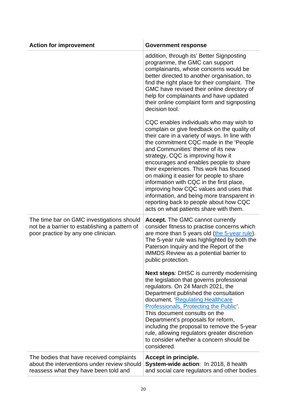| <b>Action for improvement</b>                                                                                                     | <b>Government response</b>                                                                                                                                                                                                                                                                                                                                                                                                                                                                                                                                                                                           |
|-----------------------------------------------------------------------------------------------------------------------------------|----------------------------------------------------------------------------------------------------------------------------------------------------------------------------------------------------------------------------------------------------------------------------------------------------------------------------------------------------------------------------------------------------------------------------------------------------------------------------------------------------------------------------------------------------------------------------------------------------------------------|
|                                                                                                                                   | addition, through its' Better Signposting<br>programme, the GMC can support<br>complainants, whose concerns would be<br>better directed to another organisation, to<br>find the right place for their complaint. The<br>GMC have revised their online directory of<br>help for complainants and have updated<br>their online complaint form and signposting<br>decision tool.                                                                                                                                                                                                                                        |
|                                                                                                                                   | CQC enables individuals who may wish to<br>complain or give feedback on the quality of<br>their care in a variety of ways. In line with<br>the commitment CQC made in the 'People<br>and Communities' theme of its new<br>strategy, CQC is improving how it<br>encourages and enables people to share<br>their experiences. This work has focused<br>on making it easier for people to share<br>information with CQC in the first place,<br>improving how CQC values and uses that<br>information, and being more transparent in<br>reporting back to people about how CQC<br>acts on what patients share with them. |
| The time bar on GMC investigations should<br>not be a barrier to establishing a pattern of<br>poor practice by any one clinician. | <b>Accept.</b> The GMC cannot currently<br>consider fitness to practise concerns which<br>are more than 5 years old (the 5-year rule).<br>The 5-year rule was highlighted by both the<br>Paterson Inquiry and the Report of the<br>IMMDS Review as a potential barrier to<br>public protection.                                                                                                                                                                                                                                                                                                                      |
|                                                                                                                                   | Next steps: DHSC is currently modernising<br>the legislation that governs professional<br>regulators. On 24 March 2021, the<br>Department published the consultation<br>document, 'Regulating Healthcare<br>Professionals, Protecting the Public'.<br>This document consults on the<br>Department's proposals for reform,<br>including the proposal to remove the 5-year<br>rule, allowing regulators greater discretion<br>to consider whether a concern should be<br>considered.                                                                                                                                   |
| The bodies that have received complaints<br>about the interventions under review should<br>reassess what they have been told and  | Accept in principle.<br>System-wide action: In 2018, 8 health<br>and social care regulators and other bodies                                                                                                                                                                                                                                                                                                                                                                                                                                                                                                         |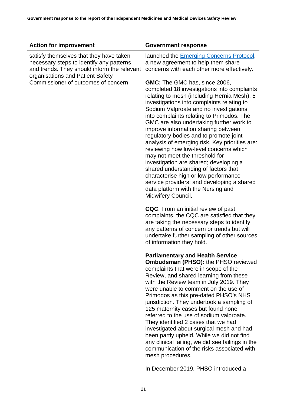| <b>Action for improvement</b>                                                                                                      | <b>Government response</b>                                                                                                                                                                                                                                                                                                                                                                                                                                                                                                                                                                                                                                                                                                                                             |
|------------------------------------------------------------------------------------------------------------------------------------|------------------------------------------------------------------------------------------------------------------------------------------------------------------------------------------------------------------------------------------------------------------------------------------------------------------------------------------------------------------------------------------------------------------------------------------------------------------------------------------------------------------------------------------------------------------------------------------------------------------------------------------------------------------------------------------------------------------------------------------------------------------------|
| satisfy themselves that they have taken<br>necessary steps to identify any patterns<br>and trends. They should inform the relevant | launched the <b>Emerging Concerns Protocol</b> ,<br>a new agreement to help them share<br>concerns with each other more effectively.                                                                                                                                                                                                                                                                                                                                                                                                                                                                                                                                                                                                                                   |
| organisations and Patient Safety<br>Commissioner of outcomes of concern                                                            | <b>GMC:</b> The GMC has, since 2006,<br>completed 18 investigations into complaints<br>relating to mesh (including Hernia Mesh), 5<br>investigations into complaints relating to<br>Sodium Valproate and no investigations<br>into complaints relating to Primodos. The<br>GMC are also undertaking further work to<br>improve information sharing between<br>regulatory bodies and to promote joint<br>analysis of emerging risk. Key priorities are:<br>reviewing how low-level concerns which<br>may not meet the threshold for<br>investigation are shared; developing a<br>shared understanding of factors that<br>characterise high or low performance<br>service providers; and developing a shared<br>data platform with the Nursing and<br>Midwifery Council. |
|                                                                                                                                    | <b>CQC:</b> From an initial review of past<br>complaints, the CQC are satisfied that they<br>are taking the necessary steps to identify<br>any patterns of concern or trends but will<br>undertake further sampling of other sources<br>of information they hold.                                                                                                                                                                                                                                                                                                                                                                                                                                                                                                      |
|                                                                                                                                    | <b>Parliamentary and Health Service</b><br><b>Ombudsman (PHSO): the PHSO reviewed</b><br>complaints that were in scope of the<br>Review, and shared learning from these<br>with the Review team in July 2019. They<br>were unable to comment on the use of<br>Primodos as this pre-dated PHSO's NHS<br>jurisdiction. They undertook a sampling of<br>125 maternity cases but found none<br>referred to the use of sodium valproate.<br>They identified 2 cases that we had<br>investigated about surgical mesh and had<br>been partly upheld. While we did not find<br>any clinical failing, we did see failings in the<br>communication of the risks associated with<br>mesh procedures.<br>In December 2019, PHSO introduced a                                       |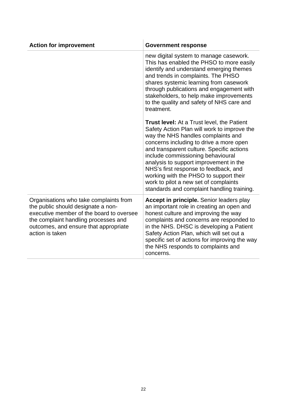| <b>Action for improvement</b>                                                                                                                                                                                                | <b>Government response</b>                                                                                                                                                                                                                                                                                                                                                                                                                                                              |
|------------------------------------------------------------------------------------------------------------------------------------------------------------------------------------------------------------------------------|-----------------------------------------------------------------------------------------------------------------------------------------------------------------------------------------------------------------------------------------------------------------------------------------------------------------------------------------------------------------------------------------------------------------------------------------------------------------------------------------|
|                                                                                                                                                                                                                              | new digital system to manage casework.<br>This has enabled the PHSO to more easily<br>identify and understand emerging themes<br>and trends in complaints. The PHSO<br>shares systemic learning from casework<br>through publications and engagement with<br>stakeholders, to help make improvements<br>to the quality and safety of NHS care and<br>treatment.                                                                                                                         |
|                                                                                                                                                                                                                              | <b>Trust level:</b> At a Trust level, the Patient<br>Safety Action Plan will work to improve the<br>way the NHS handles complaints and<br>concerns including to drive a more open<br>and transparent culture. Specific actions<br>include commissioning behavioural<br>analysis to support improvement in the<br>NHS's first response to feedback, and<br>working with the PHSO to support their<br>work to pilot a new set of complaints<br>standards and complaint handling training. |
| Organisations who take complaints from<br>the public should designate a non-<br>executive member of the board to oversee<br>the complaint handling processes and<br>outcomes, and ensure that appropriate<br>action is taken | Accept in principle. Senior leaders play<br>an important role in creating an open and<br>honest culture and improving the way<br>complaints and concerns are responded to<br>in the NHS. DHSC is developing a Patient<br>Safety Action Plan, which will set out a<br>specific set of actions for improving the way<br>the NHS responds to complaints and<br>concerns.                                                                                                                   |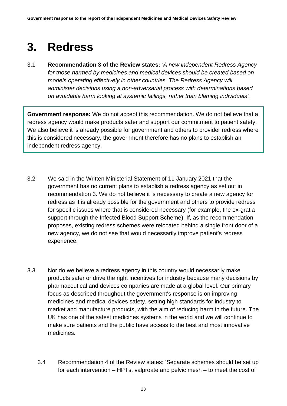## <span id="page-22-0"></span>**3. Redress**

3.1 **Recommendation 3 of the Review states:** *'A new independent Redress Agency for those harmed by medicines and medical devices should be created based on models operating effectively in other countries. The Redress Agency will administer decisions using a non-adversarial process with determinations based on avoidable harm looking at systemic failings, rather than blaming individuals'.*

**Government response:** We do not accept this recommendation. We do not believe that a redress agency would make products safer and support our commitment to patient safety. We also believe it is already possible for government and others to provider redress where this is considered necessary, the government therefore has no plans to establish an independent redress agency.

- 3.2 We said in the Written Ministerial Statement of 11 January 2021 that the government has no current plans to establish a redress agency as set out in recommendation 3. We do not believe it is necessary to create a new agency for redress as it is already possible for the government and others to provide redress for specific issues where that is considered necessary (for example, the ex-gratia support through the Infected Blood Support Scheme). If, as the recommendation proposes, existing redress schemes were relocated behind a single front door of a new agency, we do not see that would necessarily improve patient's redress experience.
- 3.3 Nor do we believe a redress agency in this country would necessarily make products safer or drive the right incentives for industry because many decisions by pharmaceutical and devices companies are made at a global level. Our primary focus as described throughout the government's response is on improving medicines and medical devices safety, setting high standards for industry to market and manufacture products, with the aim of reducing harm in the future. The UK has one of the safest medicines systems in the world and we will continue to make sure patients and the public have access to the best and most innovative medicines.
	- 3.4 Recommendation 4 of the Review states: 'Separate schemes should be set up for each intervention – HPTs, valproate and pelvic mesh – to meet the cost of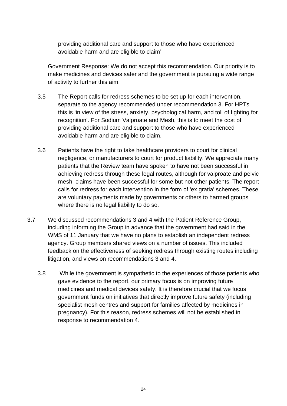providing additional care and support to those who have experienced avoidable harm and are eligible to claim'

Government Response: We do not accept this recommendation. Our priority is to make medicines and devices safer and the government is pursuing a wide range of activity to further this aim.

- 3.5 The Report calls for redress schemes to be set up for each intervention, separate to the agency recommended under recommendation 3. For HPTs this is 'in view of the stress, anxiety, psychological harm, and toll of fighting for recognition'. For Sodium Valproate and Mesh, this is to meet the cost of providing additional care and support to those who have experienced avoidable harm and are eligible to claim.
- 3.6 Patients have the right to take healthcare providers to court for clinical negligence, or manufacturers to court for product liability. We appreciate many patients that the Review team have spoken to have not been successful in achieving redress through these legal routes, although for valproate and pelvic mesh, claims have been successful for some but not other patients. The report calls for redress for each intervention in the form of 'ex gratia' schemes. These are voluntary payments made by governments or others to harmed groups where there is no legal liability to do so.
- 3.7 We discussed recommendations 3 and 4 with the Patient Reference Group, including informing the Group in advance that the government had said in the WMS of 11 January that we have no plans to establish an independent redress agency. Group members shared views on a number of issues. This included feedback on the effectiveness of seeking redress through existing routes including litigation, and views on recommendations 3 and 4.
	- 3.8 While the government is sympathetic to the experiences of those patients who gave evidence to the report, our primary focus is on improving future medicines and medical devices safety. It is therefore crucial that we focus government funds on initiatives that directly improve future safety (including specialist mesh centres and support for families affected by medicines in pregnancy). For this reason, redress schemes will not be established in response to recommendation 4.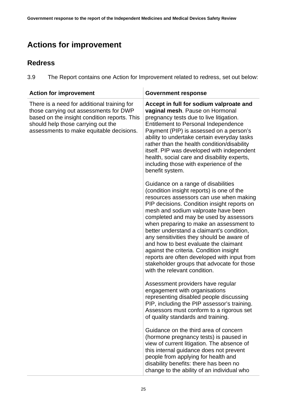## <span id="page-24-0"></span>**Actions for improvement**

#### **Redress**

3.9 The Report contains one Action for Improvement related to redress, set out below:

| <b>Action for improvement</b>                                                                                                                                                                                           | <b>Government response</b>                                                                                                                                                                                                                                                                                                                                                                                                                                                                                                                                                                                        |
|-------------------------------------------------------------------------------------------------------------------------------------------------------------------------------------------------------------------------|-------------------------------------------------------------------------------------------------------------------------------------------------------------------------------------------------------------------------------------------------------------------------------------------------------------------------------------------------------------------------------------------------------------------------------------------------------------------------------------------------------------------------------------------------------------------------------------------------------------------|
| There is a need for additional training for<br>those carrying out assessments for DWP<br>based on the insight condition reports. This<br>should help those carrying out the<br>assessments to make equitable decisions. | Accept in full for sodium valproate and<br>vaginal mesh. Pause on Hormonal<br>pregnancy tests due to live litigation.<br>Entitlement to Personal Independence<br>Payment (PIP) is assessed on a person's<br>ability to undertake certain everyday tasks<br>rather than the health condition/disability<br>itself. PIP was developed with independent<br>health, social care and disability experts,<br>including those with experience of the<br>benefit system.                                                                                                                                                  |
|                                                                                                                                                                                                                         | Guidance on a range of disabilities<br>(condition insight reports) is one of the<br>resources assessors can use when making<br>PIP decisions. Condition insight reports on<br>mesh and sodium valproate have been<br>completed and may be used by assessors<br>when preparing to make an assessment to<br>better understand a claimant's condition,<br>any sensitivities they should be aware of<br>and how to best evaluate the claimant<br>against the criteria. Condition insight<br>reports are often developed with input from<br>stakeholder groups that advocate for those<br>with the relevant condition. |
|                                                                                                                                                                                                                         | Assessment providers have regular<br>engagement with organisations<br>representing disabled people discussing<br>PIP, including the PIP assessor's training.<br>Assessors must conform to a rigorous set<br>of quality standards and training.                                                                                                                                                                                                                                                                                                                                                                    |
|                                                                                                                                                                                                                         | Guidance on the third area of concern<br>(hormone pregnancy tests) is paused in<br>view of current litigation. The absence of<br>this internal guidance does not prevent<br>people from applying for health and<br>disability benefits: there has been no<br>change to the ability of an individual who                                                                                                                                                                                                                                                                                                           |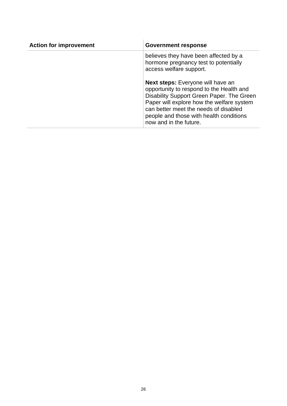| <b>Action for improvement</b> | <b>Government response</b>                                                                                                                                                                                                                                                                   |
|-------------------------------|----------------------------------------------------------------------------------------------------------------------------------------------------------------------------------------------------------------------------------------------------------------------------------------------|
|                               | believes they have been affected by a<br>hormone pregnancy test to potentially<br>access welfare support.                                                                                                                                                                                    |
|                               | <b>Next steps:</b> Everyone will have an<br>opportunity to respond to the Health and<br>Disability Support Green Paper. The Green<br>Paper will explore how the welfare system<br>can better meet the needs of disabled<br>people and those with health conditions<br>now and in the future. |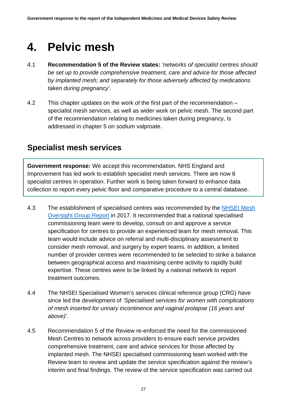## <span id="page-26-0"></span>**4. Pelvic mesh**

- 4.1 **Recommendation 5 of the Review states:** *'networks of specialist centres should be set up to provide comprehensive treatment, care and advice for those affected by implanted mesh; and separately for those adversely affected by medications taken during pregnancy'*.
- 4.2 This chapter updates on the work of the first part of the recommendation specialist mesh services, as well as wider work on pelvic mesh. The second part of the recommendation relating to medicines taken during pregnancy, is addressed in chapter 5 on sodium valproate.

### <span id="page-26-1"></span>**Specialist mesh services**

**Government response:** We accept this recommendation. NHS England and Improvement has led work to establish specialist mesh services. There are now 8 specialist centres in operation. Further work is being taken forward to enhance data collection to report every pelvic floor and comparative procedure to a central database.

- 4.3 The establishment of specialised centres was recommended by the NHSEI Mesh [Oversight Group Report](https://www.england.nhs.uk/publication/mesh-oversight-group-report/) in 2017. It recommended that a national specialised commissioning team were to develop, consult on and approve a service specification for centres to provide an experienced team for mesh removal. This team would include advice on referral and multi-disciplinary assessment to consider mesh removal, and surgery by expert teams. In addition, a limited number of provider centres were recommended to be selected to strike a balance between geographical access and maximising centre activity to rapidly build expertise. These centres were to be linked by a national network to report treatment outcomes.
- 4.4 The NHSEI Specialised Women's services clinical reference group (CRG) have since led the development of *'Specialised services for women with complications of mesh inserted for urinary incontinence and vaginal prolapse (16 years and above)'*.
- 4.5 Recommendation 5 of the Review re-enforced the need for the commissioned Mesh Centres to network across providers to ensure each service provides comprehensive treatment, care and advice services for those affected by implanted mesh. The NHSEI specialised commissioning team worked with the Review team to review and update the service specification against the review's interim and final findings. The review of the service specification was carried out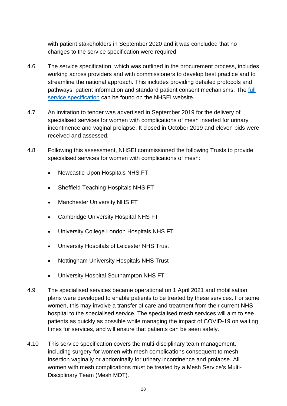with patient stakeholders in September 2020 and it was concluded that no changes to the service specification were required.

- 4.6 The service specification, which was outlined in the procurement process, includes working across providers and with commissioners to develop best practice and to streamline the national approach. This includes providing detailed protocols and pathways, patient information and standard patient consent mechanisms. The [full](https://www.england.nhs.uk/publication/specialised-services-for-women-with-complications-of-mesh-inserted-for-urinary-incontinence-and-vaginal-prolapse-16-years-and-above/) service [specification](https://www.england.nhs.uk/publication/specialised-services-for-women-with-complications-of-mesh-inserted-for-urinary-incontinence-and-vaginal-prolapse-16-years-and-above/) can be found on the NHSEI website.
- 4.7 An invitation to tender was advertised in September 2019 for the delivery of specialised services for women with complications of mesh inserted for urinary incontinence and vaginal prolapse. It closed in October 2019 and eleven bids were received and assessed.
- 4.8 Following this assessment, NHSEI commissioned the following Trusts to provide specialised services for women with complications of mesh:
	- Newcastle Upon Hospitals NHS FT
	- Sheffield Teaching Hospitals NHS FT
	- Manchester University NHS FT
	- Cambridge University Hospital NHS FT
	- University College London Hospitals NHS FT
	- University Hospitals of Leicester NHS Trust
	- Nottingham University Hospitals NHS Trust
	- University Hospital Southampton NHS FT
- 4.9 The specialised services became operational on 1 April 2021 and mobilisation plans were developed to enable patients to be treated by these services. For some women, this may involve a transfer of care and treatment from their current NHS hospital to the specialised service. The specialised mesh services will aim to see patients as quickly as possible while managing the impact of COVID-19 on waiting times for services, and will ensure that patients can be seen safely.
- 4.10 This service specification covers the multi-disciplinary team management, including surgery for women with mesh complications consequent to mesh insertion vaginally or abdominally for urinary incontinence and prolapse. All women with mesh complications must be treated by a Mesh Service's Multi-Disciplinary Team (Mesh MDT).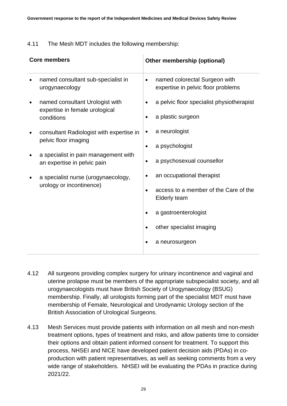#### 4.11 The Mesh MDT includes the following membership:

| <b>Core members</b> |                                                                                 | Other membership (optional) |                                                                                                                                                                 |
|---------------------|---------------------------------------------------------------------------------|-----------------------------|-----------------------------------------------------------------------------------------------------------------------------------------------------------------|
|                     | named consultant sub-specialist in<br>urogynaecology                            | $\bullet$                   | named colorectal Surgeon with<br>expertise in pelvic floor problems                                                                                             |
|                     | named consultant Urologist with<br>expertise in female urological<br>conditions |                             | a pelvic floor specialist physiotherapist<br>a plastic surgeon                                                                                                  |
|                     | consultant Radiologist with expertise in<br>pelvic floor imaging                | ٠<br>٠                      | a neurologist<br>a psychologist                                                                                                                                 |
|                     | a specialist in pain management with<br>an expertise in pelvic pain             | $\bullet$                   | a psychosexual counsellor                                                                                                                                       |
|                     | a specialist nurse (urogynaecology,<br>urology or incontinence)                 | $\bullet$                   | an occupational therapist<br>access to a member of the Care of the<br><b>Elderly team</b><br>a gastroenterologist<br>other specialist imaging<br>a neurosurgeon |

- 4.12 All surgeons providing complex surgery for urinary incontinence and vaginal and uterine prolapse must be members of the appropriate subspecialist society, and all urogynaecologists must have British Society of Urogynaecology (BSUG) membership. Finally, all urologists forming part of the specialist MDT must have membership of Female, Neurological and Urodynamic Urology section of the British Association of Urological Surgeons.
- 4.13 Mesh Services must provide patients with information on all mesh and non-mesh treatment options, types of treatment and risks, and allow patients time to consider their options and obtain patient informed consent for treatment. To support this process, NHSEI and NICE have developed patient decision aids (PDAs) in coproduction with patient representatives, as well as seeking comments from a very wide range of stakeholders. NHSEI will be evaluating the PDAs in practice during 2021/22.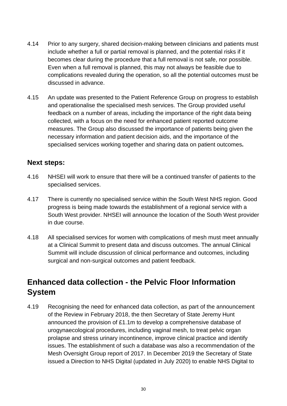- 4.14 Prior to any surgery, shared decision-making between clinicians and patients must include whether a full or partial removal is planned, and the potential risks if it becomes clear during the procedure that a full removal is not safe, nor possible. Even when a full removal is planned, this may not always be feasible due to complications revealed during the operation, so all the potential outcomes must be discussed in advance.
- 4.15 An update was presented to the Patient Reference Group on progress to establish and operationalise the specialised mesh services. The Group provided useful feedback on a number of areas, including the importance of the right data being collected, with a focus on the need for enhanced patient reported outcome measures. The Group also discussed the importance of patients being given the necessary information and patient decision aids, and the importance of the specialised services working together and sharing data on patient outcomes**.**

#### **Next steps:**

- 4.16 NHSEI will work to ensure that there will be a continued transfer of patients to the specialised services.
- 4.17 There is currently no specialised service within the South West NHS region. Good progress is being made towards the establishment of a regional service with a South West provider. NHSEI will announce the location of the South West provider in due course.
- 4.18 All specialised services for women with complications of mesh must meet annually at a Clinical Summit to present data and discuss outcomes. The annual Clinical Summit will include discussion of clinical performance and outcomes, including surgical and non-surgical outcomes and patient feedback.

### <span id="page-29-0"></span>**Enhanced data collection - the Pelvic Floor Information System**

4.19 Recognising the need for enhanced data collection, as part of the announcement of the Review in February 2018, the then Secretary of State Jeremy Hunt announced the provision of £1.1m to develop a comprehensive database of urogynaecological procedures, including vaginal mesh, to treat pelvic organ prolapse and stress urinary incontinence, improve clinical practice and identify issues. The establishment of such a database was also a recommendation of the Mesh Oversight Group report of 2017. In December 2019 the Secretary of State issued a Direction to NHS Digital (updated in July 2020) to enable NHS Digital to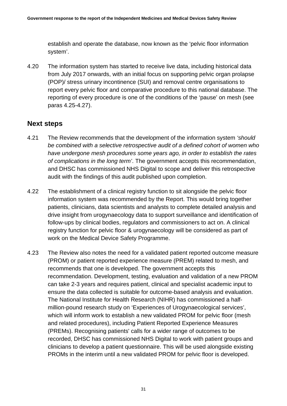establish and operate the database, now known as the 'pelvic floor information system'.

4.20 The information system has started to receive live data, including historical data from July 2017 onwards, with an initial focus on supporting pelvic organ prolapse (POP)/ stress urinary incontinence (SUI) and removal centre organisations to report every pelvic floor and comparative procedure to this national database. The reporting of every procedure is one of the conditions of the 'pause' on mesh (see paras 4.25-4.27).

#### **Next steps**

- 4.21 The Review recommends that the development of the information system *'should be combined with a selective retrospective audit of a defined cohort of women who have undergone mesh procedures some years ago, in order to establish the rates of complications in the long term'*. The government accepts this recommendation, and DHSC has commissioned NHS Digital to scope and deliver this retrospective audit with the findings of this audit published upon completion.
- 4.22 The establishment of a clinical registry function to sit alongside the pelvic floor information system was recommended by the Report. This would bring together patients, clinicians, data scientists and analysts to complete detailed analysis and drive insight from urogynaecology data to support surveillance and identification of follow-ups by clinical bodies, regulators and commissioners to act on. A clinical registry function for pelvic floor & urogynaecology will be considered as part of work on the Medical Device Safety Programme.
- 4.23 The Review also notes the need for a validated patient reported outcome measure (PROM) or patient reported experience measure (PREM) related to mesh, and recommends that one is developed. The government accepts this recommendation. Development, testing, evaluation and validation of a new PROM can take 2-3 years and requires patient, clinical and specialist academic input to ensure the data collected is suitable for outcome-based analysis and evaluation. The National Institute for Health Research (NIHR) has commissioned a halfmillion-pound research study on 'Experiences of Urogynaecological services', which will inform work to establish a new validated PROM for pelvic floor (mesh and related procedures), including Patient Reported Experience Measures (PREMs). Recognising patients' calls for a wider range of outcomes to be recorded, DHSC has commissioned NHS Digital to work with patient groups and clinicians to develop a patient questionnaire. This will be used alongside existing PROMs in the interim until a new validated PROM for pelvic floor is developed.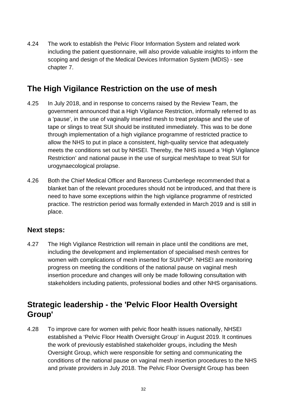4.24 The work to establish the Pelvic Floor Information System and related work including the patient questionnaire, will also provide valuable insights to inform the scoping and design of the Medical Devices Information System (MDIS) - see chapter 7.

## <span id="page-31-0"></span>**The High Vigilance Restriction on the use of mesh**

- 4.25 In July 2018, and in response to concerns raised by the Review Team, the government announced that a High Vigilance Restriction, informally referred to as a 'pause', in the use of vaginally inserted mesh to treat prolapse and the use of tape or slings to treat SUI should be instituted immediately. This was to be done through implementation of a high vigilance programme of restricted practice to allow the NHS to put in place a consistent, high-quality service that adequately meets the conditions set out by NHSEI. Thereby, the NHS issued a 'High Vigilance Restriction' and national pause in the use of surgical mesh/tape to treat SUI for urogynaecological prolapse.
- 4.26 Both the Chief Medical Officer and Baroness Cumberlege recommended that a blanket ban of the relevant procedures should not be introduced, and that there is need to have some exceptions within the high vigilance programme of restricted practice. The restriction period was formally extended in March 2019 and is still in place.

#### **Next steps:**

4.27 The High Vigilance Restriction will remain in place until the conditions are met, including the development and implementation of specialised mesh centres for women with complications of mesh inserted for SUI/POP. NHSEI are monitoring progress on meeting the conditions of the national pause on vaginal mesh insertion procedure and changes will only be made following consultation with stakeholders including patients, professional bodies and other NHS organisations.

## <span id="page-31-1"></span>**Strategic leadership - the 'Pelvic Floor Health Oversight Group'**

4.28 To improve care for women with pelvic floor health issues nationally, NHSEI established a 'Pelvic Floor Health Oversight Group' in August 2019. It continues the work of previously established stakeholder groups, including the Mesh Oversight Group, which were responsible for setting and communicating the conditions of the national pause on vaginal mesh insertion procedures to the NHS and private providers in July 2018. The Pelvic Floor Oversight Group has been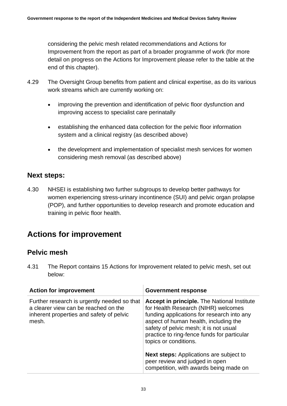considering the pelvic mesh related recommendations and Actions for Improvement from the report as part of a broader programme of work (for more detail on progress on the Actions for Improvement please refer to the table at the end of this chapter).

- 4.29 The Oversight Group benefits from patient and clinical expertise, as do its various work streams which are currently working on:
	- improving the prevention and identification of pelvic floor dysfunction and improving access to specialist care perinatally
	- establishing the enhanced data collection for the pelvic floor information system and a clinical registry (as described above)
	- the development and implementation of specialist mesh services for women considering mesh removal (as described above)

#### **Next steps:**

4.30 NHSEI is establishing two further subgroups to develop better pathways for women experiencing stress-urinary incontinence (SUI) and pelvic organ prolapse (POP), and further opportunities to develop research and promote education and training in pelvic floor health.

## <span id="page-32-0"></span>**Actions for improvement**

#### **Pelvic mesh**

4.31 The Report contains 15 Actions for Improvement related to pelvic mesh, set out below:

| <b>Action for improvement</b>                                                                                                            | <b>Government response</b>                                                                                                                                                                                                                                                                         |  |
|------------------------------------------------------------------------------------------------------------------------------------------|----------------------------------------------------------------------------------------------------------------------------------------------------------------------------------------------------------------------------------------------------------------------------------------------------|--|
| Further research is urgently needed so that<br>a clearer view can be reached on the<br>inherent properties and safety of pelvic<br>mesh. | <b>Accept in principle.</b> The National Institute<br>for Health Research (NIHR) welcomes<br>funding applications for research into any<br>aspect of human health, including the<br>safety of pelvic mesh; it is not usual<br>practice to ring-fence funds for particular<br>topics or conditions. |  |
|                                                                                                                                          | <b>Next steps:</b> Applications are subject to<br>peer review and judged in open<br>competition, with awards being made on                                                                                                                                                                         |  |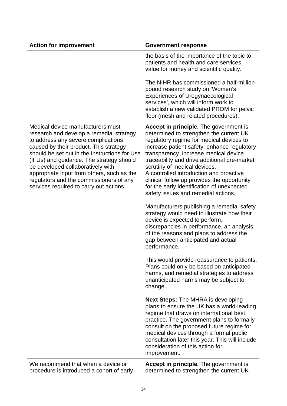| <b>Action for improvement</b>                                                                                                                                                                                                                                                                                                                                                                                                        | <b>Government response</b>                                                                                                                                                                                                                                                                                                                                                                                                                                                                  |
|--------------------------------------------------------------------------------------------------------------------------------------------------------------------------------------------------------------------------------------------------------------------------------------------------------------------------------------------------------------------------------------------------------------------------------------|---------------------------------------------------------------------------------------------------------------------------------------------------------------------------------------------------------------------------------------------------------------------------------------------------------------------------------------------------------------------------------------------------------------------------------------------------------------------------------------------|
|                                                                                                                                                                                                                                                                                                                                                                                                                                      | the basis of the importance of the topic to<br>patients and health and care services,<br>value for money and scientific quality.                                                                                                                                                                                                                                                                                                                                                            |
|                                                                                                                                                                                                                                                                                                                                                                                                                                      | The NIHR has commissioned a half-million-<br>pound research study on 'Women's<br><b>Experiences of Urogynaecological</b><br>services', which will inform work to<br>establish a new validated PROM for pelvic<br>floor (mesh and related procedures).                                                                                                                                                                                                                                       |
| Medical device manufacturers must<br>research and develop a remedial strategy<br>to address any severe complications<br>caused by their product. This strategy<br>should be set out in the Instructions for Use<br>(IFUs) and guidance. The strategy should<br>be developed collaboratively with<br>appropriate input from others, such as the<br>regulators and the commissioners of any<br>services required to carry out actions. | <b>Accept in principle.</b> The government is<br>determined to strengthen the current UK<br>regulatory regime for medical devices to<br>increase patient safety, enhance regulatory<br>transparency, increase medical device<br>traceability and drive additional pre-market<br>scrutiny of medical devices.<br>A controlled introduction and proactive<br>clinical follow up provides the opportunity<br>for the early identification of unexpected<br>safety issues and remedial actions. |
|                                                                                                                                                                                                                                                                                                                                                                                                                                      | Manufacturers publishing a remedial safety<br>strategy would need to illustrate how their<br>device is expected to perform,<br>discrepancies in performance, an analysis<br>of the reasons and plans to address the<br>gap between anticipated and actual<br>performance.                                                                                                                                                                                                                   |
|                                                                                                                                                                                                                                                                                                                                                                                                                                      | This would provide reassurance to patients.<br>Plans could only be based on anticipated<br>harms, and remedial strategies to address<br>unanticipated harms may be subject to<br>change.                                                                                                                                                                                                                                                                                                    |
|                                                                                                                                                                                                                                                                                                                                                                                                                                      | <b>Next Steps:</b> The MHRA is developing<br>plans to ensure the UK has a world-leading<br>regime that draws on international best<br>practice. The government plans to formally<br>consult on the proposed future regime for<br>medical devices through a formal public<br>consultation later this year. This will include<br>consideration of this action for<br>improvement.                                                                                                             |
| We recommend that when a device or<br>procedure is introduced a cohort of early                                                                                                                                                                                                                                                                                                                                                      | Accept in principle. The government is<br>determined to strengthen the current UK                                                                                                                                                                                                                                                                                                                                                                                                           |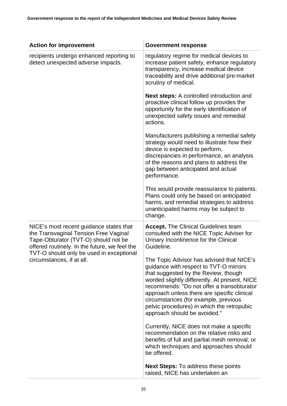| <b>Action for improvement</b>                                                                                                                                                                                         | <b>Government response</b>                                                                                                                                                                                                                                                                                                                                                                      |  |
|-----------------------------------------------------------------------------------------------------------------------------------------------------------------------------------------------------------------------|-------------------------------------------------------------------------------------------------------------------------------------------------------------------------------------------------------------------------------------------------------------------------------------------------------------------------------------------------------------------------------------------------|--|
| recipients undergo enhanced reporting to<br>detect unexpected adverse impacts.                                                                                                                                        | regulatory regime for medical devices to<br>increase patient safety, enhance regulatory<br>transparency, increase medical device<br>traceability and drive additional pre-market<br>scrutiny of medical.                                                                                                                                                                                        |  |
|                                                                                                                                                                                                                       | <b>Next steps:</b> A controlled introduction and<br>proactive clinical follow up provides the<br>opportunity for the early identification of<br>unexpected safety issues and remedial<br>actions.                                                                                                                                                                                               |  |
|                                                                                                                                                                                                                       | Manufacturers publishing a remedial safety<br>strategy would need to illustrate how their<br>device is expected to perform,<br>discrepancies in performance, an analysis<br>of the reasons and plans to address the<br>gap between anticipated and actual<br>performance.                                                                                                                       |  |
|                                                                                                                                                                                                                       | This would provide reassurance to patients.<br>Plans could only be based on anticipated<br>harms, and remedial strategies to address<br>unanticipated harms may be subject to<br>change.                                                                                                                                                                                                        |  |
| NICE's most recent guidance states that<br>the Transvaginal Tension Free Vaginal<br>Tape-Obturator (TVT-O) should not be<br>offered routinely. In the future, we feel the<br>TVT-O should only be used in exceptional | <b>Accept.</b> The Clinical Guidelines team<br>consulted with the NICE Topic Adviser for<br>Urinary Incontinence for the Clinical<br>Guideline.                                                                                                                                                                                                                                                 |  |
| circumstances, if at all.                                                                                                                                                                                             | The Topic Advisor has advised that NICE's<br>guidance with respect to TVT-O mirrors<br>that suggested by the Review, though<br>worded slightly differently. At present, NICE<br>recommends: "Do not offer a transobturator<br>approach unless there are specific clinical<br>circumstances (for example, previous<br>pelvic procedures) in which the retropubic<br>approach should be avoided." |  |
|                                                                                                                                                                                                                       | Currently, NICE does not make a specific<br>recommendation on the relative risks and<br>benefits of full and partial mesh removal, or<br>which techniques and approaches should<br>be offered.                                                                                                                                                                                                  |  |
|                                                                                                                                                                                                                       | Next Steps: To address these points<br>raised, NICE has undertaken an                                                                                                                                                                                                                                                                                                                           |  |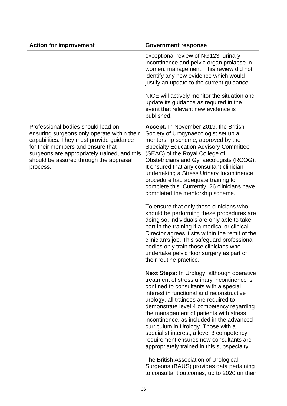| <b>Action for improvement</b>                                                                                                                                                                                                                                             | <b>Government response</b>                                                                                                                                                                                                                                                                                                                                                                                                                                                                                                                        |
|---------------------------------------------------------------------------------------------------------------------------------------------------------------------------------------------------------------------------------------------------------------------------|---------------------------------------------------------------------------------------------------------------------------------------------------------------------------------------------------------------------------------------------------------------------------------------------------------------------------------------------------------------------------------------------------------------------------------------------------------------------------------------------------------------------------------------------------|
|                                                                                                                                                                                                                                                                           | exceptional review of NG123: urinary<br>incontinence and pelvic organ prolapse in<br>women: management. This review did not<br>identify any new evidence which would<br>justify an update to the current guidance.                                                                                                                                                                                                                                                                                                                                |
|                                                                                                                                                                                                                                                                           | NICE will actively monitor the situation and<br>update its guidance as required in the<br>event that relevant new evidence is<br>published.                                                                                                                                                                                                                                                                                                                                                                                                       |
| Professional bodies should lead on<br>ensuring surgeons only operate within their<br>capabilities. They must provide guidance<br>for their members and ensure that<br>surgeons are appropriately trained, and this<br>should be assured through the appraisal<br>process. | Accept. In November 2019, the British<br>Society of Urogynaecologist set up a<br>mentorship scheme, approved by the<br><b>Specialty Education Advisory Committee</b><br>(SEAC) of the Royal College of<br>Obstetricians and Gynaecologists (RCOG).<br>It ensured that any consultant clinician<br>undertaking a Stress Urinary Incontinence<br>procedure had adequate training to<br>complete this. Currently, 26 clinicians have<br>completed the mentorship scheme.                                                                             |
|                                                                                                                                                                                                                                                                           | To ensure that only those clinicians who<br>should be performing these procedures are<br>doing so, individuals are only able to take<br>part in the training if a medical or clinical<br>Director agrees it sits within the remit of the<br>clinician's job. This safeguard professional<br>bodies only train those clinicians who<br>undertake pelvic floor surgery as part of<br>their routine practice.                                                                                                                                        |
|                                                                                                                                                                                                                                                                           | <b>Next Steps: In Urology, although operative</b><br>treatment of stress urinary incontinence is<br>confined to consultants with a special<br>interest in functional and reconstructive<br>urology, all trainees are required to<br>demonstrate level 4 competency regarding<br>the management of patients with stress<br>incontinence, as included in the advanced<br>curriculum in Urology. Those with a<br>specialist interest, a level 3 competency<br>requirement ensures new consultants are<br>appropriately trained in this subspecialty. |
|                                                                                                                                                                                                                                                                           | The British Association of Urological<br>Surgeons (BAUS) provides data pertaining<br>to consultant outcomes, up to 2020 on their                                                                                                                                                                                                                                                                                                                                                                                                                  |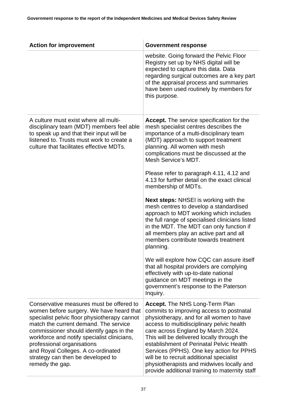| <b>Action for improvement</b>                                                                                                                                                                                                                                                                                                                                                                        | <b>Government response</b>                                                                                                                                                                                                                                                                                                                                                                                                                                                                        |
|------------------------------------------------------------------------------------------------------------------------------------------------------------------------------------------------------------------------------------------------------------------------------------------------------------------------------------------------------------------------------------------------------|---------------------------------------------------------------------------------------------------------------------------------------------------------------------------------------------------------------------------------------------------------------------------------------------------------------------------------------------------------------------------------------------------------------------------------------------------------------------------------------------------|
|                                                                                                                                                                                                                                                                                                                                                                                                      | website. Going forward the Pelvic Floor<br>Registry set up by NHS digital will be<br>expected to capture this data. Data<br>regarding surgical outcomes are a key part<br>of the appraisal process and summaries<br>have been used routinely by members for<br>this purpose.                                                                                                                                                                                                                      |
| A culture must exist where all multi-<br>disciplinary team (MDT) members feel able<br>to speak up and that their input will be<br>listened to. Trusts must work to create a<br>culture that facilitates effective MDTs.                                                                                                                                                                              | <b>Accept.</b> The service specification for the<br>mesh specialist centres describes the<br>importance of a multi-disciplinary team<br>(MDT) approach to support treatment<br>planning. All women with mesh<br>complications must be discussed at the<br>Mesh Service's MDT.<br>Please refer to paragraph 4.11, 4.12 and                                                                                                                                                                         |
|                                                                                                                                                                                                                                                                                                                                                                                                      | 4.13 for further detail on the exact clinical<br>membership of MDTs.                                                                                                                                                                                                                                                                                                                                                                                                                              |
|                                                                                                                                                                                                                                                                                                                                                                                                      | <b>Next steps: NHSEI is working with the</b><br>mesh centres to develop a standardised<br>approach to MDT working which includes<br>the full range of specialised clinicians listed<br>in the MDT. The MDT can only function if<br>all members play an active part and all<br>members contribute towards treatment<br>planning.                                                                                                                                                                   |
|                                                                                                                                                                                                                                                                                                                                                                                                      | We will explore how CQC can assure itself<br>that all hospital providers are complying<br>effectively with up-to-date national<br>guidance on MDT meetings in the<br>government's response to the Paterson<br>Inquiry.                                                                                                                                                                                                                                                                            |
| Conservative measures must be offered to<br>women before surgery. We have heard that<br>specialist pelvic floor physiotherapy cannot<br>match the current demand. The service<br>commissioner should identify gaps in the<br>workforce and notify specialist clinicians,<br>professional organisations<br>and Royal Colleges. A co-ordinated<br>strategy can then be developed to<br>remedy the gap. | <b>Accept.</b> The NHS Long-Term Plan<br>commits to improving access to postnatal<br>physiotherapy, and for all women to have<br>access to multidisciplinary pelvic health<br>care across England by March 2024.<br>This will be delivered locally through the<br>establishment of Perinatal Pelvic Health<br>Services (PPHS). One key action for PPHS<br>will be to recruit additional specialist<br>physiotherapists and midwives locally and<br>provide additional training to maternity staff |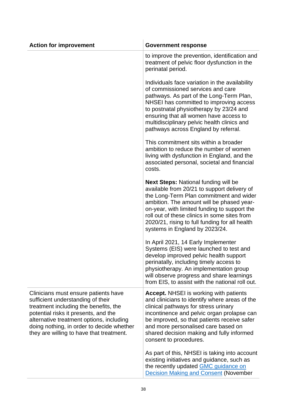| <b>Action for improvement</b>                                                                                                                                                                                                                                                                   | <b>Government response</b>                                                                                                                                                                                                                                                                                                                                             |
|-------------------------------------------------------------------------------------------------------------------------------------------------------------------------------------------------------------------------------------------------------------------------------------------------|------------------------------------------------------------------------------------------------------------------------------------------------------------------------------------------------------------------------------------------------------------------------------------------------------------------------------------------------------------------------|
|                                                                                                                                                                                                                                                                                                 | to improve the prevention, identification and<br>treatment of pelvic floor dysfunction in the<br>perinatal period.                                                                                                                                                                                                                                                     |
|                                                                                                                                                                                                                                                                                                 | Individuals face variation in the availability<br>of commissioned services and care<br>pathways. As part of the Long-Term Plan,<br>NHSEI has committed to improving access<br>to postnatal physiotherapy by 23/24 and<br>ensuring that all women have access to<br>multidisciplinary pelvic health clinics and<br>pathways across England by referral.                 |
|                                                                                                                                                                                                                                                                                                 | This commitment sits within a broader<br>ambition to reduce the number of women<br>living with dysfunction in England, and the<br>associated personal, societal and financial<br>costs.                                                                                                                                                                                |
|                                                                                                                                                                                                                                                                                                 | <b>Next Steps: National funding will be</b><br>available from 20/21 to support delivery of<br>the Long-Term Plan commitment and wider<br>ambition. The amount will be phased year-<br>on-year, with limited funding to support the<br>roll out of these clinics in some sites from<br>2020/21, rising to full funding for all health<br>systems in England by 2023/24. |
|                                                                                                                                                                                                                                                                                                 | In April 2021, 14 Early Implementer<br>Systems (EIS) were launched to test and<br>develop improved pelvic health support<br>perinatally, including timely access to<br>physiotherapy. An implementation group<br>will observe progress and share learnings<br>from EIS, to assist with the national roll out.                                                          |
| Clinicians must ensure patients have<br>sufficient understanding of their<br>treatment including the benefits, the<br>potential risks it presents, and the<br>alternative treatment options, including<br>doing nothing, in order to decide whether<br>they are willing to have that treatment. | <b>Accept.</b> NHSEI is working with patients<br>and clinicians to identify where areas of the<br>clinical pathways for stress urinary<br>incontinence and pelvic organ prolapse can<br>be improved, so that patients receive safer<br>and more personalised care based on<br>shared decision making and fully informed<br>consent to procedures.                      |
|                                                                                                                                                                                                                                                                                                 | As part of this, NHSEI is taking into account<br>existing initiatives and guidance, such as<br>the recently updated <b>GMC</b> guidance on<br><b>Decision Making and Consent (November</b>                                                                                                                                                                             |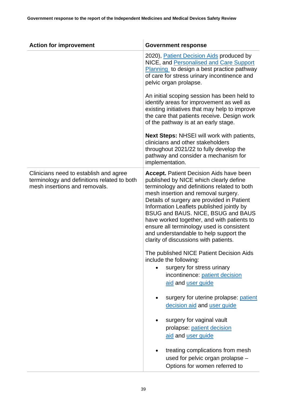| <b>Action for improvement</b>                                                                                          | <b>Government response</b>                                                                                                                                                                                                                                                                                                                                                                                                                                                                    |
|------------------------------------------------------------------------------------------------------------------------|-----------------------------------------------------------------------------------------------------------------------------------------------------------------------------------------------------------------------------------------------------------------------------------------------------------------------------------------------------------------------------------------------------------------------------------------------------------------------------------------------|
|                                                                                                                        | 2020), Patient Decision Aids produced by<br>NICE, and Personalised and Care Support<br>Planning to design a best practice pathway<br>of care for stress urinary incontinence and<br>pelvic organ prolapse.                                                                                                                                                                                                                                                                                    |
|                                                                                                                        | An initial scoping session has been held to<br>identify areas for improvement as well as<br>existing initiatives that may help to improve<br>the care that patients receive. Design work<br>of the pathway is at an early stage.                                                                                                                                                                                                                                                              |
|                                                                                                                        | <b>Next Steps: NHSEI will work with patients,</b><br>clinicians and other stakeholders<br>throughout 2021/22 to fully develop the<br>pathway and consider a mechanism for<br>implementation.                                                                                                                                                                                                                                                                                                  |
| Clinicians need to establish and agree<br>terminology and definitions related to both<br>mesh insertions and removals. | <b>Accept.</b> Patient Decision Aids have been<br>published by NICE which clearly define<br>terminology and definitions related to both<br>mesh insertion and removal surgery.<br>Details of surgery are provided in Patient<br>Information Leaflets published jointly by<br>BSUG and BAUS. NICE, BSUG and BAUS<br>have worked together, and with patients to<br>ensure all terminology used is consistent<br>and understandable to help support the<br>clarity of discussions with patients. |
|                                                                                                                        | The published NICE Patient Decision Aids<br>include the following:<br>surgery for stress urinary<br>incontinence: patient decision<br>aid and user guide                                                                                                                                                                                                                                                                                                                                      |
|                                                                                                                        | surgery for uterine prolapse: patient<br>decision aid and user guide                                                                                                                                                                                                                                                                                                                                                                                                                          |
|                                                                                                                        | surgery for vaginal vault<br>prolapse: patient decision<br>aid and user guide                                                                                                                                                                                                                                                                                                                                                                                                                 |
|                                                                                                                        | treating complications from mesh<br>used for pelvic organ prolapse -<br>Options for women referred to                                                                                                                                                                                                                                                                                                                                                                                         |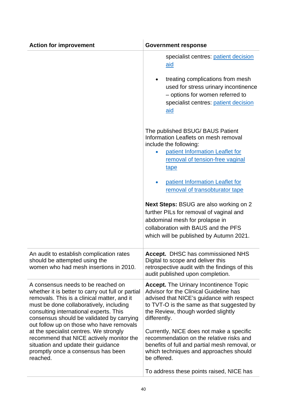| <b>Action for improvement</b>                                                                                                                                                                                                                                                                                        | <b>Government response</b>                                                                                                                                                                                                              |
|----------------------------------------------------------------------------------------------------------------------------------------------------------------------------------------------------------------------------------------------------------------------------------------------------------------------|-----------------------------------------------------------------------------------------------------------------------------------------------------------------------------------------------------------------------------------------|
|                                                                                                                                                                                                                                                                                                                      | specialist centres: patient decision<br><u>aid</u>                                                                                                                                                                                      |
|                                                                                                                                                                                                                                                                                                                      | treating complications from mesh<br>$\bullet$<br>used for stress urinary incontinence<br>- options for women referred to<br>specialist centres: patient decision<br><u>aid</u>                                                          |
|                                                                                                                                                                                                                                                                                                                      | The published BSUG/ BAUS Patient<br>Information Leaflets on mesh removal<br>include the following:<br>patient Information Leaflet for<br>removal of tension-free vaginal<br>tape<br>patient Information Leaflet for<br>$\bullet$        |
|                                                                                                                                                                                                                                                                                                                      | removal of transobturator tape                                                                                                                                                                                                          |
|                                                                                                                                                                                                                                                                                                                      | <b>Next Steps: BSUG are also working on 2</b><br>further PILs for removal of vaginal and<br>abdominal mesh for prolapse in<br>collaboration with BAUS and the PFS<br>which will be published by Autumn 2021.                            |
| An audit to establish complication rates<br>should be attempted using the<br>women who had mesh insertions in 2010.                                                                                                                                                                                                  | <b>Accept.</b> DHSC has commissioned NHS<br>Digital to scope and deliver this<br>retrospective audit with the findings of this<br>audit published upon completion.                                                                      |
| A consensus needs to be reached on<br>whether it is better to carry out full or partial<br>removals. This is a clinical matter, and it<br>must be done collaboratively, including<br>consulting international experts. This<br>consensus should be validated by carrying<br>out follow up on those who have removals | <b>Accept.</b> The Urinary Incontinence Topic<br>Advisor for the Clinical Guideline has<br>advised that NICE's guidance with respect<br>to TVT-O is the same as that suggested by<br>the Review, though worded slightly<br>differently. |
| at the specialist centres. We strongly<br>recommend that NICE actively monitor the<br>situation and update their guidance<br>promptly once a consensus has been<br>reached.                                                                                                                                          | Currently, NICE does not make a specific<br>recommendation on the relative risks and<br>benefits of full and partial mesh removal, or<br>which techniques and approaches should<br>be offered.                                          |
|                                                                                                                                                                                                                                                                                                                      | To address these points raised, NICE has                                                                                                                                                                                                |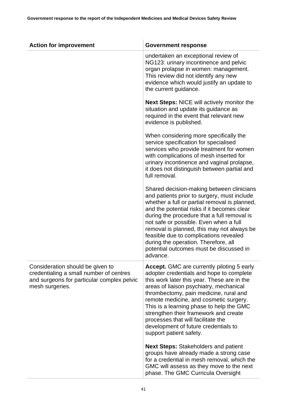| <b>Action for improvement</b>                                                                                                                | <b>Government response</b>                                                                                                                                                                                                                                                                                                                                                                                                                                               |
|----------------------------------------------------------------------------------------------------------------------------------------------|--------------------------------------------------------------------------------------------------------------------------------------------------------------------------------------------------------------------------------------------------------------------------------------------------------------------------------------------------------------------------------------------------------------------------------------------------------------------------|
|                                                                                                                                              | undertaken an exceptional review of<br>NG123: urinary incontinence and pelvic<br>organ prolapse in women: management.<br>This review did not identify any new<br>evidence which would justify an update to<br>the current guidance.                                                                                                                                                                                                                                      |
|                                                                                                                                              | <b>Next Steps: NICE will actively monitor the</b><br>situation and update its guidance as<br>required in the event that relevant new<br>evidence is published.                                                                                                                                                                                                                                                                                                           |
|                                                                                                                                              | When considering more specifically the<br>service specification for specialised<br>services who provide treatment for women<br>with complications of mesh inserted for<br>urinary incontinence and vaginal prolapse,<br>it does not distinguish between partial and<br>full removal.                                                                                                                                                                                     |
|                                                                                                                                              | Shared decision-making between clinicians<br>and patients prior to surgery, must include<br>whether a full or partial removal is planned,<br>and the potential risks if it becomes clear<br>during the procedure that a full removal is<br>not safe or possible. Even when a full<br>removal is planned, this may not always be<br>feasible due to complications revealed<br>during the operation. Therefore, all<br>potential outcomes must be discussed in<br>advance. |
| Consideration should be given to<br>credentialing a small number of centres<br>and surgeons for particular complex pelvic<br>mesh surgeries. | Accept. GMC are currently piloting 5 early<br>adopter credentials and hope to complete<br>this work later this year. These are in the<br>areas of liaison psychiatry, mechanical<br>thrombectomy, pain medicine, rural and<br>remote medicine, and cosmetic surgery.<br>This is a learning phase to help the GMC<br>strengthen their framework and create<br>processes that will facilitate the<br>development of future credentials to<br>support patient safety.       |
|                                                                                                                                              | <b>Next Steps: Stakeholders and patient</b><br>groups have already made a strong case<br>for a credential in mesh removal, which the<br>GMC will assess as they move to the next<br>phase. The GMC Curricula Oversight                                                                                                                                                                                                                                                   |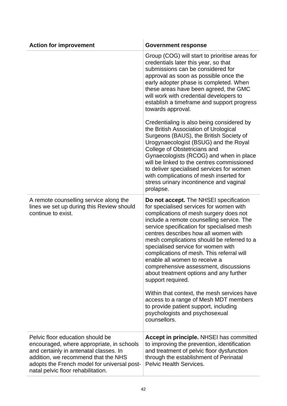| <b>Action for improvement</b>                                                                                                                                                                                                                       | <b>Government response</b>                                                                                                                                                                                                                                                                                                                                                                                                                                                                                                                                                                                                                                                                                                   |
|-----------------------------------------------------------------------------------------------------------------------------------------------------------------------------------------------------------------------------------------------------|------------------------------------------------------------------------------------------------------------------------------------------------------------------------------------------------------------------------------------------------------------------------------------------------------------------------------------------------------------------------------------------------------------------------------------------------------------------------------------------------------------------------------------------------------------------------------------------------------------------------------------------------------------------------------------------------------------------------------|
|                                                                                                                                                                                                                                                     | Group (COG) will start to prioritise areas for<br>credentials later this year, so that<br>submissions can be considered for<br>approval as soon as possible once the<br>early adopter phase is completed. When<br>these areas have been agreed, the GMC<br>will work with credential developers to<br>establish a timeframe and support progress<br>towards approval.                                                                                                                                                                                                                                                                                                                                                        |
|                                                                                                                                                                                                                                                     | Credentialing is also being considered by<br>the British Association of Urological<br>Surgeons (BAUS), the British Society of<br>Urogynaecologist (BSUG) and the Royal<br>College of Obstetricians and<br>Gynaecologists (RCOG) and when in place<br>will be linked to the centres commissioned<br>to deliver specialised services for women<br>with complications of mesh inserted for<br>stress urinary incontinence and vaginal<br>prolapse.                                                                                                                                                                                                                                                                              |
| A remote counselling service along the<br>lines we set up during this Review should<br>continue to exist.                                                                                                                                           | Do not accept. The NHSEI specification<br>for specialised services for women with<br>complications of mesh surgery does not<br>include a remote counselling service. The<br>service specification for specialised mesh<br>centres describes how all women with<br>mesh complications should be referred to a<br>specialised service for women with<br>complications of mesh. This referral will<br>enable all women to receive a<br>comprehensive assessment, discussions<br>about treatment options and any further<br>support required.<br>Within that context, the mesh services have<br>access to a range of Mesh MDT members<br>to provide patient support, including<br>psychologists and psychosexual<br>counsellors. |
|                                                                                                                                                                                                                                                     |                                                                                                                                                                                                                                                                                                                                                                                                                                                                                                                                                                                                                                                                                                                              |
| Pelvic floor education should be<br>encouraged, where appropriate, in schools<br>and certainly in antenatal classes. In<br>addition, we recommend that the NHS<br>adopts the French model for universal post-<br>natal pelvic floor rehabilitation. | Accept in principle. NHSEI has committed<br>to improving the prevention, identification<br>and treatment of pelvic floor dysfunction<br>through the establishment of Perinatal<br><b>Pelvic Health Services.</b>                                                                                                                                                                                                                                                                                                                                                                                                                                                                                                             |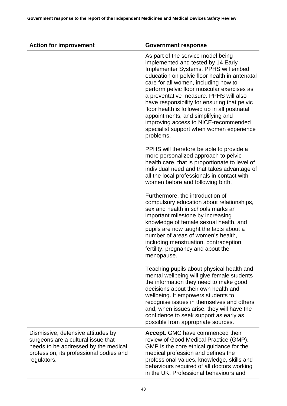| <b>Action for improvement</b>                                                                                                                                              | <b>Government response</b>                                                                                                                                                                                                                                                                                                                                                                                                                                                                                                              |
|----------------------------------------------------------------------------------------------------------------------------------------------------------------------------|-----------------------------------------------------------------------------------------------------------------------------------------------------------------------------------------------------------------------------------------------------------------------------------------------------------------------------------------------------------------------------------------------------------------------------------------------------------------------------------------------------------------------------------------|
|                                                                                                                                                                            | As part of the service model being<br>implemented and tested by 14 Early<br>Implementer Systems, PPHS will embed<br>education on pelvic floor health in antenatal<br>care for all women, including how to<br>perform pelvic floor muscular exercises as<br>a preventative measure. PPHS will also<br>have responsibility for ensuring that pelvic<br>floor health is followed up in all postnatal<br>appointments, and simplifying and<br>improving access to NICE-recommended<br>specialist support when women experience<br>problems. |
|                                                                                                                                                                            | PPHS will therefore be able to provide a<br>more personalized approach to pelvic<br>health care, that is proportionate to level of<br>individual need and that takes advantage of<br>all the local professionals in contact with<br>women before and following birth.                                                                                                                                                                                                                                                                   |
|                                                                                                                                                                            | Furthermore, the introduction of<br>compulsory education about relationships,<br>sex and health in schools marks an<br>important milestone by increasing<br>knowledge of female sexual health, and<br>pupils are now taught the facts about a<br>number of areas of women's health,<br>including menstruation, contraception,<br>fertility, pregnancy and about the<br>menopause.                                                                                                                                                       |
|                                                                                                                                                                            | Teaching pupils about physical health and<br>mental wellbeing will give female students<br>the information they need to make good<br>decisions about their own health and<br>wellbeing. It empowers students to<br>recognise issues in themselves and others<br>and, when issues arise, they will have the<br>confidence to seek support as early as<br>possible from appropriate sources.                                                                                                                                              |
| Dismissive, defensive attitudes by<br>surgeons are a cultural issue that<br>needs to be addressed by the medical<br>profession, its professional bodies and<br>regulators. | Accept. GMC have commenced their<br>review of Good Medical Practice (GMP).<br>GMP is the core ethical guidance for the<br>medical profession and defines the<br>professional values, knowledge, skills and<br>behaviours required of all doctors working<br>in the UK. Professional behaviours and                                                                                                                                                                                                                                      |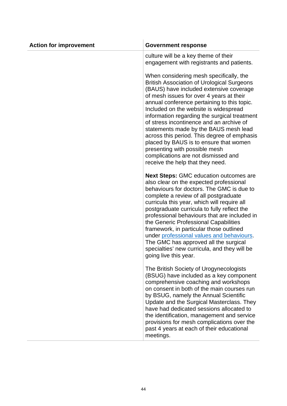| <b>Action for improvement</b> | <b>Government response</b>                                                                                                                                                                                                                                                                                                                                                                                                                                                                                                                                                                                            |
|-------------------------------|-----------------------------------------------------------------------------------------------------------------------------------------------------------------------------------------------------------------------------------------------------------------------------------------------------------------------------------------------------------------------------------------------------------------------------------------------------------------------------------------------------------------------------------------------------------------------------------------------------------------------|
|                               | culture will be a key theme of their<br>engagement with registrants and patients.                                                                                                                                                                                                                                                                                                                                                                                                                                                                                                                                     |
|                               | When considering mesh specifically, the<br><b>British Association of Urological Surgeons</b><br>(BAUS) have included extensive coverage<br>of mesh issues for over 4 years at their<br>annual conference pertaining to this topic.<br>Included on the website is widespread<br>information regarding the surgical treatment<br>of stress incontinence and an archive of<br>statements made by the BAUS mesh lead<br>across this period. This degree of emphasis<br>placed by BAUS is to ensure that women<br>presenting with possible mesh<br>complications are not dismissed and<br>receive the help that they need. |
|                               | <b>Next Steps: GMC education outcomes are</b><br>also clear on the expected professional<br>behaviours for doctors. The GMC is due to<br>complete a review of all postgraduate<br>curricula this year, which will require all<br>postgraduate curricula to fully reflect the<br>professional behaviours that are included in<br>the Generic Professional Capabilities<br>framework, in particular those outlined<br>under professional values and behaviours.<br>The GMC has approved all the surgical<br>specialties' new curricula, and they will be<br>going live this year.                                       |
|                               | The British Society of Urogynecologists<br>(BSUG) have included as a key component<br>comprehensive coaching and workshops<br>on consent in both of the main courses run<br>by BSUG, namely the Annual Scientific<br>Update and the Surgical Masterclass. They<br>have had dedicated sessions allocated to<br>the identification, management and service<br>provisions for mesh complications over the<br>past 4 years at each of their educational<br>meetings.                                                                                                                                                      |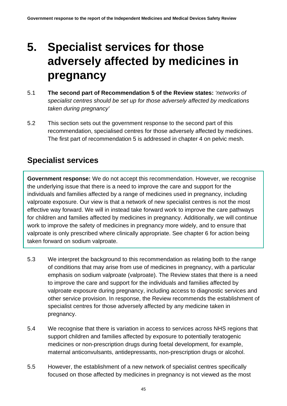# **5. Specialist services for those adversely affected by medicines in pregnancy**

- 5.1 **The second part of Recommendation 5 of the Review states:** *'networks of specialist centres should be set up for those adversely affected by medications taken during pregnancy'*
- 5.2 This section sets out the government response to the second part of this recommendation, specialised centres for those adversely affected by medicines. The first part of recommendation 5 is addressed in chapter 4 on pelvic mesh.

## **Specialist services**

**Government response:** We do not accept this recommendation. However, we recognise the underlying issue that there is a need to improve the care and support for the individuals and families affected by a range of medicines used in pregnancy, including valproate exposure. Our view is that a network of new specialist centres is not the most effective way forward. We will in instead take forward work to improve the care pathways for children and families affected by medicines in pregnancy. Additionally, we will continue work to improve the safety of medicines in pregnancy more widely, and to ensure that valproate is only prescribed where clinically appropriate. See chapter 6 for action being taken forward on sodium valproate.

- 5.3 We interpret the background to this recommendation as relating both to the range of conditions that may arise from use of medicines in pregnancy, with a particular emphasis on sodium valproate (valproate). The Review states that there is a need to improve the care and support for the individuals and families affected by valproate exposure during pregnancy, including access to diagnostic services and other service provision. In response, the Review recommends the establishment of specialist centres for those adversely affected by any medicine taken in pregnancy.
- 5.4 We recognise that there is variation in access to services across NHS regions that support children and families affected by exposure to potentially teratogenic medicines or non-prescription drugs during foetal development, for example, maternal anticonvulsants, antidepressants, non-prescription drugs or alcohol.
- 5.5 However, the establishment of a new network of specialist centres specifically focused on those affected by medicines in pregnancy is not viewed as the most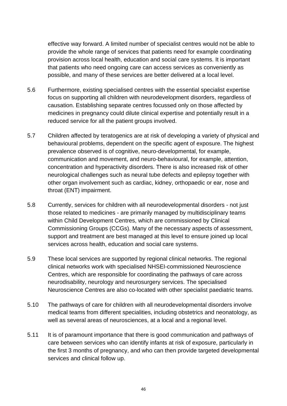effective way forward. A limited number of specialist centres would not be able to provide the whole range of services that patients need for example coordinating provision across local health, education and social care systems. It is important that patients who need ongoing care can access services as conveniently as possible, and many of these services are better delivered at a local level.

- 5.6 Furthermore, existing specialised centres with the essential specialist expertise focus on supporting all children with neurodevelopment disorders, regardless of causation. Establishing separate centres focussed only on those affected by medicines in pregnancy could dilute clinical expertise and potentially result in a reduced service for all the patient groups involved.
- 5.7 Children affected by teratogenics are at risk of developing a variety of physical and behavioural problems, dependent on the specific agent of exposure. The highest prevalence observed is of cognitive, neuro-developmental, for example, communication and movement, and neuro-behavioural, for example, attention, concentration and hyperactivity disorders. There is also increased risk of other neurological challenges such as neural tube defects and epilepsy together with other organ involvement such as cardiac, kidney, orthopaedic or ear, nose and throat (ENT) impairment.
- 5.8 Currently, services for children with all neurodevelopmental disorders not just those related to medicines - are primarily managed by multidisciplinary teams within Child Development Centres, which are commissioned by Clinical Commissioning Groups (CCGs). Many of the necessary aspects of assessment, support and treatment are best managed at this level to ensure joined up local services across health, education and social care systems.
- 5.9 These local services are supported by regional clinical networks. The regional clinical networks work with specialised NHSEI-commissioned Neuroscience Centres, which are responsible for coordinating the pathways of care across neurodisability, neurology and neurosurgery services. The specialised Neuroscience Centres are also co-located with other specialist paediatric teams.
- 5.10 The pathways of care for children with all neurodevelopmental disorders involve medical teams from different specialities, including obstetrics and neonatology, as well as several areas of neurosciences, at a local and a regional level.
- 5.11 It is of paramount importance that there is good communication and pathways of care between services who can identify infants at risk of exposure, particularly in the first 3 months of pregnancy, and who can then provide targeted developmental services and clinical follow up.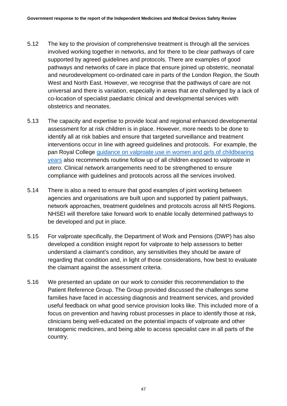- 5.12 The key to the provision of comprehensive treatment is through all the services involved working together in networks, and for there to be clear pathways of care supported by agreed guidelines and protocols. There are examples of good pathways and networks of care in place that ensure joined up obstetric, neonatal and neurodevelopment co-ordinated care in parts of the London Region, the South West and North East. However, we recognise that the pathways of care are not universal and there is variation, especially in areas that are challenged by a lack of co-location of specialist paediatric clinical and developmental services with obstetrics and neonates.
- 5.13 The capacity and expertise to provide local and regional enhanced developmental assessment for at risk children is in place. However, more needs to be done to identify all at risk babies and ensure that targeted surveillance and treatment interventions occur in line with agreed guidelines and protocols. For example, the pan Royal College [guidance on valproate use in women and girls of childbearing](https://www.rcgp.org.uk/clinical-and-research/resources/a-to-z-clinical-resources/valproate.aspx)  [years](https://www.rcgp.org.uk/clinical-and-research/resources/a-to-z-clinical-resources/valproate.aspx) also recommends routine follow up of all children exposed to valproate in utero. Clinical network arrangements need to be strengthened to ensure compliance with guidelines and protocols across all the services involved.
- 5.14 There is also a need to ensure that good examples of joint working between agencies and organisations are built upon and supported by patient pathways, network approaches, treatment guidelines and protocols across all NHS Regions. NHSEI will therefore take forward work to enable locally determined pathways to be developed and put in place.
- 5.15 For valproate specifically, the Department of Work and Pensions (DWP) has also developed a condition insight report for valproate to help assessors to better understand a claimant's condition, any sensitivities they should be aware of regarding that condition and, in light of those considerations, how best to evaluate the claimant against the assessment criteria.
- 5.16 We presented an update on our work to consider this recommendation to the Patient Reference Group. The Group provided discussed the challenges some families have faced in accessing diagnosis and treatment services, and provided useful feedback on what good service provision looks like. This included more of a focus on prevention and having robust processes in place to identify those at risk, clinicians being well-educated on the potential impacts of valproate and other teratogenic medicines, and being able to access specialist care in all parts of the country.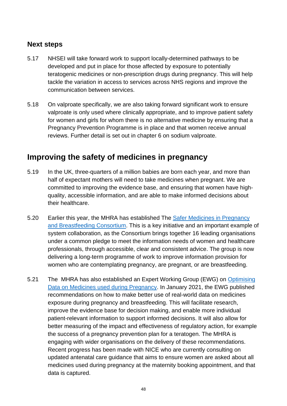#### **Next steps**

- 5.17 NHSEI will take forward work to support locally-determined pathways to be developed and put in place for those affected by exposure to potentially teratogenic medicines or non-prescription drugs during pregnancy. This will help tackle the variation in access to services across NHS regions and improve the communication between services.
- 5.18 On valproate specifically, we are also taking forward significant work to ensure valproate is only used where clinically appropriate, and to improve patient safety for women and girls for whom there is no alternative medicine by ensuring that a Pregnancy Prevention Programme is in place and that women receive annual reviews. Further detail is set out in chapter 6 on sodium valproate.

## **Improving the safety of medicines in pregnancy**

- 5.19 In the UK, three-quarters of a million babies are born each year, and more than half of expectant mothers will need to take medicines when pregnant. We are committed to improving the evidence base, and ensuring that women have highquality, accessible information, and are able to make informed decisions about their healthcare.
- 5.20 Earlier this year, the MHRA has established The Safer Medicines in Pregnancy [and Breastfeeding Consortium.](https://www.gov.uk/government/publications/safer-medicines-in-pregnancy-and-breastfeeding-consortium) This is a key initiative and an important example of system collaboration, as the Consortium brings together 16 leading organisations under a common pledge to meet the information needs of women and healthcare professionals, through accessible, clear and consistent advice. The group is now delivering a long-term programme of work to improve information provision for women who are contemplating pregnancy, are pregnant, or are breastfeeding.
- 5.21 The MHRA has also established an Expert Working Group (EWG) on Optimising [Data on Medicines used during Pregnancy.](https://www.gov.uk/government/publications/report-of-the-commission-on-human-medicines-expert-working-group-on-optimising-data-on-medicines-used-during-pregnancy) In January 2021, the EWG published recommendations on how to make better use of real-world data on medicines exposure during pregnancy and breastfeeding. This will facilitate research, improve the evidence base for decision making, and enable more individual patient-relevant information to support informed decisions. It will also allow for better measuring of the impact and effectiveness of regulatory action, for example the success of a pregnancy prevention plan for a teratogen. The MHRA is engaging with wider organisations on the delivery of these recommendations. Recent progress has been made with NICE who are currently consulting on updated antenatal care guidance that aims to ensure women are asked about all medicines used during pregnancy at the maternity booking appointment, and that data is captured.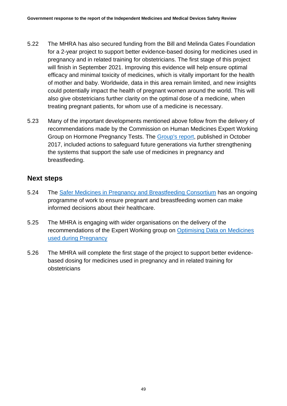- 5.22 The MHRA has also secured funding from the Bill and Melinda Gates Foundation for a 2-year project to support better evidence-based dosing for medicines used in pregnancy and in related training for obstetricians. The first stage of this project will finish in September 2021. Improving this evidence will help ensure optimal efficacy and minimal toxicity of medicines, which is vitally important for the health of mother and baby. Worldwide, data in this area remain limited, and new insights could potentially impact the health of pregnant women around the world. This will also give obstetricians further clarity on the optimal dose of a medicine, when treating pregnant patients, for whom use of a medicine is necessary.
- 5.23 Many of the important developments mentioned above follow from the delivery of recommendations made by the Commission on Human Medicines Expert Working Group on Hormone Pregnancy Tests. The **Group's report**, published in October 2017, included actions to safeguard future generations via further strengthening the systems that support the safe use of medicines in pregnancy and breastfeeding.

#### **Next steps**

- 5.24 The [Safer Medicines in Pregnancy and Breastfeeding Consortium](https://www.gov.uk/government/publications/safer-medicines-in-pregnancy-and-breastfeeding-consortium) has an ongoing programme of work to ensure pregnant and breastfeeding women can make informed decisions about their healthcare.
- 5.25 The MHRA is engaging with wider organisations on the delivery of the recommendations of the Expert Working group on [Optimising Data on Medicines](https://www.gov.uk/government/publications/report-of-the-commission-on-human-medicines-expert-working-group-on-optimising-data-on-medicines-used-during-pregnancy)  [used during Pregnancy](https://www.gov.uk/government/publications/report-of-the-commission-on-human-medicines-expert-working-group-on-optimising-data-on-medicines-used-during-pregnancy)
- 5.26 The MHRA will complete the first stage of the project to support better evidencebased dosing for medicines used in pregnancy and in related training for obstetricians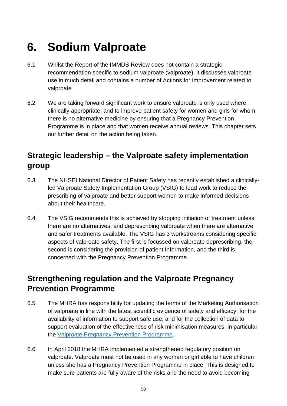# **6. Sodium Valproate**

- 6.1 Whilst the Report of the IMMDS Review does not contain a strategic recommendation specific to sodium valproate (valproate), it discusses valproate use in much detail and contains a number of Actions for Improvement related to valproate
- 6.2 We are taking forward significant work to ensure valproate is only used where clinically appropriate, and to improve patient safety for women and girls for whom there is no alternative medicine by ensuring that a Pregnancy Prevention Programme is in place and that women receive annual reviews. This chapter sets out further detail on the action being taken.

# **Strategic leadership – the Valproate safety implementation group**

- 6.3 The NHSEI National Director of Patient Safety has recently established a clinicallyled Valproate Safety Implementation Group (VSIG) to lead work to reduce the prescribing of valproate and better support women to make informed decisions about their healthcare.
- 6.4 The VSIG recommends this is achieved by stopping initiation of treatment unless there are no alternatives, and deprescribing valproate when there are alternative and safer treatments available. The VSIG has 3 workstreams considering specific aspects of valproate safety. The first is focussed on valproate deprescribing, the second is considering the provision of patient Information, and the third is concerned with the Pregnancy Prevention Programme.

# **Strengthening regulation and the Valproate Pregnancy Prevention Programme**

- 6.5 The MHRA has responsibility for updating the terms of the Marketing Authorisation of valproate in line with the latest scientific evidence of safety and efficacy; for the availability of information to support safe use; and for the collection of data to support evaluation of the effectiveness of risk minimisation measures, in particular the [Valproate Pregnancy Prevention Programme.](https://www.gov.uk/drug-safety-update/valproate-pregnancy-prevention-programme-actions-required-now-from-gps-specialists-and-dispensers)
- 6.6 In April 2018 the MHRA implemented a strengthened regulatory position on valproate. Valproate must not be used in any woman or girl able to have children unless she has a Pregnancy Prevention Programme in place. This is designed to make sure patients are fully aware of the risks and the need to avoid becoming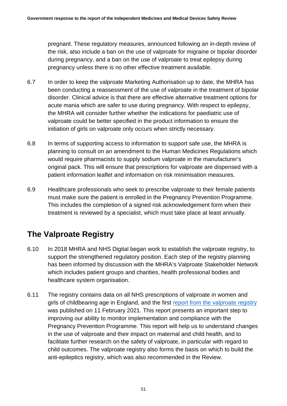pregnant. These regulatory measures, announced following an in-depth review of the risk, also include a ban on the use of valproate for migraine or bipolar disorder during pregnancy, and a ban on the use of valproate to treat epilepsy during pregnancy unless there is no other effective treatment available.

- 6.7 In order to keep the valproate Marketing Authorisation up to date, the MHRA has been conducting a reassessment of the use of valproate in the treatment of bipolar disorder. Clinical advice is that there are effective alternative treatment options for acute mania which are safer to use during pregnancy. With respect to epilepsy, the MHRA will consider further whether the indications for paediatric use of valproate could be better specified in the product information to ensure the initiation of girls on valproate only occurs when strictly necessary.
- 6.8 In terms of supporting access to information to support safe use, the MHRA is planning to consult on an amendment to the Human Medicines Regulations which would require pharmacists to supply sodium valproate in the manufacturer's original pack. This will ensure that prescriptions for valproate are dispensed with a patient information leaflet and information on risk minimisation measures.
- 6.9 Healthcare professionals who seek to prescribe valproate to their female patients must make sure the patient is enrolled in the Pregnancy Prevention Programme. This includes the completion of a signed risk acknowledgement form when their treatment is reviewed by a specialist, which must take place at least annually.

# **The Valproate Registry**

- 6.10 In 2018 MHRA and NHS Digital began work to establish the valproate registry, to support the strengthened regulatory position. Each step of the registry planning has been informed by discussion with the MHRA's Valproate Stakeholder Network which includes patient groups and charities, health professional bodies and healthcare system organisation.
- 6.11 The registry contains data on all NHS prescriptions of valproate in women and girls of childbearing age in England, and the first [report from the valproate registry](https://digital.nhs.uk/data-and-information/publications/statistical/mi-medicines-in-pregnancy-registry/valproate-use-in-females-aged-0-to-54-in-england-april-2018-to-september-2020) was published on 11 February 2021. This report presents an important step to improving our ability to monitor implementation and compliance with the Pregnancy Prevention Programme. This report will help us to understand changes in the use of valproate and their impact on maternal and child health, and to facilitate further research on the safety of valproate, in particular with regard to child outcomes. The valproate registry also forms the basis on which to build the anti-epileptics registry, which was also recommended in the Review.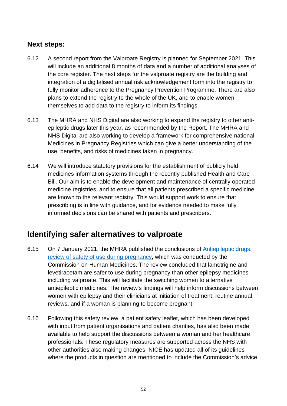#### **Next steps:**

- 6.12 A second report from the Valproate Registry is planned for September 2021. This will include an additional 8 months of data and a number of additional analyses of the core register. The next steps for the valproate registry are the building and integration of a digitalised annual risk acknowledgement form into the registry to fully monitor adherence to the Pregnancy Prevention Programme. There are also plans to extend the registry to the whole of the UK, and to enable women themselves to add data to the registry to inform its findings.
- 6.13 The MHRA and NHS Digital are also working to expand the registry to other antiepileptic drugs later this year, as recommended by the Report. The MHRA and NHS Digital are also working to develop a framework for comprehensive national Medicines in Pregnancy Registries which can give a better understanding of the use, benefits, and risks of medicines taken in pregnancy.
- 6.14 We will introduce statutory provisions for the establishment of publicly held medicines information systems through the recently published Health and Care Bill. Our aim is to enable the development and maintenance of centrally operated medicine registries, and to ensure that all patients prescribed a specific medicine are known to the relevant registry. This would support work to ensure that prescribing is in line with guidance, and for evidence needed to make fully informed decisions can be shared with patients and prescribers.

## **Identifying safer alternatives to valproate**

- 6.15 On 7 January 2021, the MHRA published the conclusions of [Antiepileptic drugs:](https://www.gov.uk/government/publications/public-assesment-report-of-antiepileptic-drugs-review-of-safety-of-use-during-pregnancy/antiepileptic-drugs-review-of-safety-of-use-during-pregnancy)  [review of safety of use during pregnancy,](https://www.gov.uk/government/publications/public-assesment-report-of-antiepileptic-drugs-review-of-safety-of-use-during-pregnancy/antiepileptic-drugs-review-of-safety-of-use-during-pregnancy) which was conducted by the Commission on Human Medicines. The review concluded that lamotrigine and levetiracetam are safer to use during pregnancy than other epilepsy medicines including valproate. This will facilitate the switching women to alternative antiepileptic medicines. The review's findings will help inform discussions between women with epilepsy and their clinicians at initiation of treatment, routine annual reviews, and if a woman is planning to become pregnant.
- 6.16 Following this safety review, a patient safety leaflet, which has been developed with input from patient organisations and patient charities, has also been made available to help support the discussions between a woman and her healthcare professionals. These regulatory measures are supported across the NHS with other authorities also making changes. NICE has updated all of its guidelines where the products in question are mentioned to include the Commission's advice.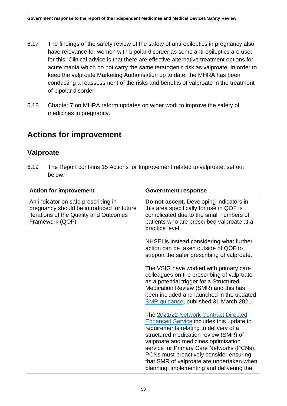- 6.17 The findings of the safety review of the safety of anti-epileptics in pregnancy also have relevance for women with bipolar disorder as some anti-epileptics are used for this. Clinical advice is that there are effective alternative treatment options for acute mania which do not carry the same teratogenic risk as valproate. In order to keep the valproate Marketing Authorisation up to date, the MHRA has been conducting a reassessment of the risks and benefits of valproate in the treatment of bipolar disorder
- 6.18 Chapter 7 on MHRA reform updates on wider work to improve the safety of medicines in pregnancy.

# **Actions for improvement**

### **Valproate**

6.19 The Report contains 15 Actions for Improvement related to valproate, set out below:

| <b>Action for improvement</b>                                                                                                                  | <b>Government response</b>                                                                                                                                                                                                                                                                                                                                                                            |
|------------------------------------------------------------------------------------------------------------------------------------------------|-------------------------------------------------------------------------------------------------------------------------------------------------------------------------------------------------------------------------------------------------------------------------------------------------------------------------------------------------------------------------------------------------------|
| An indicator on safe prescribing in<br>pregnancy should be introduced for future<br>iterations of the Quality and Outcomes<br>Framework (QOF). | Do not accept. Developing indicators in<br>this area specifically for use in QOF is<br>complicated due to the small numbers of<br>patients who are prescribed valproate at a<br>practice level.                                                                                                                                                                                                       |
|                                                                                                                                                | NHSEI is instead considering what further<br>action can be taken outside of QOF to<br>support the safer prescribing of valproate.                                                                                                                                                                                                                                                                     |
|                                                                                                                                                | The VSIG have worked with primary care<br>colleagues on the prescribing of valproate<br>as a potential trigger for a Structured<br>Medication Review (SMR) and this has<br>been included and launched in the updated<br>SMR guidance, published 31 March 2021.                                                                                                                                        |
|                                                                                                                                                | The 2021/22 Network Contract Directed<br><b>Enhanced Service includes this update to</b><br>requirements relating to delivery of a<br>structured medication review (SMR) of<br>valproate and medicines optimisation<br>service for Primary Care Networks (PCNs).<br>PCNs must proactively consider ensuring<br>that SMR of valproate are undertaken when<br>planning, implementing and delivering the |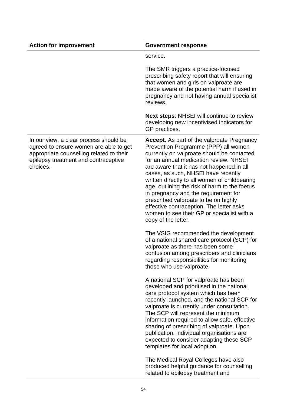| <b>Action for improvement</b>                                                                                                                                                    | <b>Government response</b>                                                                                                                                                                                                                                                                                                                                                                                                                                                                                                                                               |
|----------------------------------------------------------------------------------------------------------------------------------------------------------------------------------|--------------------------------------------------------------------------------------------------------------------------------------------------------------------------------------------------------------------------------------------------------------------------------------------------------------------------------------------------------------------------------------------------------------------------------------------------------------------------------------------------------------------------------------------------------------------------|
|                                                                                                                                                                                  | service.                                                                                                                                                                                                                                                                                                                                                                                                                                                                                                                                                                 |
|                                                                                                                                                                                  | The SMR triggers a practice-focused<br>prescribing safety report that will ensuring<br>that women and girls on valproate are<br>made aware of the potential harm if used in<br>pregnancy and not having annual specialist<br>reviews.                                                                                                                                                                                                                                                                                                                                    |
|                                                                                                                                                                                  | <b>Next steps: NHSEI will continue to review</b><br>developing new incentivised indicators for<br>GP practices.                                                                                                                                                                                                                                                                                                                                                                                                                                                          |
| In our view, a clear process should be<br>agreed to ensure women are able to get<br>appropriate counselling related to their<br>epilepsy treatment and contraceptive<br>choices. | <b>Accept.</b> As part of the valproate Pregnancy<br>Prevention Programme (PPP) all women<br>currently on valproate should be contacted<br>for an annual medication review. NHSEI<br>are aware that it has not happened in all<br>cases, as such, NHSEI have recently<br>written directly to all women of childbearing<br>age, outlining the risk of harm to the foetus<br>in pregnancy and the requirement for<br>prescribed valproate to be on highly<br>effective contraception. The letter asks<br>women to see their GP or specialist with a<br>copy of the letter. |
|                                                                                                                                                                                  | The VSIG recommended the development<br>of a national shared care protocol (SCP) for<br>valproate as there has been some<br>confusion among prescribers and clinicians<br>regarding responsibilities for monitoring<br>those who use valproate.                                                                                                                                                                                                                                                                                                                          |
|                                                                                                                                                                                  | A national SCP for valproate has been<br>developed and prioritised in the national<br>care protocol system which has been<br>recently launched, and the national SCP for<br>valproate is currently under consultation.<br>The SCP will represent the minimum<br>information required to allow safe, effective<br>sharing of prescribing of valproate. Upon<br>publication, individual organisations are<br>expected to consider adapting these SCP<br>templates for local adoption.                                                                                      |
|                                                                                                                                                                                  | The Medical Royal Colleges have also<br>produced helpful guidance for counselling<br>related to epilepsy treatment and                                                                                                                                                                                                                                                                                                                                                                                                                                                   |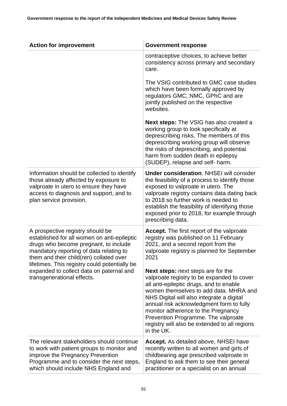| <b>Action for improvement</b>                                                                                                                                                                                                                                                                                                             | <b>Government response</b>                                                                                                                                                                                                                                                                                                                                                                                                                                                                                                                                                                                  |
|-------------------------------------------------------------------------------------------------------------------------------------------------------------------------------------------------------------------------------------------------------------------------------------------------------------------------------------------|-------------------------------------------------------------------------------------------------------------------------------------------------------------------------------------------------------------------------------------------------------------------------------------------------------------------------------------------------------------------------------------------------------------------------------------------------------------------------------------------------------------------------------------------------------------------------------------------------------------|
|                                                                                                                                                                                                                                                                                                                                           | contraceptive choices, to achieve better<br>consistency across primary and secondary<br>care.                                                                                                                                                                                                                                                                                                                                                                                                                                                                                                               |
|                                                                                                                                                                                                                                                                                                                                           | The VSIG contributed to GMC case studies<br>which have been formally approved by<br>regulators GMC, NMC, GPhC and are<br>jointly published on the respective<br>websites.                                                                                                                                                                                                                                                                                                                                                                                                                                   |
|                                                                                                                                                                                                                                                                                                                                           | <b>Next steps:</b> The VSIG has also created a<br>working group to look specifically at<br>deprescribing risks. The members of this<br>deprescribing working group will observe<br>the risks of deprescribing, and potential<br>harm from sudden death in epilepsy<br>(SUDEP), relapse and self- harm.                                                                                                                                                                                                                                                                                                      |
| Information should be collected to identify<br>those already affected by exposure to<br>valproate in utero to ensure they have<br>access to diagnosis and support, and to<br>plan service provision.                                                                                                                                      | <b>Under consideration. NHSEI will consider</b><br>the feasibility of a process to identify those<br>exposed to valproate in utero. The<br>valproate registry contains data dating back<br>to 2018 so further work is needed to<br>establish the feasibility of identifying those<br>exposed prior to 2018, for example through<br>prescribing data.                                                                                                                                                                                                                                                        |
| A prospective registry should be<br>established for all women on anti-epileptic<br>drugs who become pregnant, to include<br>mandatory reporting of data relating to<br>them and their child(ren) collated over<br>lifetimes. This registry could potentially be<br>expanded to collect data on paternal and<br>transgenerational effects. | <b>Accept.</b> The first report of the valproate<br>registry was published on 11 February<br>2021, and a second report from the<br>valproate registry is planned for September<br>2021<br><b>Next steps:</b> next steps are for the<br>valproate registry to be expanded to cover<br>all anti-epileptic drugs, and to enable<br>women themselves to add data. MHRA and<br>NHS Digital will also integrate a digital<br>annual risk acknowledgment form to fully<br>monitor adherence to the Pregnancy<br>Prevention Programme. The valproate<br>registry will also be extended to all regions<br>in the UK. |
| The relevant stakeholders should continue<br>to work with patient groups to monitor and<br>improve the Pregnancy Prevention<br>Programme and to consider the next steps,<br>which should include NHS England and                                                                                                                          | <b>Accept.</b> As detailed above, NHSEI have<br>recently written to all women and girls of<br>childbearing age prescribed valproate in<br>England to ask them to see their general<br>practitioner or a specialist on an annual                                                                                                                                                                                                                                                                                                                                                                             |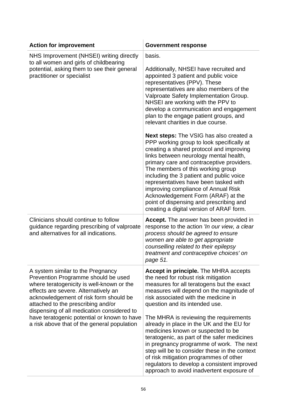| <b>Action for improvement</b>                                                                                                                                                                                                                                                               | <b>Government response</b>                                                                                                                                                                                                                                                                                                                                                                                                                                                                                                   |
|---------------------------------------------------------------------------------------------------------------------------------------------------------------------------------------------------------------------------------------------------------------------------------------------|------------------------------------------------------------------------------------------------------------------------------------------------------------------------------------------------------------------------------------------------------------------------------------------------------------------------------------------------------------------------------------------------------------------------------------------------------------------------------------------------------------------------------|
| NHS Improvement (NHSEI) writing directly<br>to all women and girls of childbearing<br>potential, asking them to see their general<br>practitioner or specialist                                                                                                                             | basis.<br>Additionally, NHSEI have recruited and<br>appointed 3 patient and public voice<br>representatives (PPV). These<br>representatives are also members of the<br>Valproate Safety Implementation Group.<br>NHSEI are working with the PPV to<br>develop a communication and engagement<br>plan to the engage patient groups, and<br>relevant charities in due course.                                                                                                                                                  |
|                                                                                                                                                                                                                                                                                             | <b>Next steps:</b> The VSIG has also created a<br>PPP working group to look specifically at<br>creating a shared protocol and improving<br>links between neurology mental health,<br>primary care and contraceptive providers.<br>The members of this working group<br>including the 3 patient and public voice<br>representatives have been tasked with<br>improving compliance of Annual Risk<br>Acknowledgement Form (ARAF) at the<br>point of dispensing and prescribing and<br>creating a digital version of ARAF form. |
| Clinicians should continue to follow<br>guidance regarding prescribing of valproate<br>and alternatives for all indications.                                                                                                                                                                | Accept. The answer has been provided in<br>response to the action 'In our view, a clear<br>process should be agreed to ensure<br>women are able to get appropriate<br>counselling related to their epilepsy<br>treatment and contraceptive choices' on<br>page 51.                                                                                                                                                                                                                                                           |
| A system similar to the Pregnancy<br>Prevention Programme should be used<br>where teratogenicity is well-known or the<br>effects are severe. Alternatively an<br>acknowledgement of risk form should be<br>attached to the prescribing and/or<br>dispensing of all medication considered to | <b>Accept in principle.</b> The MHRA accepts<br>the need for robust risk mitigation<br>measures for all teratogens but the exact<br>measures will depend on the magnitude of<br>risk associated with the medicine in<br>question and its intended use.                                                                                                                                                                                                                                                                       |
| have teratogenic potential or known to have<br>a risk above that of the general population                                                                                                                                                                                                  | The MHRA is reviewing the requirements<br>already in place in the UK and the EU for<br>medicines known or suspected to be<br>teratogenic, as part of the safer medicines<br>in pregnancy programme of work. The next<br>step will be to consider these in the context<br>of risk mitigation programmes of other<br>regulators to develop a consistent improved<br>approach to avoid inadvertent exposure of                                                                                                                  |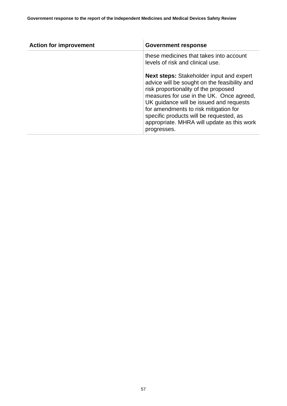| <b>Action for improvement</b> | <b>Government response</b>                                                                                                                                                                                                                                                                                                                                                      |
|-------------------------------|---------------------------------------------------------------------------------------------------------------------------------------------------------------------------------------------------------------------------------------------------------------------------------------------------------------------------------------------------------------------------------|
|                               | these medicines that takes into account<br>levels of risk and clinical use.                                                                                                                                                                                                                                                                                                     |
|                               | <b>Next steps:</b> Stakeholder input and expert<br>advice will be sought on the feasibility and<br>risk proportionality of the proposed<br>measures for use in the UK. Once agreed,<br>UK guidance will be issued and requests<br>for amendments to risk mitigation for<br>specific products will be requested, as<br>appropriate. MHRA will update as this work<br>progresses. |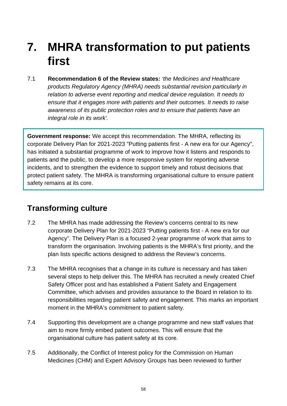# **7. MHRA transformation to put patients first**

7.1 **Recommendation 6 of the Review states:** *'the Medicines and Healthcare products Regulatory Agency (MHRA) needs substantial revision particularly in relation to adverse event reporting and medical device regulation. It needs to ensure that it engages more with patients and their outcomes. It needs to raise awareness of its public protection roles and to ensure that patients have an integral role in its work'.*

**Government response:** We accept this recommendation. The MHRA, reflecting its corporate Delivery Plan for 2021-2023 "Putting patients first - A new era for our Agency", has initiated a substantial programme of work to improve how it listens and responds to patients and the public, to develop a more responsive system for reporting adverse incidents, and to strengthen the evidence to support timely and robust decisions that protect patient safety. The MHRA is transforming organisational culture to ensure patient safety remains at its core.

## **Transforming culture**

- 7.2 The MHRA has made addressing the Review's concerns central to its new corporate Delivery Plan for 2021-2023 "Putting patients first - A new era for our Agency". The Delivery Plan is a focused 2-year programme of work that aims to transform the organisation. Involving patients is the MHRA's first priority, and the plan lists specific actions designed to address the Review's concerns.
- 7.3 The MHRA recognises that a change in its culture is necessary and has taken several steps to help deliver this. The MHRA has recruited a newly created Chief Safety Officer post and has established a Patient Safety and Engagement Committee, which advises and provides assurance to the Board in relation to its responsibilities regarding patient safety and engagement. This marks an important moment in the MHRA's commitment to patient safety.
- 7.4 Supporting this development are a change programme and new staff values that aim to more firmly embed patient outcomes. This will ensure that the organisational culture has patient safety at its core.
- 7.5 Additionally, the Conflict of Interest policy for the Commission on Human Medicines (CHM) and Expert Advisory Groups has been reviewed to further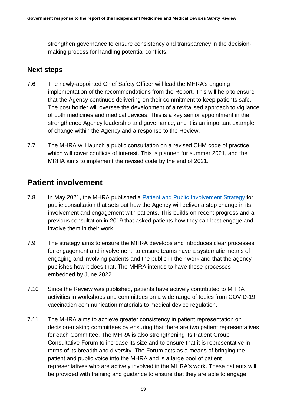strengthen governance to ensure consistency and transparency in the decisionmaking process for handling potential conflicts.

#### **Next steps**

- 7.6 The newly-appointed Chief Safety Officer will lead the MHRA's ongoing implementation of the recommendations from the Report. This will help to ensure that the Agency continues delivering on their commitment to keep patients safe. The post holder will oversee the development of a revitalised approach to vigilance of both medicines and medical devices. This is a key senior appointment in the strengthened Agency leadership and governance, and it is an important example of change within the Agency and a response to the Review.
- 7.7 The MHRA will launch a public consultation on a revised CHM code of practice, which will cover conflicts of interest. This is planned for summer 2021, and the MRHA aims to implement the revised code by the end of 2021.

## **Patient involvement**

- 7.8 In May 2021, the MHRA published a [Patient and Public Involvement Strategy](https://www.gov.uk/government/consultations/mhra-patient-involvement-strategy-consultation/proposed-patient-and-public-involvement-strategy-2020-25) for public consultation that sets out how the Agency will deliver a step change in its involvement and engagement with patients. This builds on recent progress and a previous consultation in 2019 that asked patients how they can best engage and involve them in their work.
- 7.9 The strategy aims to ensure the MHRA develops and introduces clear processes for engagement and involvement, to ensure teams have a systematic means of engaging and involving patients and the public in their work and that the agency publishes how it does that. The MHRA intends to have these processes embedded by June 2022.
- 7.10 Since the Review was published, patients have actively contributed to MHRA activities in workshops and committees on a wide range of topics from COVID-19 vaccination communication materials to medical device regulation.
- 7.11 The MHRA aims to achieve greater consistency in patient representation on decision-making committees by ensuring that there are two patient representatives for each Committee. The MHRA is also strengthening its Patient Group Consultative Forum to increase its size and to ensure that it is representative in terms of its breadth and diversity. The Forum acts as a means of bringing the patient and public voice into the MHRA and is a large pool of patient representatives who are actively involved in the MHRA's work. These patients will be provided with training and guidance to ensure that they are able to engage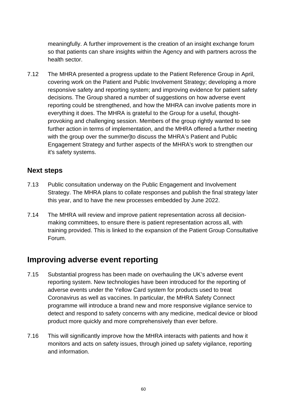meaningfully. A further improvement is the creation of an insight exchange forum so that patients can share insights within the Agency and with partners across the health sector.

7.12 The MHRA presented a progress update to the Patient Reference Group in April, covering work on the Patient and Public Involvement Strategy; developing a more responsive safety and reporting system; and improving evidence for patient safety decisions. The Group shared a number of suggestions on how adverse event reporting could be strengthened, and how the MHRA can involve patients more in everything it does. The MHRA is grateful to the Group for a useful, thoughtprovoking and challenging session. Members of the group rightly wanted to see further action in terms of implementation, and the MHRA offered a further meeting with the group over the summer]to discuss the MHRA's Patient and Public Engagement Strategy and further aspects of the MHRA's work to strengthen our it's safety systems.

#### **Next steps**

- 7.13 Public consultation underway on the Public Engagement and Involvement Strategy. The MHRA plans to collate responses and publish the final strategy later this year, and to have the new processes embedded by June 2022.
- 7.14 The MHRA will review and improve patient representation across all decisionmaking committees, to ensure there is patient representation across all, with training provided. This is linked to the expansion of the Patient Group Consultative Forum.

## **Improving adverse event reporting**

- 7.15 Substantial progress has been made on overhauling the UK's adverse event reporting system. New technologies have been introduced for the reporting of adverse events under the Yellow Card system for products used to treat Coronavirus as well as vaccines. In particular, the MHRA Safety Connect programme will introduce a brand new and more responsive vigilance service to detect and respond to safety concerns with any medicine, medical device or blood product more quickly and more comprehensively than ever before.
- 7.16 This will significantly improve how the MHRA interacts with patients and how it monitors and acts on safety issues, through joined up safety vigilance, reporting and information.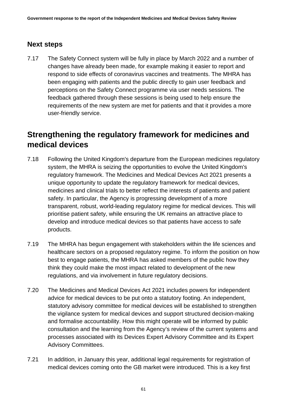#### **Next steps**

7.17 The Safety Connect system will be fully in place by March 2022 and a number of changes have already been made, for example making it easier to report and respond to side effects of coronavirus vaccines and treatments. The MHRA has been engaging with patients and the public directly to gain user feedback and perceptions on the Safety Connect programme via user needs sessions. The feedback gathered through these sessions is being used to help ensure the requirements of the new system are met for patients and that it provides a more user-friendly service.

## **Strengthening the regulatory framework for medicines and medical devices**

- 7.18 Following the United Kingdom's departure from the European medicines regulatory system, the MHRA is seizing the opportunities to evolve the United Kingdom's regulatory framework. The Medicines and Medical Devices Act 2021 presents a unique opportunity to update the regulatory framework for medical devices, medicines and clinical trials to better reflect the interests of patients and patient safety. In particular, the Agency is progressing development of a more transparent, robust, world-leading regulatory regime for medical devices. This will prioritise patient safety, while ensuring the UK remains an attractive place to develop and introduce medical devices so that patients have access to safe products.
- 7.19 The MHRA has begun engagement with stakeholders within the life sciences and healthcare sectors on a proposed regulatory regime. To inform the position on how best to engage patients, the MHRA has asked members of the public how they think they could make the most impact related to development of the new regulations, and via involvement in future regulatory decisions.
- 7.20 The Medicines and Medical Devices Act 2021 includes powers for independent advice for medical devices to be put onto a statutory footing. An independent, statutory advisory committee for medical devices will be established to strengthen the vigilance system for medical devices and support structured decision-making and formalise accountability. How this might operate will be informed by public consultation and the learning from the Agency's review of the current systems and processes associated with its Devices Expert Advisory Committee and its Expert Advisory Committees.
- 7.21 In addition, in January this year, additional legal requirements for registration of medical devices coming onto the GB market were introduced. This is a key first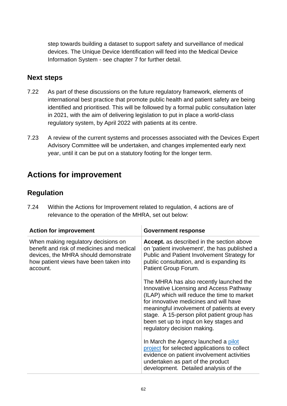step towards building a dataset to support safety and surveillance of medical devices. The Unique Device Identification will feed into the Medical Device Information System - see chapter 7 for further detail.

#### **Next steps**

- 7.22 As part of these discussions on the future regulatory framework, elements of international best practice that promote public health and patient safety are being identified and prioritised. This will be followed by a formal public consultation later in 2021, with the aim of delivering legislation to put in place a world-class regulatory system, by April 2022 with patients at its centre.
- 7.23 A review of the current systems and processes associated with the Devices Expert Advisory Committee will be undertaken, and changes implemented early next year, until it can be put on a statutory footing for the longer term.

# **Actions for improvement**

#### **Regulation**

7.24 Within the Actions for Improvement related to regulation, 4 actions are of relevance to the operation of the MHRA, set out below:

| <b>Action for improvement</b>                                                                                                                                                  | <b>Government response</b>                                                                                                                                                                                                                                                                                                                        |
|--------------------------------------------------------------------------------------------------------------------------------------------------------------------------------|---------------------------------------------------------------------------------------------------------------------------------------------------------------------------------------------------------------------------------------------------------------------------------------------------------------------------------------------------|
| When making regulatory decisions on<br>benefit and risk of medicines and medical<br>devices, the MHRA should demonstrate<br>how patient views have been taken into<br>account. | <b>Accept.</b> as described in the section above<br>on 'patient involvement', the has published a<br>Public and Patient Involvement Strategy for<br>public consultation, and is expanding its<br>Patient Group Forum.                                                                                                                             |
|                                                                                                                                                                                | The MHRA has also recently launched the<br>Innovative Licensing and Access Pathway<br>(ILAP) which will reduce the time to market<br>for innovative medicines and will have<br>meaningful involvement of patients at every<br>stage. A 15-person pilot patient group has<br>been set up to input on key stages and<br>regulatory decision making. |
|                                                                                                                                                                                | In March the Agency launched a pilot<br>project for selected applications to collect<br>evidence on patient involvement activities<br>undertaken as part of the product<br>development. Detailed analysis of the                                                                                                                                  |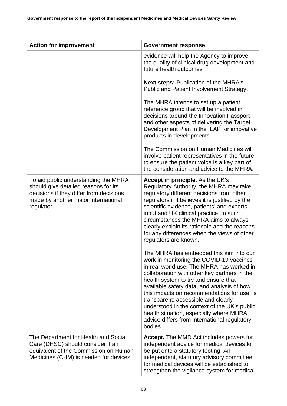| <b>Action for improvement</b>                                                                                                                                                | <b>Government response</b>                                                                                                                                                                                                                                                                                                                                                                                                                                                                                         |
|------------------------------------------------------------------------------------------------------------------------------------------------------------------------------|--------------------------------------------------------------------------------------------------------------------------------------------------------------------------------------------------------------------------------------------------------------------------------------------------------------------------------------------------------------------------------------------------------------------------------------------------------------------------------------------------------------------|
|                                                                                                                                                                              | evidence will help the Agency to improve<br>the quality of clinical drug development and<br>future health outcomes                                                                                                                                                                                                                                                                                                                                                                                                 |
|                                                                                                                                                                              | <b>Next steps: Publication of the MHRA's</b><br>Public and Patient Involvement Strategy.                                                                                                                                                                                                                                                                                                                                                                                                                           |
|                                                                                                                                                                              | The MHRA intends to set up a patient<br>reference group that will be involved in<br>decisions around the Innovation Passport<br>and other aspects of delivering the Target<br>Development Plan in the ILAP for innovative<br>products in developments.                                                                                                                                                                                                                                                             |
|                                                                                                                                                                              | The Commission on Human Medicines will<br>involve patient representatives in the future<br>to ensure the patient voice is a key part of<br>the consideration and advice to the MHRA.                                                                                                                                                                                                                                                                                                                               |
| To aid public understanding the MHRA<br>should give detailed reasons for its<br>decisions if they differ from decisions<br>made by another major international<br>regulator. | Accept in principle. As the UK's<br>Regulatory Authority, the MHRA may take<br>regulatory different decisions from other<br>regulators if it believes it is justified by the<br>scientific evidence, patients' and experts'<br>input and UK clinical practice. In such<br>circumstances the MHRA aims to always<br>clearly explain its rationale and the reasons<br>for any differences when the views of other<br>regulators are known.                                                                           |
|                                                                                                                                                                              | The MHRA has embedded this aim into our<br>work in monitoring the COVID-19 vaccines<br>in real-world use. The MHRA has worked in<br>collaboration with other key partners in the<br>health system to try and ensure that<br>available safety data, and analysis of how<br>this impacts on recommendations for use, is<br>transparent; accessible and clearly<br>understood in the context of the UK's public<br>health situation, especially where MHRA<br>advice differs from international regulatory<br>bodies. |
| The Department for Health and Social<br>Care (DHSC) should consider if an<br>equivalent of the Commission on Human<br>Medicines (CHM) is needed for devices.                 | <b>Accept.</b> The MMD Act includes powers for<br>independent advice for medical devices to<br>be put onto a statutory footing. An<br>independent, statutory advisory committee<br>for medical devices will be established to<br>strengthen the vigilance system for medical                                                                                                                                                                                                                                       |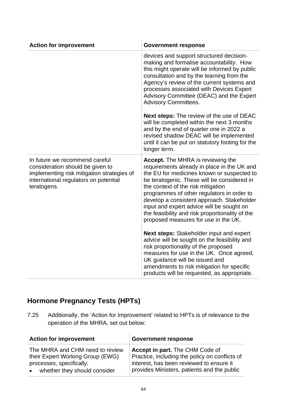| <b>Action for improvement</b>                                                                                                                                            | <b>Government response</b>                                                                                                                                                                                                                                                                                                                                                                                                                                                                                                                                                                                                                                                                                                                                                           |
|--------------------------------------------------------------------------------------------------------------------------------------------------------------------------|--------------------------------------------------------------------------------------------------------------------------------------------------------------------------------------------------------------------------------------------------------------------------------------------------------------------------------------------------------------------------------------------------------------------------------------------------------------------------------------------------------------------------------------------------------------------------------------------------------------------------------------------------------------------------------------------------------------------------------------------------------------------------------------|
|                                                                                                                                                                          | devices and support structured decision-<br>making and formalise accountability. How<br>this might operate will be informed by public<br>consultation and by the learning from the<br>Agency's review of the current systems and<br>processes associated with Devices Expert<br>Advisory Committee (DEAC) and the Expert<br><b>Advisory Committees.</b>                                                                                                                                                                                                                                                                                                                                                                                                                              |
|                                                                                                                                                                          | Next steps: The review of the use of DEAC<br>will be completed within the next 3 months<br>and by the end of quarter one in 2022 a<br>revised shadow DEAC will be implemented<br>until it can be put on statutory footing for the<br>longer term.                                                                                                                                                                                                                                                                                                                                                                                                                                                                                                                                    |
| In future we recommend careful<br>consideration should be given to<br>implementing risk mitigation strategies of<br>international regulators on potential<br>teratogens. | <b>Accept.</b> The MHRA is reviewing the<br>requirements already in place in the UK and<br>the EU for medicines known or suspected to<br>be teratogenic. These will be considered in<br>the context of the risk mitigation<br>programmes of other regulators in order to<br>develop a consistent approach. Stakeholder<br>input and expert advice will be sought on<br>the feasibility and risk proportionality of the<br>proposed measures for use in the UK.<br><b>Next steps:</b> Stakeholder input and expert<br>advice will be sought on the feasibility and<br>risk proportionality of the proposed<br>measures for use in the UK. Once agreed,<br>UK guidance will be issued and<br>amendments to risk mitigation for specific<br>products will be requested, as appropriate. |

# **Hormone Pregnancy Tests (HPTs)**

7.25 Additionally, the 'Action for Improvement' related to HPTs is of relevance to the operation of the MHRA, set out below:

| <b>Action for improvement</b>                                                                                                                | <b>Government response</b>                                                                                                                                                   |
|----------------------------------------------------------------------------------------------------------------------------------------------|------------------------------------------------------------------------------------------------------------------------------------------------------------------------------|
| The MHRA and CHM need to review<br>their Expert Working Group (EWG)<br>processes, specifically:<br>whether they should consider<br>$\bullet$ | Accept in part. The CHM Code of<br>Practice, including the policy on conflicts of<br>interest, has been reviewed to ensure it<br>provides Ministers, patients and the public |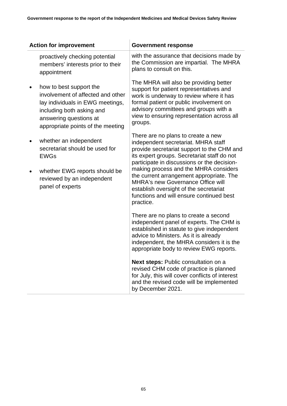| <b>Action for improvement</b>                                                                                                                                                                | <b>Government response</b>                                                                                                                                                                                                                                                                                                                                                                                                                                |
|----------------------------------------------------------------------------------------------------------------------------------------------------------------------------------------------|-----------------------------------------------------------------------------------------------------------------------------------------------------------------------------------------------------------------------------------------------------------------------------------------------------------------------------------------------------------------------------------------------------------------------------------------------------------|
| proactively checking potential<br>members' interests prior to their<br>appointment                                                                                                           | with the assurance that decisions made by<br>the Commission are impartial. The MHRA<br>plans to consult on this.                                                                                                                                                                                                                                                                                                                                          |
| how to best support the<br>involvement of affected and other<br>lay individuals in EWG meetings,<br>including both asking and<br>answering questions at<br>appropriate points of the meeting | The MHRA will also be providing better<br>support for patient representatives and<br>work is underway to review where it has<br>formal patient or public involvement on<br>advisory committees and groups with a<br>view to ensuring representation across all<br>groups.                                                                                                                                                                                 |
| whether an independent<br>secretariat should be used for<br><b>EWGs</b><br>whether EWG reports should be<br>reviewed by an independent<br>panel of experts                                   | There are no plans to create a new<br>independent secretariat. MHRA staff<br>provide secretariat support to the CHM and<br>its expert groups. Secretariat staff do not<br>participate in discussions or the decision-<br>making process and the MHRA considers<br>the current arrangement appropriate. The<br><b>MHRA's new Governance Office will</b><br>establish oversight of the secretariat<br>functions and will ensure continued best<br>practice. |
|                                                                                                                                                                                              | There are no plans to create a second<br>independent panel of experts. The CHM is<br>established in statute to give independent<br>advice to Ministers. As it is already<br>independent, the MHRA considers it is the<br>appropriate body to review EWG reports.                                                                                                                                                                                          |
|                                                                                                                                                                                              | Next steps: Public consultation on a<br>revised CHM code of practice is planned<br>for July, this will cover conflicts of interest<br>and the revised code will be implemented<br>by December 2021.                                                                                                                                                                                                                                                       |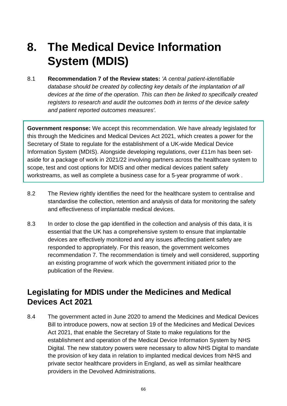# **8. The Medical Device Information System (MDIS)**

8.1 **Recommendation 7 of the Review states:** *'A central patient-identifiable database should be created by collecting key details of the implantation of all devices at the time of the operation. This can then be linked to specifically created registers to research and audit the outcomes both in terms of the device safety and patient reported outcomes measures'.*

**Government response:** We accept this recommendation. We have already legislated for this through the Medicines and Medical Devices Act 2021, which creates a power for the Secretary of State to regulate for the establishment of a UK-wide Medical Device Information System (MDIS). Alongside developing regulations, over £11m has been setaside for a package of work in 2021/22 involving partners across the healthcare system to scope, test and cost options for MDIS and other medical devices patient safety workstreams, as well as complete a business case for a 5-year programme of work .

- 8.2 The Review rightly identifies the need for the healthcare system to centralise and standardise the collection, retention and analysis of data for monitoring the safety and effectiveness of implantable medical devices.
- 8.3 In order to close the gap identified in the collection and analysis of this data, it is essential that the UK has a comprehensive system to ensure that implantable devices are effectively monitored and any issues affecting patient safety are responded to appropriately. For this reason, the government welcomes recommendation 7. The recommendation is timely and well considered, supporting an existing programme of work which the government initiated prior to the publication of the Review.

## **Legislating for MDIS under the Medicines and Medical Devices Act 2021**

8.4 The government acted in June 2020 to amend the Medicines and Medical Devices Bill to introduce powers, now at section 19 of the Medicines and Medical Devices Act 2021, that enable the Secretary of State to make regulations for the establishment and operation of the Medical Device Information System by NHS Digital. The new statutory powers were necessary to allow NHS Digital to mandate the provision of key data in relation to implanted medical devices from NHS and private sector healthcare providers in England, as well as similar healthcare providers in the Devolved Administrations.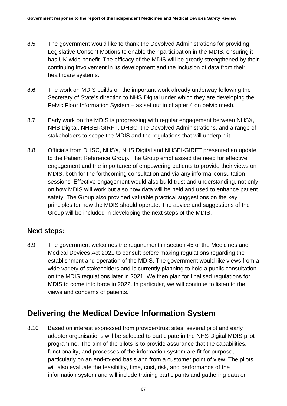- 8.5 The government would like to thank the Devolved Administrations for providing Legislative Consent Motions to enable their participation in the MDIS, ensuring it has UK-wide benefit. The efficacy of the MDIS will be greatly strengthened by their continuing involvement in its development and the inclusion of data from their healthcare systems.
- 8.6 The work on MDIS builds on the important work already underway following the Secretary of State's direction to NHS Digital under which they are developing the Pelvic Floor Information System – as set out in chapter 4 on pelvic mesh.
- 8.7 Early work on the MDIS is progressing with regular engagement between NHSX, NHS Digital, NHSEI-GIRFT, DHSC, the Devolved Administrations, and a range of stakeholders to scope the MDIS and the regulations that will underpin it.
- 8.8 Officials from DHSC, NHSX, NHS Digital and NHSEI-GIRFT presented an update to the Patient Reference Group. The Group emphasised the need for effective engagement and the importance of empowering patients to provide their views on MDIS, both for the forthcoming consultation and via any informal consultation sessions. Effective engagement would also build trust and understanding, not only on how MDIS will work but also how data will be held and used to enhance patient safety. The Group also provided valuable practical suggestions on the key principles for how the MDIS should operate. The advice and suggestions of the Group will be included in developing the next steps of the MDIS.

#### **Next steps:**

8.9 The government welcomes the requirement in section 45 of the Medicines and Medical Devices Act 2021 to consult before making regulations regarding the establishment and operation of the MDIS. The government would like views from a wide variety of stakeholders and is currently planning to hold a public consultation on the MDIS regulations later in 2021. We then plan for finalised regulations for MDIS to come into force in 2022. In particular, we will continue to listen to the views and concerns of patients.

## **Delivering the Medical Device Information System**

8.10 Based on interest expressed from provider/trust sites, several pilot and early adopter organisations will be selected to participate in the NHS Digital MDIS pilot programme. The aim of the pilots is to provide assurance that the capabilities, functionality, and processes of the information system are fit for purpose, particularly on an end-to-end basis and from a customer point of view. The pilots will also evaluate the feasibility, time, cost, risk, and performance of the information system and will include training participants and gathering data on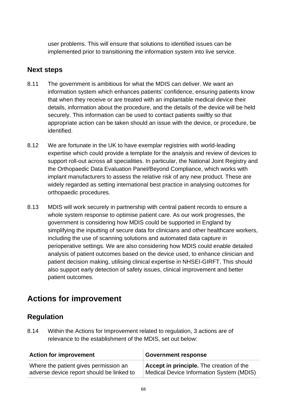user problems. This will ensure that solutions to identified issues can be implemented prior to transitioning the information system into live service.

### **Next steps**

- 8.11 The government is ambitious for what the MDIS can deliver. We want an information system which enhances patients' confidence, ensuring patients know that when they receive or are treated with an implantable medical device their details, information about the procedure, and the details of the device will be held securely. This information can be used to contact patients swiftly so that appropriate action can be taken should an issue with the device, or procedure, be identified.
- 8.12 We are fortunate in the UK to have exemplar registries with world-leading expertise which could provide a template for the analysis and review of devices to support roll-out across all specialities. In particular, the National Joint Registry and the Orthopaedic Data Evaluation Panel/Beyond Compliance, which works with implant manufacturers to assess the relative risk of any new product. These are widely regarded as setting international best practice in analysing outcomes for orthopaedic procedures.
- 8.13 MDIS will work securely in partnership with central patient records to ensure a whole system response to optimise patient care. As our work progresses, the government is considering how MDIS could be supported in England by simplifying the inputting of secure data for clinicians and other healthcare workers, including the use of scanning solutions and automated data capture in perioperative settings. We are also considering how MDIS could enable detailed analysis of patient outcomes based on the device used, to enhance clinician and patient decision making, utilising clinical expertise in NHSEI-GIRFT. This should also support early detection of safety issues, clinical improvement and better patient outcomes.

# **Actions for improvement**

### **Regulation**

8.14 Within the Actions for Improvement related to regulation, 3 actions are of relevance to the establishment of the MDIS, set out below:

| <b>Action for improvement</b>             | <b>Government response</b>               |
|-------------------------------------------|------------------------------------------|
| Where the patient gives permission an     | Accept in principle. The creation of the |
| adverse device report should be linked to | Medical Device Information System (MDIS) |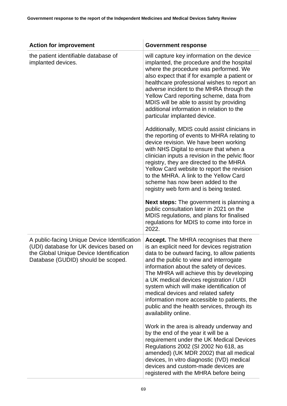| <b>Action for improvement</b>                                                                                                                                           | <b>Government response</b>                                                                                                                                                                                                                                                                                                                                                                                                                                                                                                          |
|-------------------------------------------------------------------------------------------------------------------------------------------------------------------------|-------------------------------------------------------------------------------------------------------------------------------------------------------------------------------------------------------------------------------------------------------------------------------------------------------------------------------------------------------------------------------------------------------------------------------------------------------------------------------------------------------------------------------------|
| the patient identifiable database of<br>implanted devices.                                                                                                              | will capture key information on the device<br>implanted, the procedure and the hospital<br>where the procedure was performed. We<br>also expect that if for example a patient or<br>healthcare professional wishes to report an<br>adverse incident to the MHRA through the<br>Yellow Card reporting scheme, data from<br>MDIS will be able to assist by providing<br>additional information in relation to the<br>particular implanted device.                                                                                     |
|                                                                                                                                                                         | Additionally, MDIS could assist clinicians in<br>the reporting of events to MHRA relating to<br>device revision. We have been working<br>with NHS Digital to ensure that when a<br>clinician inputs a revision in the pelvic floor<br>registry, they are directed to the MHRA<br>Yellow Card website to report the revision<br>to the MHRA. A link to the Yellow Card<br>scheme has now been added to the<br>registry web form and is being tested.                                                                                 |
|                                                                                                                                                                         | <b>Next steps:</b> The government is planning a<br>public consultation later in 2021 on the<br>MDIS regulations, and plans for finalised<br>regulations for MDIS to come into force in<br>2022.                                                                                                                                                                                                                                                                                                                                     |
| A public-facing Unique Device Identification<br>(UDI) database for UK devices based on<br>the Global Unique Device Identification<br>Database (GUDID) should be scoped. | <b>Accept.</b> The MHRA recognises that there<br>is an explicit need for devices registration<br>data to be outward facing, to allow patients<br>and the public to view and interrogate<br>information about the safety of devices.<br>The MHRA will achieve this by developing<br>a UK medical devices registration / UDI<br>system which will make identification of<br>medical devices and related safety<br>information more accessible to patients, the<br>public and the health services, through its<br>availability online. |
|                                                                                                                                                                         | Work in the area is already underway and<br>by the end of the year it will be a<br>requirement under the UK Medical Devices<br>Regulations 2002 (SI 2002 No 618, as<br>amended) (UK MDR 2002) that all medical<br>devices, In vitro diagnostic (IVD) medical<br>devices and custom-made devices are<br>registered with the MHRA before being                                                                                                                                                                                        |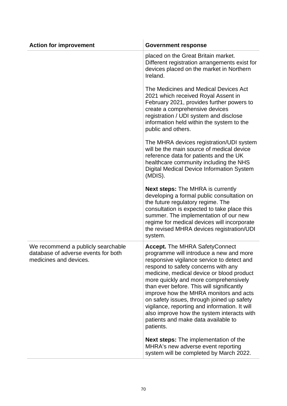| <b>Action for improvement</b>                                                                       | <b>Government response</b>                                                                                                                                                                                                                                                                                                                                                                                                                                                                                                                          |
|-----------------------------------------------------------------------------------------------------|-----------------------------------------------------------------------------------------------------------------------------------------------------------------------------------------------------------------------------------------------------------------------------------------------------------------------------------------------------------------------------------------------------------------------------------------------------------------------------------------------------------------------------------------------------|
|                                                                                                     | placed on the Great Britain market.<br>Different registration arrangements exist for<br>devices placed on the market in Northern<br>Ireland.                                                                                                                                                                                                                                                                                                                                                                                                        |
|                                                                                                     | The Medicines and Medical Devices Act<br>2021 which received Royal Assent in<br>February 2021, provides further powers to<br>create a comprehensive devices<br>registration / UDI system and disclose<br>information held within the system to the<br>public and others.                                                                                                                                                                                                                                                                            |
|                                                                                                     | The MHRA devices registration/UDI system<br>will be the main source of medical device<br>reference data for patients and the UK<br>healthcare community including the NHS<br>Digital Medical Device Information System<br>(MDIS).                                                                                                                                                                                                                                                                                                                   |
|                                                                                                     | <b>Next steps:</b> The MHRA is currently<br>developing a formal public consultation on<br>the future regulatory regime. The<br>consultation is expected to take place this<br>summer. The implementation of our new<br>regime for medical devices will incorporate<br>the revised MHRA devices registration/UDI<br>system.                                                                                                                                                                                                                          |
| We recommend a publicly searchable<br>database of adverse events for both<br>medicines and devices. | <b>Accept.</b> The MHRA SafetyConnect<br>programme will introduce a new and more<br>responsive vigilance service to detect and<br>respond to safety concerns with any<br>medicine, medical device or blood product<br>more quickly and more comprehensively<br>than ever before. This will significantly<br>improve how the MHRA monitors and acts<br>on safety issues, through joined up safety<br>vigilance, reporting and information. It will<br>also improve how the system interacts with<br>patients and make data available to<br>patients. |
|                                                                                                     | <b>Next steps:</b> The implementation of the<br>MHRA's new adverse event reporting<br>system will be completed by March 2022.                                                                                                                                                                                                                                                                                                                                                                                                                       |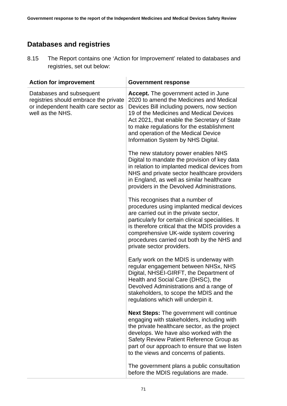### **Databases and registries**

8.15 The Report contains one 'Action for Improvement' related to databases and registries, set out below:

| <b>Action for improvement</b>                                                                                                 | <b>Government response</b>                                                                                                                                                                                                                                                                                                                                |
|-------------------------------------------------------------------------------------------------------------------------------|-----------------------------------------------------------------------------------------------------------------------------------------------------------------------------------------------------------------------------------------------------------------------------------------------------------------------------------------------------------|
| Databases and subsequent<br>registries should embrace the private<br>or independent health care sector as<br>well as the NHS. | <b>Accept.</b> The government acted in June<br>2020 to amend the Medicines and Medical<br>Devices Bill including powers, now section<br>19 of the Medicines and Medical Devices<br>Act 2021, that enable the Secretary of State<br>to make regulations for the establishment<br>and operation of the Medical Device<br>Information System by NHS Digital. |
|                                                                                                                               | The new statutory power enables NHS<br>Digital to mandate the provision of key data<br>in relation to implanted medical devices from<br>NHS and private sector healthcare providers<br>in England, as well as similar healthcare<br>providers in the Devolved Administrations.                                                                            |
|                                                                                                                               | This recognises that a number of<br>procedures using implanted medical devices<br>are carried out in the private sector,<br>particularly for certain clinical specialities. It<br>is therefore critical that the MDIS provides a<br>comprehensive UK-wide system covering<br>procedures carried out both by the NHS and<br>private sector providers.      |
|                                                                                                                               | Early work on the MDIS is underway with<br>regular engagement between NHSx, NHS<br>Digital, NHSEI-GIRFT, the Department of<br>Health and Social Care (DHSC), the<br>Devolved Administrations and a range of<br>stakeholders, to scope the MDIS and the<br>regulations which will underpin it.                                                             |
|                                                                                                                               | <b>Next Steps:</b> The government will continue<br>engaging with stakeholders, including with<br>the private healthcare sector, as the project<br>develops. We have also worked with the<br>Safety Review Patient Reference Group as<br>part of our approach to ensure that we listen<br>to the views and concerns of patients.                           |
|                                                                                                                               | The government plans a public consultation<br>before the MDIS regulations are made.                                                                                                                                                                                                                                                                       |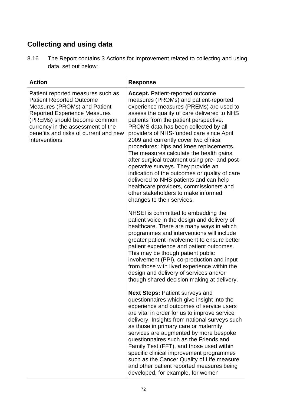## **Collecting and using data**

8.16 The Report contains 3 Actions for Improvement related to collecting and using data, set out below:

| <b>Action</b>                                                                                                                                                                                                                                                               | <b>Response</b>                                                                                                                                                                                                                                                                                                                                                                                                                                                                                                                                                                                                                                                                                                                           |
|-----------------------------------------------------------------------------------------------------------------------------------------------------------------------------------------------------------------------------------------------------------------------------|-------------------------------------------------------------------------------------------------------------------------------------------------------------------------------------------------------------------------------------------------------------------------------------------------------------------------------------------------------------------------------------------------------------------------------------------------------------------------------------------------------------------------------------------------------------------------------------------------------------------------------------------------------------------------------------------------------------------------------------------|
| Patient reported measures such as<br><b>Patient Reported Outcome</b><br>Measures (PROMs) and Patient<br><b>Reported Experience Measures</b><br>(PREMs) should become common<br>currency in the assessment of the<br>benefits and risks of current and new<br>interventions. | <b>Accept.</b> Patient-reported outcome<br>measures (PROMs) and patient-reported<br>experience measures (PREMs) are used to<br>assess the quality of care delivered to NHS<br>patients from the patient perspective.<br>PROMS data has been collected by all<br>providers of NHS-funded care since April<br>2009 and currently cover two clinical<br>procedures: hips and knee replacements.<br>The measures calculate the health gains<br>after surgical treatment using pre- and post-<br>operative surveys. They provide an<br>indication of the outcomes or quality of care<br>delivered to NHS patients and can help<br>healthcare providers, commissioners and<br>other stakeholders to make informed<br>changes to their services. |
|                                                                                                                                                                                                                                                                             | NHSEI is committed to embedding the<br>patient voice in the design and delivery of<br>healthcare. There are many ways in which<br>programmes and interventions will include<br>greater patient involvement to ensure better<br>patient experience and patient outcomes.<br>This may be though patient public<br>involvement (PPI), co-production and input<br>from those with lived experience within the<br>design and delivery of services and/or<br>though shared decision making at delivery.                                                                                                                                                                                                                                         |
|                                                                                                                                                                                                                                                                             | <b>Next Steps: Patient surveys and</b><br>questionnaires which give insight into the<br>experience and outcomes of service users<br>are vital in order for us to improve service<br>delivery. Insights from national surveys such<br>as those in primary care or maternity<br>services are augmented by more bespoke<br>questionnaires such as the Friends and<br>Family Test (FFT), and those used within<br>specific clinical improvement programmes<br>such as the Cancer Quality of Life measure<br>and other patient reported measures being<br>developed, for example, for women                                                                                                                                                    |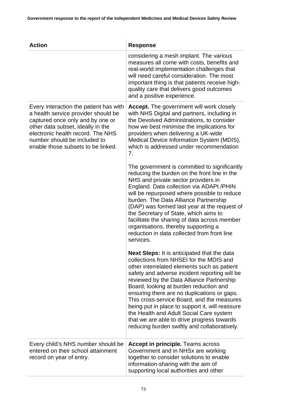| <b>Action</b>                                                                                                                                                                                                                                                     | <b>Response</b>                                                                                                                                                                                                                                                                                                                                                                                                                                                                                                                                                               |
|-------------------------------------------------------------------------------------------------------------------------------------------------------------------------------------------------------------------------------------------------------------------|-------------------------------------------------------------------------------------------------------------------------------------------------------------------------------------------------------------------------------------------------------------------------------------------------------------------------------------------------------------------------------------------------------------------------------------------------------------------------------------------------------------------------------------------------------------------------------|
|                                                                                                                                                                                                                                                                   | considering a mesh implant. The various<br>measures all come with costs, benefits and<br>real-world implementation challenges that<br>will need careful consideration. The most<br>important thing is that patients receive high-<br>quality care that delivers good outcomes<br>and a positive experience.                                                                                                                                                                                                                                                                   |
| Every interaction the patient has with<br>a health service provider should be<br>captured once only and by one or<br>other data subset, ideally in the<br>electronic health record. The NHS<br>number should be included to<br>enable those subsets to be linked. | <b>Accept.</b> The government will work closely<br>with NHS Digital and partners, including in<br>the Devolved Administrations, to consider<br>how we best minimise the implications for<br>providers when delivering a UK-wide<br>Medical Device Information System (MDIS),<br>which is addressed under recommendation<br>7.                                                                                                                                                                                                                                                 |
|                                                                                                                                                                                                                                                                   | The government is committed to significantly<br>reducing the burden on the front line in the<br>NHS and private sector providers in<br>England. Data collection via ADAPt /PHIN<br>will be repurposed where possible to reduce<br>burden. The Data Alliance Partnership<br>(DAP) was formed last year at the request of<br>the Secretary of State, which aims to<br>facilitate the sharing of data across member<br>organisations, thereby supporting a<br>reduction in data collected from front line<br>services.                                                           |
|                                                                                                                                                                                                                                                                   | <b>Next Steps:</b> It is anticipated that the data<br>collections from NHSEI for the MDIS and<br>other interrelated elements such as patient<br>safety and adverse incident reporting will be<br>reviewed by the Data Alliance Partnership<br>Board, looking at burden reduction and<br>ensuring there are no duplications or gaps.<br>This cross-service Board, and the measures<br>being put in place to support it, will reassure<br>the Health and Adult Social Care system<br>that we are able to drive progress towards<br>reducing burden swiftly and collaboratively. |
| Every child's NHS number should be<br>entered on their school attainment<br>record on year of entry.                                                                                                                                                              | <b>Accept in principle.</b> Teams across<br>Government and in NHSx are working<br>together to consider solutions to enable<br>information-sharing with the aim of<br>supporting local authorities and other                                                                                                                                                                                                                                                                                                                                                                   |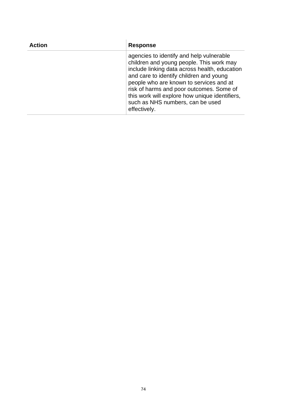| <b>Action</b> | <b>Response</b>                                                                                                                                                                                                                                                                                                                                                               |
|---------------|-------------------------------------------------------------------------------------------------------------------------------------------------------------------------------------------------------------------------------------------------------------------------------------------------------------------------------------------------------------------------------|
|               | agencies to identify and help vulnerable<br>children and young people. This work may<br>include linking data across health, education<br>and care to identify children and young<br>people who are known to services and at<br>risk of harms and poor outcomes. Some of<br>this work will explore how unique identifiers,<br>such as NHS numbers, can be used<br>effectively. |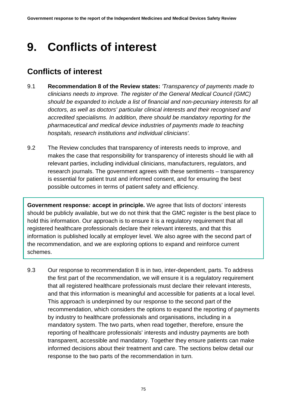# **9. Conflicts of interest**

## **Conflicts of interest**

- 9.1 **Recommendation 8 of the Review states:** *'Transparency of payments made to clinicians needs to improve. The register of the General Medical Council (GMC) should be expanded to include a list of financial and non-pecuniary interests for all doctors, as well as doctors' particular clinical interests and their recognised and accredited specialisms. In addition, there should be mandatory reporting for the pharmaceutical and medical device industries of payments made to teaching hospitals, research institutions and individual clinicians'.*
- 9.2 The Review concludes that transparency of interests needs to improve, and makes the case that responsibility for transparency of interests should lie with all relevant parties, including individual clinicians, manufacturers, regulators, and research journals. The government agrees with these sentiments – transparency is essential for patient trust and informed consent, and for ensuring the best possible outcomes in terms of patient safety and efficiency.

**Government response***:* **accept in principle.** We agree that lists of doctors' interests should be publicly available, but we do not think that the GMC register is the best place to hold this information. Our approach is to ensure it is a regulatory requirement that all registered healthcare professionals declare their relevant interests, and that this information is published locally at employer level. We also agree with the second part of the recommendation, and we are exploring options to expand and reinforce current schemes.

9.3 Our response to recommendation 8 is in two, inter-dependent, parts. To address the first part of the recommendation, we will ensure it is a regulatory requirement that all registered healthcare professionals must declare their relevant interests, and that this information is meaningful and accessible for patients at a local level. This approach is underpinned by our response to the second part of the recommendation, which considers the options to expand the reporting of payments by industry to healthcare professionals and organisations, including in a mandatory system. The two parts, when read together, therefore, ensure the reporting of healthcare professionals' interests and industry payments are both transparent, accessible and mandatory. Together they ensure patients can make informed decisions about their treatment and care. The sections below detail our response to the two parts of the recommendation in turn.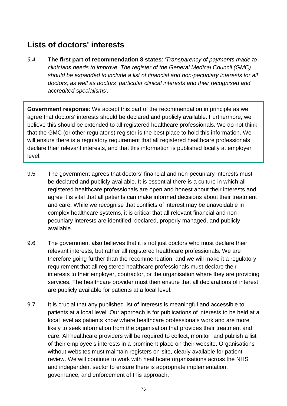## **Lists of doctors' interests**

*9.4* **The first part of recommendation 8 states**: *'Transparency of payments made to clinicians needs to improve. The register of the General Medical Council (GMC) should be expanded to include a list of financial and non-pecuniary interests for all doctors, as well as doctors' particular clinical interests and their recognised and accredited specialisms'.*

**Government response**: We accept this part of the recommendation in principle as we agree that doctors' interests should be declared and publicly available. Furthermore, we believe this should be extended to all registered healthcare professionals. We do not think that the GMC (or other regulator's) register is the best place to hold this information. We will ensure there is a regulatory requirement that all registered healthcare professionals declare their relevant interests, and that this information is published locally at employer level.

- 9.5 The government agrees that doctors' financial and non-pecuniary interests must be declared and publicly available. It is essential there is a culture in which all registered healthcare professionals are open and honest about their interests and agree it is vital that all patients can make informed decisions about their treatment and care. While we recognise that conflicts of interest may be unavoidable in complex healthcare systems, it is critical that all relevant financial and nonpecuniary interests are identified, declared, properly managed, and publicly available.
- 9.6 The government also believes that it is not just doctors who must declare their relevant interests, but rather all registered healthcare professionals. We are therefore going further than the recommendation, and we will make it a regulatory requirement that all registered healthcare professionals must declare their interests to their employer, contractor, or the organisation where they are providing services. The healthcare provider must then ensure that all declarations of interest are publicly available for patients at a local level.
- 9.7 It is crucial that any published list of interests is meaningful and accessible to patients at a local level. Our approach is for publications of interests to be held at a local level as patients know where healthcare professionals work and are more likely to seek information from the organisation that provides their treatment and care. All healthcare providers will be required to collect, monitor, and publish a list of their employee's interests in a prominent place on their website. Organisations without websites must maintain registers on-site, clearly available for patient review. We will continue to work with healthcare organisations across the NHS and independent sector to ensure there is appropriate implementation, governance, and enforcement of this approach.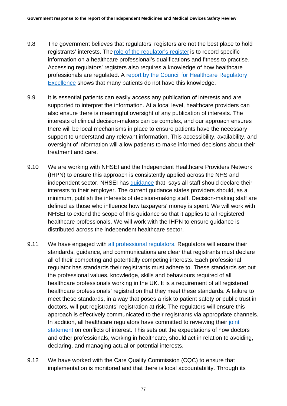- 9.8 The government believes that regulators' registers are not the best place to hold registrants' interests. The [role of the regulator's register](https://www.gmc-uk.org/-/media/documents/M06___Developing_the_UK_medical_register.pdf_69417294.pdf) is to record specific information on a healthcare professional's qualifications and fitness to practise. Accessing regulators' registers also requires a knowledge of how healthcare professionals are regulated. A [report by the Council for Healthcare Regulatory](https://www.professionalstandards.org.uk/docs/default-source/publications/policy-advice/health-professional-regulators-registers-2010.pdf?sfvrsn=99c77f20_10)  [Excellence](https://www.professionalstandards.org.uk/docs/default-source/publications/policy-advice/health-professional-regulators-registers-2010.pdf?sfvrsn=99c77f20_10) shows that many patients do not have this knowledge.
- 9.9 It is essential patients can easily access any publication of interests and are supported to interpret the information. At a local level, healthcare providers can also ensure there is meaningful oversight of any publication of interests. The interests of clinical decision-makers can be complex, and our approach ensures there will be local mechanisms in place to ensure patients have the necessary support to understand any relevant information. This accessibility, availability, and oversight of information will allow patients to make informed decisions about their treatment and care.
- 9.10 We are working with NHSEI and the Independent Healthcare Providers Network (IHPN) to ensure this approach is consistently applied across the NHS and independent sector. NHSEI has [guidance](https://www.england.nhs.uk/wp-content/uploads/2017/02/guidance-managing-conflicts-of-interest-nhs.pdf) that says all staff should declare their interests to their employer. The current guidance states providers should, as a minimum, publish the interests of decision-making staff. Decision-making staff are defined as those who influence how taxpayers' money is spent. We will work with NHSEI to extend the scope of this guidance so that it applies to all registered healthcare professionals. We will work with the IHPN to ensure guidance is distributed across the independent healthcare sector.
- 9.11 We have engaged with [all professional regulators.](https://www.professionalstandards.org.uk/what-we-do/our-work-with-regulators/find-a-regulator) Regulators will ensure their standards, guidance, and communications are clear that registrants must declare all of their competing and potentially competing interests. Each professional regulator has standards their registrants must adhere to. These standards set out the professional values, knowledge, skills and behaviours required of all healthcare professionals working in the UK. It is a requirement of all registered healthcare professionals' registration that they meet these standards. A failure to meet these standards, in a way that poses a risk to patient safety or public trust in doctors, will put registrants' registration at risk. The regulators will ensure this approach is effectively communicated to their registrants via appropriate channels. In addition, all healthcare regulators have committed to reviewing their [joint](https://www.gmc-uk.org/-/media/gmc-site-images/ethical-guidance/related-pdf-items/conflicts-of-interest/joint-statement-from-the-chief-executives-of-statutory-regulators-of-health-and-care-professionals.pdf?la=en&hash=A29836358B7C3AB3750A7CEAC6F49AEBC5C76C1D)  [statement](https://www.gmc-uk.org/-/media/gmc-site-images/ethical-guidance/related-pdf-items/conflicts-of-interest/joint-statement-from-the-chief-executives-of-statutory-regulators-of-health-and-care-professionals.pdf?la=en&hash=A29836358B7C3AB3750A7CEAC6F49AEBC5C76C1D) on conflicts of interest. This sets out the expectations of how doctors and other professionals, working in healthcare, should act in relation to avoiding, declaring, and managing actual or potential interests.
- 9.12 We have worked with the Care Quality Commission (CQC) to ensure that implementation is monitored and that there is local accountability. Through its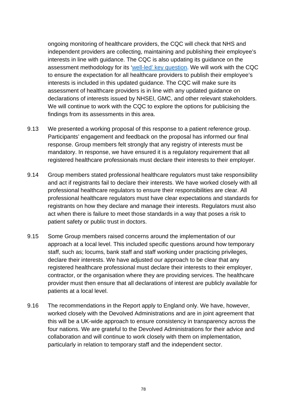ongoing monitoring of healthcare providers, the CQC will check that NHS and independent providers are collecting, maintaining and publishing their employee's interests in line with guidance. The CQC is also updating its guidance on the assessment methodology for its ['well-led' key question.](https://www.cqc.org.uk/sites/default/files/Well-led%20framework%20statement%20of%20intent%20FINAL.pdf) We will work with the CQC to ensure the expectation for all healthcare providers to publish their employee's interests is included in this updated guidance. The CQC will make sure its assessment of healthcare providers is in line with any updated guidance on declarations of interests issued by NHSEI, GMC, and other relevant stakeholders. We will continue to work with the CQC to explore the options for publicising the findings from its assessments in this area.

- 9.13 We presented a working proposal of this response to a patient reference group. Participants' engagement and feedback on the proposal has informed our final response. Group members felt strongly that any registry of interests must be mandatory. In response, we have ensured it is a regulatory requirement that all registered healthcare professionals must declare their interests to their employer.
- 9.14 Group members stated professional healthcare regulators must take responsibility and act if registrants fail to declare their interests. We have worked closely with all professional healthcare regulators to ensure their responsibilities are clear. All professional healthcare regulators must have clear expectations and standards for registrants on how they declare and manage their interests. Regulators must also act when there is failure to meet those standards in a way that poses a risk to patient safety or public trust in doctors.
- 9.15 Some Group members raised concerns around the implementation of our approach at a local level. This included specific questions around how temporary staff, such as; locums, bank staff and staff working under practicing privileges, declare their interests. We have adjusted our approach to be clear that any registered healthcare professional must declare their interests to their employer, contractor, or the organisation where they are providing services. The healthcare provider must then ensure that all declarations of interest are publicly available for patients at a local level.
- 9.16 The recommendations in the Report apply to England only. We have, however, worked closely with the Devolved Administrations and are in joint agreement that this will be a UK-wide approach to ensure consistency in transparency across the four nations. We are grateful to the Devolved Administrations for their advice and collaboration and will continue to work closely with them on implementation, particularly in relation to temporary staff and the independent sector.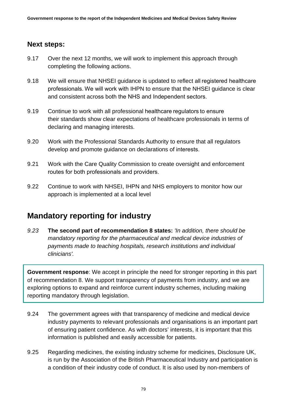#### **Next steps:**

- 9.17 Over the next 12 months, we will work to implement this approach through completing the following actions.
- 9.18 We will ensure that NHSEI guidance is updated to reflect all registered healthcare professionals. We will work with IHPN to ensure that the NHSEI guidance is clear and consistent across both the NHS and Independent sectors.
- 9.19 Continue to work with all professional healthcare regulators to ensure their standards show clear expectations of healthcare professionals in terms of declaring and managing interests.
- 9.20 Work with the Professional Standards Authority to ensure that all regulators develop and promote guidance on declarations of interests.
- 9.21 Work with the Care Quality Commission to create oversight and enforcement routes for both professionals and providers.
- 9.22 Continue to work with NHSEI, IHPN and NHS employers to monitor how our approach is implemented at a local level

### **Mandatory reporting for industry**

*9.23* **The second part of recommendation 8 states:** *'In addition, there should be mandatory reporting for the pharmaceutical and medical device industries of payments made to teaching hospitals, research institutions and individual clinicians'.*

**Government response**: We accept in principle the need for stronger reporting in this part of recommendation 8. We support transparency of payments from industry, and we are exploring options to expand and reinforce current industry schemes, including making reporting mandatory through legislation.

- 9.24 The government agrees with that transparency of medicine and medical device industry payments to relevant professionals and organisations is an important part of ensuring patient confidence. As with doctors' interests, it is important that this information is published and easily accessible for patients.
- 9.25 Regarding medicines, the existing industry scheme for medicines, Disclosure UK, is run by the Association of the British Pharmaceutical Industry and participation is a condition of their industry code of conduct. It is also used by non-members of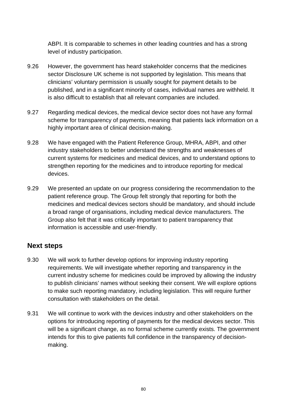ABPI. It is comparable to schemes in other leading countries and has a strong level of industry participation.

- 9.26 However, the government has heard stakeholder concerns that the medicines sector Disclosure UK scheme is not supported by legislation. This means that clinicians' voluntary permission is usually sought for payment details to be published, and in a significant minority of cases, individual names are withheld. It is also difficult to establish that all relevant companies are included.
- 9.27 Regarding medical devices, the medical device sector does not have any formal scheme for transparency of payments, meaning that patients lack information on a highly important area of clinical decision-making.
- 9.28 We have engaged with the Patient Reference Group, MHRA, ABPI, and other industry stakeholders to better understand the strengths and weaknesses of current systems for medicines and medical devices, and to understand options to strengthen reporting for the medicines and to introduce reporting for medical devices.
- 9.29 We presented an update on our progress considering the recommendation to the patient reference group. The Group felt strongly that reporting for both the medicines and medical devices sectors should be mandatory, and should include a broad range of organisations, including medical device manufacturers. The Group also felt that it was critically important to patient transparency that information is accessible and user-friendly.

#### **Next steps**

- 9.30 We will work to further develop options for improving industry reporting requirements. We will investigate whether reporting and transparency in the current industry scheme for medicines could be improved by allowing the industry to publish clinicians' names without seeking their consent. We will explore options to make such reporting mandatory, including legislation. This will require further consultation with stakeholders on the detail.
- 9.31 We will continue to work with the devices industry and other stakeholders on the options for introducing reporting of payments for the medical devices sector. This will be a significant change, as no formal scheme currently exists. The government intends for this to give patients full confidence in the transparency of decisionmaking.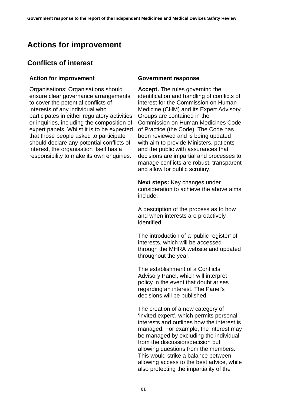## **Actions for improvement**

### **Conflicts of interest**

| <b>Action for improvement</b>                                                                                                                                                                                                                                                                                                                                                                                                                                                    | <b>Government response</b>                                                                                                                                                                                                                                                                                                                                                                                                                                                                                                                    |
|----------------------------------------------------------------------------------------------------------------------------------------------------------------------------------------------------------------------------------------------------------------------------------------------------------------------------------------------------------------------------------------------------------------------------------------------------------------------------------|-----------------------------------------------------------------------------------------------------------------------------------------------------------------------------------------------------------------------------------------------------------------------------------------------------------------------------------------------------------------------------------------------------------------------------------------------------------------------------------------------------------------------------------------------|
| Organisations: Organisations should<br>ensure clear governance arrangements<br>to cover the potential conflicts of<br>interests of any individual who<br>participates in either regulatory activities<br>or inquiries, including the composition of<br>expert panels. Whilst it is to be expected<br>that those people asked to participate<br>should declare any potential conflicts of<br>interest, the organisation itself has a<br>responsibility to make its own enquiries. | <b>Accept.</b> The rules governing the<br>identification and handling of conflicts of<br>interest for the Commission on Human<br>Medicine (CHM) and its Expert Advisory<br>Groups are contained in the<br><b>Commission on Human Medicines Code</b><br>of Practice (the Code). The Code has<br>been reviewed and is being updated<br>with aim to provide Ministers, patients<br>and the public with assurances that<br>decisions are impartial and processes to<br>manage conflicts are robust, transparent<br>and allow for public scrutiny. |
|                                                                                                                                                                                                                                                                                                                                                                                                                                                                                  | <b>Next steps:</b> Key changes under<br>consideration to achieve the above aims<br>include:                                                                                                                                                                                                                                                                                                                                                                                                                                                   |
|                                                                                                                                                                                                                                                                                                                                                                                                                                                                                  | A description of the process as to how<br>and when interests are proactively<br>identified.                                                                                                                                                                                                                                                                                                                                                                                                                                                   |
|                                                                                                                                                                                                                                                                                                                                                                                                                                                                                  | The introduction of a 'public register' of<br>interests, which will be accessed<br>through the MHRA website and updated<br>throughout the year.                                                                                                                                                                                                                                                                                                                                                                                               |
|                                                                                                                                                                                                                                                                                                                                                                                                                                                                                  | The establishment of a Conflicts<br>Advisory Panel, which will interpret<br>policy in the event that doubt arises<br>regarding an interest. The Panel's<br>decisions will be published.                                                                                                                                                                                                                                                                                                                                                       |
|                                                                                                                                                                                                                                                                                                                                                                                                                                                                                  | The creation of a new category of<br>'invited expert', which permits personal<br>interests and outlines how the interest is<br>managed. For example, the interest may<br>be managed by excluding the individual<br>from the discussion/decision but<br>allowing questions from the members.<br>This would strike a balance between<br>allowing access to the best advice, while<br>also protecting the impartiality of the                                                                                                                    |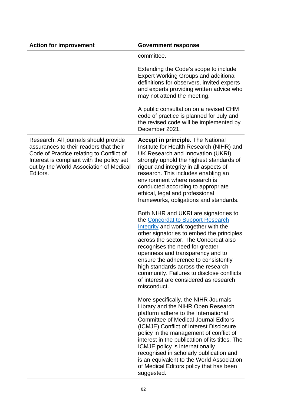| <b>Action for improvement</b>                                                                                                                                                                                                   | <b>Government response</b>                                                                                                                                                                                                                                                                                                                                                                                                                                                                    |
|---------------------------------------------------------------------------------------------------------------------------------------------------------------------------------------------------------------------------------|-----------------------------------------------------------------------------------------------------------------------------------------------------------------------------------------------------------------------------------------------------------------------------------------------------------------------------------------------------------------------------------------------------------------------------------------------------------------------------------------------|
|                                                                                                                                                                                                                                 | committee.                                                                                                                                                                                                                                                                                                                                                                                                                                                                                    |
|                                                                                                                                                                                                                                 | Extending the Code's scope to include<br><b>Expert Working Groups and additional</b><br>definitions for observers, invited experts<br>and experts providing written advice who<br>may not attend the meeting.                                                                                                                                                                                                                                                                                 |
|                                                                                                                                                                                                                                 | A public consultation on a revised CHM<br>code of practice is planned for July and<br>the revised code will be implemented by<br>December 2021.                                                                                                                                                                                                                                                                                                                                               |
| Research: All journals should provide<br>assurances to their readers that their<br>Code of Practice relating to Conflict of<br>Interest is compliant with the policy set<br>out by the World Association of Medical<br>Editors. | <b>Accept in principle.</b> The National<br>Institute for Health Research (NIHR) and<br>UK Research and Innovation (UKRI)<br>strongly uphold the highest standards of<br>rigour and integrity in all aspects of<br>research. This includes enabling an<br>environment where research is<br>conducted according to appropriate<br>ethical, legal and professional<br>frameworks, obligations and standards.                                                                                    |
|                                                                                                                                                                                                                                 | Both NIHR and UKRI are signatories to<br>the Concordat to Support Research<br>Integrity and work together with the<br>other signatories to embed the principles<br>across the sector. The Concordat also<br>recognises the need for greater<br>openness and transparency and to<br>ensure the adherence to consistently<br>high standards across the research<br>community. Failures to disclose conflicts<br>of interest are considered as research<br>misconduct.                           |
|                                                                                                                                                                                                                                 | More specifically, the NIHR Journals<br>Library and the NIHR Open Research<br>platform adhere to the International<br><b>Committee of Medical Journal Editors</b><br>(ICMJE) Conflict of Interest Disclosure<br>policy in the management of conflict of<br>interest in the publication of its titles. The<br>ICMJE policy is internationally<br>recognised in scholarly publication and<br>is an equivalent to the World Association<br>of Medical Editors policy that has been<br>suggested. |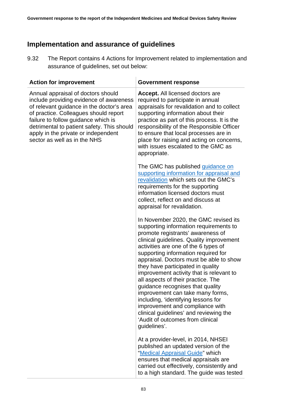### **Implementation and assurance of guidelines**

9.32 The Report contains 4 Actions for Improvement related to implementation and assurance of guidelines, set out below:

| <b>Action for improvement</b>                                                                                                                                                                                                                                                                                                   | <b>Government response</b>                                                                                                                                                                                                                                                                                                                                                                                                                                                                                                                                                                                                                                        |
|---------------------------------------------------------------------------------------------------------------------------------------------------------------------------------------------------------------------------------------------------------------------------------------------------------------------------------|-------------------------------------------------------------------------------------------------------------------------------------------------------------------------------------------------------------------------------------------------------------------------------------------------------------------------------------------------------------------------------------------------------------------------------------------------------------------------------------------------------------------------------------------------------------------------------------------------------------------------------------------------------------------|
| Annual appraisal of doctors should<br>include providing evidence of awareness<br>of relevant guidance in the doctor's area<br>of practice. Colleagues should report<br>failure to follow guidance which is<br>detrimental to patient safety. This should<br>apply in the private or independent<br>sector as well as in the NHS | <b>Accept.</b> All licensed doctors are<br>required to participate in annual<br>appraisals for revalidation and to collect<br>supporting information about their<br>practice as part of this process. It is the<br>responsibility of the Responsible Officer<br>to ensure that local processes are in<br>place for raising and acting on concerns,<br>with issues escalated to the GMC as<br>appropriate.                                                                                                                                                                                                                                                         |
|                                                                                                                                                                                                                                                                                                                                 | The GMC has published guidance on<br>supporting information for appraisal and<br>revalidation which sets out the GMC's<br>requirements for the supporting<br>information licensed doctors must<br>collect, reflect on and discuss at<br>appraisal for revalidation.                                                                                                                                                                                                                                                                                                                                                                                               |
|                                                                                                                                                                                                                                                                                                                                 | In November 2020, the GMC revised its<br>supporting information requirements to<br>promote registrants' awareness of<br>clinical guidelines. Quality improvement<br>activities are one of the 6 types of<br>supporting information required for<br>appraisal. Doctors must be able to show<br>they have participated in quality<br>improvement activity that is relevant to<br>all aspects of their practice. The<br>guidance recognises that quality<br>improvement can take many forms,<br>including, 'identifying lessons for<br>improvement and compliance with<br>clinical guidelines' and reviewing the<br>'Audit of outcomes from clinical<br>guidelines'. |
|                                                                                                                                                                                                                                                                                                                                 | At a provider-level, in 2014, NHSEI<br>published an updated version of the<br>"Medical Appraisal Guide" which<br>ensures that medical appraisals are<br>carried out effectively, consistently and<br>to a high standard. The guide was tested                                                                                                                                                                                                                                                                                                                                                                                                                     |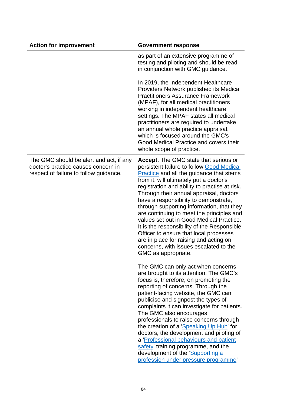| <b>Action for improvement</b>                                                                                            | <b>Government response</b>                                                                                                                                                                                                                                                                                                                                                                                                                                                                                                                                                                                                                                      |
|--------------------------------------------------------------------------------------------------------------------------|-----------------------------------------------------------------------------------------------------------------------------------------------------------------------------------------------------------------------------------------------------------------------------------------------------------------------------------------------------------------------------------------------------------------------------------------------------------------------------------------------------------------------------------------------------------------------------------------------------------------------------------------------------------------|
|                                                                                                                          | as part of an extensive programme of<br>testing and piloting and should be read<br>in conjunction with GMC guidance.                                                                                                                                                                                                                                                                                                                                                                                                                                                                                                                                            |
|                                                                                                                          | In 2019, the Independent Healthcare<br>Providers Network published its Medical<br><b>Practitioners Assurance Framework</b><br>(MPAF), for all medical practitioners<br>working in independent healthcare<br>settings. The MPAF states all medical<br>practitioners are required to undertake<br>an annual whole practice appraisal,<br>which is focused around the GMC's<br>Good Medical Practice and covers their<br>whole scope of practice.                                                                                                                                                                                                                  |
| The GMC should be alert and act, if any<br>doctor's practice causes concern in<br>respect of failure to follow guidance. | Accept. The GMC state that serious or<br>persistent failure to follow Good Medical<br><b>Practice</b> and all the guidance that stems<br>from it, will ultimately put a doctor's<br>registration and ability to practise at risk.<br>Through their annual appraisal, doctors<br>have a responsibility to demonstrate,<br>through supporting information, that they<br>are continuing to meet the principles and<br>values set out in Good Medical Practice.<br>It is the responsibility of the Responsible<br>Officer to ensure that local processes<br>are in place for raising and acting on<br>concerns, with issues escalated to the<br>GMC as appropriate. |
|                                                                                                                          | The GMC can only act when concerns<br>are brought to its attention. The GMC's<br>focus is, therefore, on promoting the<br>reporting of concerns. Through the<br>patient-facing website, the GMC can<br>publicise and signpost the types of<br>complaints it can investigate for patients.<br>The GMC also encourages<br>professionals to raise concerns through<br>the creation of a 'Speaking Up Hub' for<br>doctors, the development and piloting of<br>a 'Professional behaviours and patient<br>safety' training programme, and the<br>development of the 'Supporting a<br>profession under pressure programme'                                             |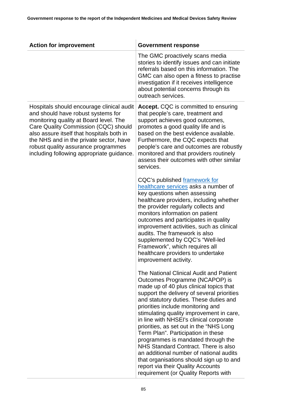| <b>Action for improvement</b>                                                                                                                                                                                                                                                                                                                 | <b>Government response</b>                                                                                                                                                                                                                                                                                                                                                                                                                                                                                                                                                                                                                                                  |
|-----------------------------------------------------------------------------------------------------------------------------------------------------------------------------------------------------------------------------------------------------------------------------------------------------------------------------------------------|-----------------------------------------------------------------------------------------------------------------------------------------------------------------------------------------------------------------------------------------------------------------------------------------------------------------------------------------------------------------------------------------------------------------------------------------------------------------------------------------------------------------------------------------------------------------------------------------------------------------------------------------------------------------------------|
|                                                                                                                                                                                                                                                                                                                                               | The GMC proactively scans media<br>stories to identify issues and can initiate<br>referrals based on this information. The<br>GMC can also open a fitness to practise<br>investigation if it receives intelligence<br>about potential concerns through its<br>outreach services.                                                                                                                                                                                                                                                                                                                                                                                            |
| Hospitals should encourage clinical audit<br>and should have robust systems for<br>monitoring quality at Board level. The<br>Care Quality Commission (CQC) should<br>also assure itself that hospitals both in<br>the NHS and in the private sector, have<br>robust quality assurance programmes<br>including following appropriate guidance. | <b>Accept.</b> CQC is committed to ensuring<br>that people's care, treatment and<br>support achieves good outcomes,<br>promotes a good quality life and is<br>based on the best evidence available.<br>Furthermore, the CQC expects that<br>people's care and outcomes are robustly<br>monitored and that providers routinely<br>assess their outcomes with other similar<br>services.                                                                                                                                                                                                                                                                                      |
|                                                                                                                                                                                                                                                                                                                                               | CQC's published framework for<br>healthcare services asks a number of<br>key questions when assessing<br>healthcare providers, including whether<br>the provider regularly collects and<br>monitors information on patient<br>outcomes and participates in quality<br>improvement activities, such as clinical<br>audits. The framework is also<br>supplemented by CQC's "Well-led<br>Framework", which requires all<br>healthcare providers to undertake<br>improvement activity.                                                                                                                                                                                          |
|                                                                                                                                                                                                                                                                                                                                               | The National Clinical Audit and Patient<br>Outcomes Programme (NCAPOP) is<br>made up of 40 plus clinical topics that<br>support the delivery of several priorities<br>and statutory duties. These duties and<br>priorities include monitoring and<br>stimulating quality improvement in care,<br>in line with NHSEI's clinical corporate<br>priorities, as set out in the "NHS Long<br>Term Plan". Participation in these<br>programmes is mandated through the<br>NHS Standard Contract. There is also<br>an additional number of national audits<br>that organisations should sign up to and<br>report via their Quality Accounts<br>requirement (or Quality Reports with |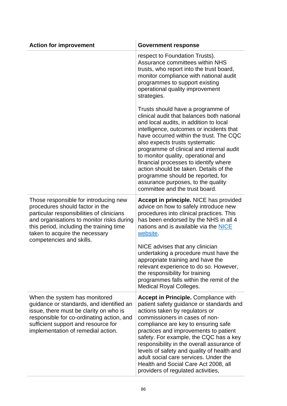| <b>Action for improvement</b>                                                                                                                                                                                                                                                | <b>Government response</b>                                                                                                                                                                                                                                                                                                                                                                                                                                                                                                            |
|------------------------------------------------------------------------------------------------------------------------------------------------------------------------------------------------------------------------------------------------------------------------------|---------------------------------------------------------------------------------------------------------------------------------------------------------------------------------------------------------------------------------------------------------------------------------------------------------------------------------------------------------------------------------------------------------------------------------------------------------------------------------------------------------------------------------------|
|                                                                                                                                                                                                                                                                              | respect to Foundation Trusts).<br>Assurance committees within NHS<br>trusts, who report into the trust board,<br>monitor compliance with national audit<br>programmes to support existing<br>operational quality improvement<br>strategies.                                                                                                                                                                                                                                                                                           |
|                                                                                                                                                                                                                                                                              | Trusts should have a programme of<br>clinical audit that balances both national<br>and local audits, in addition to local<br>intelligence, outcomes or incidents that<br>have occurred within the trust. The CQC<br>also expects trusts systematic<br>programme of clinical and internal audit<br>to monitor quality, operational and<br>financial processes to identify where<br>action should be taken. Details of the<br>programme should be reported, for<br>assurance purposes, to the quality<br>committee and the trust board. |
| Those responsible for introducing new<br>procedures should factor in the<br>particular responsibilities of clinicians<br>and organisations to monitor risks during<br>this period, including the training time<br>taken to acquire the necessary<br>competencies and skills. | <b>Accept in principle. NICE has provided</b><br>advice on how to safely introduce new<br>procedures into clinical practices. This<br>has been endorsed by the NHS in all 4<br>nations and is available via the NICE<br>website.                                                                                                                                                                                                                                                                                                      |
|                                                                                                                                                                                                                                                                              | NICE advises that any clinician<br>undertaking a procedure must have the<br>appropriate training and have the<br>relevant experience to do so. However,<br>the responsibility for training<br>programmes falls within the remit of the<br>Medical Royal Colleges.                                                                                                                                                                                                                                                                     |
| When the system has monitored<br>guidance or standards, and identified an<br>issue, there must be clarity on who is<br>responsible for co-ordinating action, and<br>sufficient support and resource for<br>implementation of remedial action.                                | <b>Accept in Principle.</b> Compliance with<br>patient safety guidance or standards and<br>actions taken by regulators or<br>commissioners in cases of non-<br>compliance are key to ensuring safe<br>practices and improvements to patient<br>safety. For example, the CQC has a key<br>responsibility in the overall assurance of<br>levels of safety and quality of health and<br>adult social care services. Under the<br>Health and Social Care Act 2008, all<br>providers of regulated activities,                              |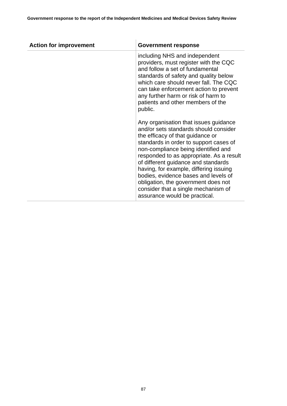| <b>Action for improvement</b> | <b>Government response</b>                                                                                                                                                                                                                                                                                                                                                                                                                                                              |
|-------------------------------|-----------------------------------------------------------------------------------------------------------------------------------------------------------------------------------------------------------------------------------------------------------------------------------------------------------------------------------------------------------------------------------------------------------------------------------------------------------------------------------------|
|                               | including NHS and independent<br>providers, must register with the CQC<br>and follow a set of fundamental<br>standards of safety and quality below<br>which care should never fall. The CQC<br>can take enforcement action to prevent<br>any further harm or risk of harm to<br>patients and other members of the<br>public.                                                                                                                                                            |
|                               | Any organisation that issues guidance<br>and/or sets standards should consider<br>the efficacy of that guidance or<br>standards in order to support cases of<br>non-compliance being identified and<br>responded to as appropriate. As a result<br>of different guidance and standards<br>having, for example, differing issuing<br>bodies, evidence bases and levels of<br>obligation, the government does not<br>consider that a single mechanism of<br>assurance would be practical. |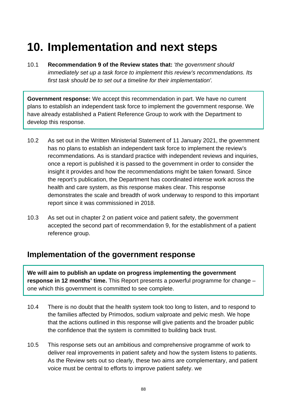## **10. Implementation and next steps**

10.1 **Recommendation 9 of the Review states that:** *'the government should immediately set up a task force to implement this review's recommendations. Its first task should be to set out a timeline for their implementation'.*

**Government response:** We accept this recommendation in part. We have no current plans to establish an independent task force to implement the government response. We have already established a Patient Reference Group to work with the Department to develop this response.

- 10.2 As set out in the Written Ministerial Statement of 11 January 2021, the government has no plans to establish an independent task force to implement the review's recommendations. As is standard practice with independent reviews and inquiries, once a report is published it is passed to the government in order to consider the insight it provides and how the recommendations might be taken forward. Since the report's publication, the Department has coordinated intense work across the health and care system, as this response makes clear. This response demonstrates the scale and breadth of work underway to respond to this important report since it was commissioned in 2018.
- 10.3 As set out in chapter 2 on patient voice and patient safety, the government accepted the second part of recommendation 9, for the establishment of a patient reference group.

### **Implementation of the government response**

**We will aim to publish an update on progress implementing the government response in 12 months' time.** This Report presents a powerful programme for change – one which this government is committed to see complete.

- 10.4 There is no doubt that the health system took too long to listen, and to respond to the families affected by Primodos, sodium valproate and pelvic mesh. We hope that the actions outlined in this response will give patients and the broader public the confidence that the system is committed to building back trust.
- 10.5 This response sets out an ambitious and comprehensive programme of work to deliver real improvements in patient safety and how the system listens to patients. As the Review sets out so clearly, these two aims are complementary, and patient voice must be central to efforts to improve patient safety. we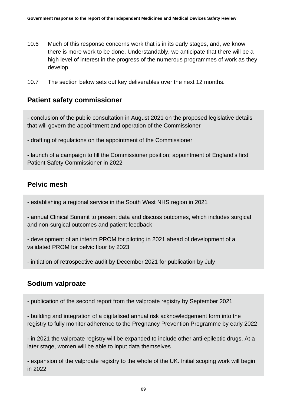- 10.6 Much of this response concerns work that is in its early stages, and, we know there is more work to be done. Understandably, we anticipate that there will be a high level of interest in the progress of the numerous programmes of work as they develop.
- 10.7 The section below sets out key deliverables over the next 12 months.

#### **Patient safety commissioner**

- conclusion of the public consultation in August 2021 on the proposed legislative details that will govern the appointment and operation of the Commissioner

- drafting of regulations on the appointment of the Commissioner

- launch of a campaign to fill the Commissioner position; appointment of England's first Patient Safety Commissioner in 2022

#### **Pelvic mesh**

- establishing a regional service in the South West NHS region in 2021

- annual Clinical Summit to present data and discuss outcomes, which includes surgical and non-surgical outcomes and patient feedback

- development of an interim PROM for piloting in 2021 ahead of development of a validated PROM for pelvic floor by 2023

- initiation of retrospective audit by December 2021 for publication by July

#### **Sodium valproate**

- publication of the second report from the valproate registry by September 2021

- building and integration of a digitalised annual risk acknowledgement form into the registry to fully monitor adherence to the Pregnancy Prevention Programme by early 2022

- in 2021 the valproate registry will be expanded to include other anti-epileptic drugs. At a later stage, women will be able to input data themselves

- expansion of the valproate registry to the whole of the UK. Initial scoping work will begin in 2022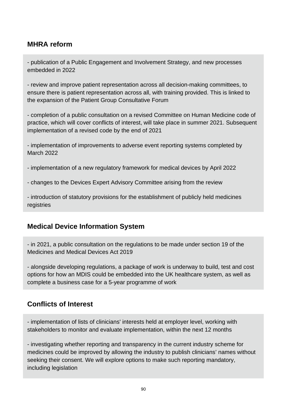#### **MHRA reform**

- publication of a Public Engagement and Involvement Strategy, and new processes embedded in 2022

- review and improve patient representation across all decision-making committees, to ensure there is patient representation across all, with training provided. This is linked to the expansion of the Patient Group Consultative Forum

- completion of a public consultation on a revised Committee on Human Medicine code of practice, which will cover conflicts of interest, will take place in summer 2021. Subsequent implementation of a revised code by the end of 2021

- implementation of improvements to adverse event reporting systems completed by March 2022

- implementation of a new regulatory framework for medical devices by April 2022

- changes to the Devices Expert Advisory Committee arising from the review

- introduction of statutory provisions for the establishment of publicly held medicines registries

#### **Medical Device Information System**

- in 2021, a public consultation on the regulations to be made under section 19 of the Medicines and Medical Devices Act 2019

- alongside developing regulations, a package of work is underway to build, test and cost options for how an MDIS could be embedded into the UK healthcare system, as well as complete a business case for a 5-year programme of work

#### **Conflicts of Interest**

- implementation of lists of clinicians' interests held at employer level, working with stakeholders to monitor and evaluate implementation, within the next 12 months

- investigating whether reporting and transparency in the current industry scheme for medicines could be improved by allowing the industry to publish clinicians' names without seeking their consent. We will explore options to make such reporting mandatory, including legislation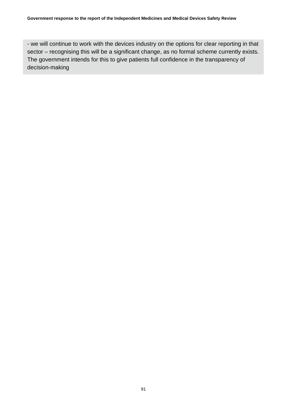- we will continue to work with the devices industry on the options for clear reporting in that sector – recognising this will be a significant change, as no formal scheme currently exists. The government intends for this to give patients full confidence in the transparency of decision-making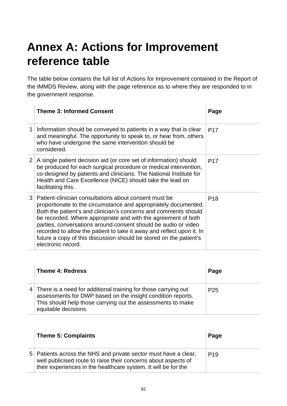## **Annex A: Actions for Improvement reference table**

The table below contains the full list of Actions for Improvement contained in the Report of the IMMDS Review, along with the page reference as to where they are responded to in the government response.

|   | <b>Theme 3: Informed Consent</b>                                                                                                                                                                                                                                                                                                                                                                                                                                                                    | Page            |
|---|-----------------------------------------------------------------------------------------------------------------------------------------------------------------------------------------------------------------------------------------------------------------------------------------------------------------------------------------------------------------------------------------------------------------------------------------------------------------------------------------------------|-----------------|
| 1 | Information should be conveyed to patients in a way that is clear<br>and meaningful. The opportunity to speak to, or hear from, others<br>who have undergone the same intervention should be<br>considered.                                                                                                                                                                                                                                                                                         | P <sub>17</sub> |
| 2 | A single patient decision aid (or core set of information) should<br>be produced for each surgical procedure or medical intervention,<br>co-designed by patients and clinicians. The National Institute for<br>Health and Care Excellence (NICE) should take the lead on<br>facilitating this.                                                                                                                                                                                                      | P <sub>17</sub> |
| 3 | Patient-clinician consultations about consent must be<br>proportionate to the circumstance and appropriately documented.<br>Both the patient's and clinician's concerns and comments should<br>be recorded. Where appropriate and with the agreement of both<br>parties, conversations around consent should be audio or video<br>recorded to allow the patient to take it away and reflect upon it. In<br>future a copy of this discussion should be stored on the patient's<br>electronic record. | P <sub>18</sub> |

| <b>Theme 4: Redress</b>                                                                                                                                                                                                | Page            |
|------------------------------------------------------------------------------------------------------------------------------------------------------------------------------------------------------------------------|-----------------|
| 4 There is a need for additional training for those carrying out<br>assessments for DWP based on the insight condition reports.<br>This should help those carrying out the assessments to make<br>equitable decisions. | P <sub>25</sub> |

| <b>Theme 5: Complaints</b>                                                                                                                                                                          | Page            |
|-----------------------------------------------------------------------------------------------------------------------------------------------------------------------------------------------------|-----------------|
| 5 Patients across the NHS and private sector must have a clear,<br>well publicised route to raise their concerns about aspects of<br>their experiences in the healthcare system. It will be for the | P <sub>19</sub> |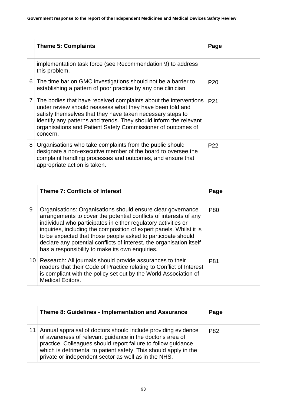|   | <b>Theme 5: Complaints</b>                                                                                                                                                                                                                                                                                                                     | Page            |
|---|------------------------------------------------------------------------------------------------------------------------------------------------------------------------------------------------------------------------------------------------------------------------------------------------------------------------------------------------|-----------------|
|   | implementation task force (see Recommendation 9) to address<br>this problem.                                                                                                                                                                                                                                                                   |                 |
|   | 6 The time bar on GMC investigations should not be a barrier to<br>establishing a pattern of poor practice by any one clinician.                                                                                                                                                                                                               | P <sub>20</sub> |
|   | 7 The bodies that have received complaints about the interventions<br>under review should reassess what they have been told and<br>satisfy themselves that they have taken necessary steps to<br>identify any patterns and trends. They should inform the relevant<br>organisations and Patient Safety Commissioner of outcomes of<br>concern. | P <sub>21</sub> |
| 8 | Organisations who take complaints from the public should<br>designate a non-executive member of the board to oversee the<br>complaint handling processes and outcomes, and ensure that<br>appropriate action is taken.                                                                                                                         | P <sub>22</sub> |

|   | <b>Theme 7: Conflicts of Interest</b>                                                                                                                                                                                                                                                                                                                                                                                                                                | Page |
|---|----------------------------------------------------------------------------------------------------------------------------------------------------------------------------------------------------------------------------------------------------------------------------------------------------------------------------------------------------------------------------------------------------------------------------------------------------------------------|------|
| 9 | Organisations: Organisations should ensure clear governance<br>arrangements to cover the potential conflicts of interests of any<br>individual who participates in either regulatory activities or<br>inquiries, including the composition of expert panels. Whilst it is<br>to be expected that those people asked to participate should<br>declare any potential conflicts of interest, the organisation itself<br>has a responsibility to make its own enquiries. | P80  |
|   | 10 Research: All journals should provide assurances to their<br>readers that their Code of Practice relating to Conflict of Interest<br>is compliant with the policy set out by the World Association of<br><b>Medical Editors.</b>                                                                                                                                                                                                                                  | P81  |

| Theme 8: Guidelines - Implementation and Assurance                                                                                                                                                                                                                                                                         | Page |
|----------------------------------------------------------------------------------------------------------------------------------------------------------------------------------------------------------------------------------------------------------------------------------------------------------------------------|------|
| 11 Annual appraisal of doctors should include providing evidence<br>of awareness of relevant guidance in the doctor's area of<br>practice. Colleagues should report failure to follow guidance<br>which is detrimental to patient safety. This should apply in the<br>private or independent sector as well as in the NHS. | P82  |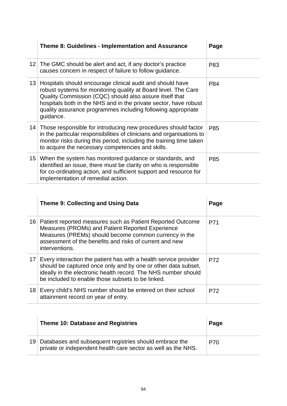|    | <b>Theme 8: Guidelines - Implementation and Assurance</b>                                                                                                                                                                                                                                                                               | Page |
|----|-----------------------------------------------------------------------------------------------------------------------------------------------------------------------------------------------------------------------------------------------------------------------------------------------------------------------------------------|------|
|    | 12 The GMC should be alert and act, if any doctor's practice<br>causes concern in respect of failure to follow guidance.                                                                                                                                                                                                                | P83  |
| 13 | Hospitals should encourage clinical audit and should have<br>robust systems for monitoring quality at Board level. The Care<br>Quality Commission (CQC) should also assure itself that<br>hospitals both in the NHS and in the private sector, have robust<br>quality assurance programmes including following appropriate<br>guidance. | P84  |
|    | 14 Those responsible for introducing new procedures should factor<br>in the particular responsibilities of clinicians and organisations to<br>monitor risks during this period, including the training time taken<br>to acquire the necessary competencies and skills.                                                                  | P85  |
| 15 | When the system has monitored guidance or standards, and<br>identified an issue, there must be clarity on who is responsible<br>for co-ordinating action, and sufficient support and resource for<br>implementation of remedial action.                                                                                                 | P85  |

|                 | Theme 9: Collecting and Using Data                                                                                                                                                                                                                       | Page |
|-----------------|----------------------------------------------------------------------------------------------------------------------------------------------------------------------------------------------------------------------------------------------------------|------|
|                 | 16 Patient reported measures such as Patient Reported Outcome<br>Measures (PROMs) and Patient Reported Experience<br>Measures (PREMs) should become common currency in the<br>assessment of the benefits and risks of current and new<br>interventions.  | P71  |
| 17 <sup>1</sup> | Every interaction the patient has with a health service provider<br>should be captured once only and by one or other data subset,<br>ideally in the electronic health record. The NHS number should<br>be included to enable those subsets to be linked. | P72  |
| 18              | Every child's NHS number should be entered on their school<br>attainment record on year of entry.                                                                                                                                                        | P72  |

| Theme 10: Database and Registries                                                                                          | Page |
|----------------------------------------------------------------------------------------------------------------------------|------|
| 19 Databases and subsequent registries should embrace the<br>private or independent health care sector as well as the NHS. | P70  |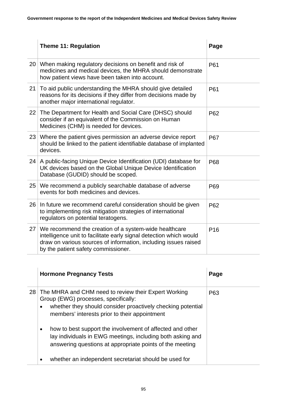|    | <b>Theme 11: Regulation</b>                                                                                                                                                                                                           | Page            |
|----|---------------------------------------------------------------------------------------------------------------------------------------------------------------------------------------------------------------------------------------|-----------------|
|    | 20 When making regulatory decisions on benefit and risk of<br>medicines and medical devices, the MHRA should demonstrate<br>how patient views have been taken into account.                                                           | P61             |
| 21 | To aid public understanding the MHRA should give detailed<br>reasons for its decisions if they differ from decisions made by<br>another major international regulator.                                                                | P61             |
| 22 | The Department for Health and Social Care (DHSC) should<br>consider if an equivalent of the Commission on Human<br>Medicines (CHM) is needed for devices.                                                                             | P62             |
| 23 | Where the patient gives permission an adverse device report<br>should be linked to the patient identifiable database of implanted<br>devices.                                                                                         | <b>P67</b>      |
| 24 | A public-facing Unique Device Identification (UDI) database for<br>UK devices based on the Global Unique Device Identification<br>Database (GUDID) should be scoped.                                                                  | P68             |
| 25 | We recommend a publicly searchable database of adverse<br>events for both medicines and devices.                                                                                                                                      | P69             |
| 26 | In future we recommend careful consideration should be given<br>to implementing risk mitigation strategies of international<br>regulators on potential teratogens.                                                                    | P62             |
| 27 | We recommend the creation of a system-wide healthcare<br>intelligence unit to facilitate early signal detection which would<br>draw on various sources of information, including issues raised<br>by the patient safety commissioner. | P <sub>16</sub> |

|                        | <b>Hormone Pregnancy Tests</b>                                                                                                                                                                                                                                                                                                                                                                         | Page |
|------------------------|--------------------------------------------------------------------------------------------------------------------------------------------------------------------------------------------------------------------------------------------------------------------------------------------------------------------------------------------------------------------------------------------------------|------|
| $\bullet$<br>$\bullet$ | 28 The MHRA and CHM need to review their Expert Working<br>Group (EWG) processes, specifically:<br>whether they should consider proactively checking potential<br>members' interests prior to their appointment<br>how to best support the involvement of affected and other<br>lay individuals in EWG meetings, including both asking and<br>answering questions at appropriate points of the meeting | P63  |
| ٠                      | whether an independent secretariat should be used for                                                                                                                                                                                                                                                                                                                                                  |      |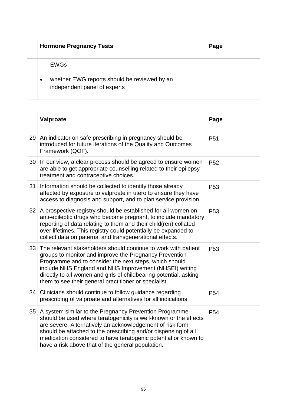| <b>Hormone Pregnancy Tests</b>                                                                           | Page |
|----------------------------------------------------------------------------------------------------------|------|
| <b>EWGs</b><br>whether EWG reports should be reviewed by an<br>$\bullet$<br>independent panel of experts |      |

|    | Valproate                                                                                                                                                                                                                                                                                                                                                                         | Page            |
|----|-----------------------------------------------------------------------------------------------------------------------------------------------------------------------------------------------------------------------------------------------------------------------------------------------------------------------------------------------------------------------------------|-----------------|
|    | 29 An indicator on safe prescribing in pregnancy should be<br>introduced for future iterations of the Quality and Outcomes<br>Framework (QOF).                                                                                                                                                                                                                                    | P <sub>51</sub> |
|    | 30 In our view, a clear process should be agreed to ensure women<br>are able to get appropriate counselling related to their epilepsy<br>treatment and contraceptive choices.                                                                                                                                                                                                     | P <sub>52</sub> |
| 31 | Information should be collected to identify those already<br>affected by exposure to valproate in utero to ensure they have<br>access to diagnosis and support, and to plan service provision.                                                                                                                                                                                    | P <sub>53</sub> |
| 32 | A prospective registry should be established for all women on<br>anti-epileptic drugs who become pregnant, to include mandatory<br>reporting of data relating to them and their child(ren) collated<br>over lifetimes. This registry could potentially be expanded to<br>collect data on paternal and transgenerational effects.                                                  | P <sub>53</sub> |
| 33 | The relevant stakeholders should continue to work with patient<br>groups to monitor and improve the Pregnancy Prevention<br>Programme and to consider the next steps, which should<br>include NHS England and NHS Improvement (NHSEI) writing<br>directly to all women and girls of childbearing potential, asking<br>them to see their general practitioner or specialist.       | P <sub>53</sub> |
| 34 | Clinicians should continue to follow guidance regarding<br>prescribing of valproate and alternatives for all indications.                                                                                                                                                                                                                                                         | P <sub>54</sub> |
| 35 | A system similar to the Pregnancy Prevention Programme<br>should be used where teratogenicity is well-known or the effects<br>are severe. Alternatively an acknowledgement of risk form<br>should be attached to the prescribing and/or dispensing of all<br>medication considered to have teratogenic potential or known to<br>have a risk above that of the general population. | P <sub>54</sub> |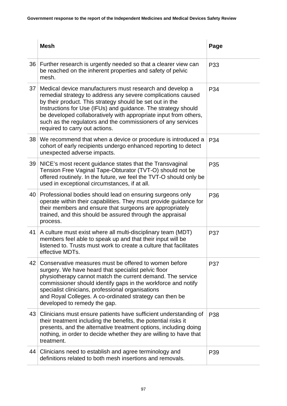|    | <b>Mesh</b>                                                                                                                                                                                                                                                                                                                                                                                                                 | Page       |
|----|-----------------------------------------------------------------------------------------------------------------------------------------------------------------------------------------------------------------------------------------------------------------------------------------------------------------------------------------------------------------------------------------------------------------------------|------------|
|    | 36 Further research is urgently needed so that a clearer view can<br>be reached on the inherent properties and safety of pelvic<br>mesh.                                                                                                                                                                                                                                                                                    | P33        |
| 37 | Medical device manufacturers must research and develop a<br>remedial strategy to address any severe complications caused<br>by their product. This strategy should be set out in the<br>Instructions for Use (IFUs) and guidance. The strategy should<br>be developed collaboratively with appropriate input from others,<br>such as the regulators and the commissioners of any services<br>required to carry out actions. | P34        |
| 38 | We recommend that when a device or procedure is introduced a<br>cohort of early recipients undergo enhanced reporting to detect<br>unexpected adverse impacts.                                                                                                                                                                                                                                                              | P34        |
|    | 39 NICE's most recent guidance states that the Transvaginal<br>Tension Free Vaginal Tape-Obturator (TVT-O) should not be<br>offered routinely. In the future, we feel the TVT-O should only be<br>used in exceptional circumstances, if at all.                                                                                                                                                                             | P35        |
|    | 40 Professional bodies should lead on ensuring surgeons only<br>operate within their capabilities. They must provide guidance for<br>their members and ensure that surgeons are appropriately<br>trained, and this should be assured through the appraisal<br>process.                                                                                                                                                      | P36        |
| 41 | A culture must exist where all multi-disciplinary team (MDT)<br>members feel able to speak up and that their input will be<br>listened to. Trusts must work to create a culture that facilitates<br>effective MDTs.                                                                                                                                                                                                         | P37        |
| 42 | Conservative measures must be offered to women before<br>surgery. We have heard that specialist pelvic floor<br>physiotherapy cannot match the current demand. The service<br>commissioner should identify gaps in the workforce and notify<br>specialist clinicians, professional organisations<br>and Royal Colleges. A co-ordinated strategy can then be<br>developed to remedy the gap.                                 | <b>P37</b> |
| 43 | Clinicians must ensure patients have sufficient understanding of<br>their treatment including the benefits, the potential risks it<br>presents, and the alternative treatment options, including doing<br>nothing, in order to decide whether they are willing to have that<br>treatment.                                                                                                                                   | P38        |
| 44 | Clinicians need to establish and agree terminology and<br>definitions related to both mesh insertions and removals.                                                                                                                                                                                                                                                                                                         | P39        |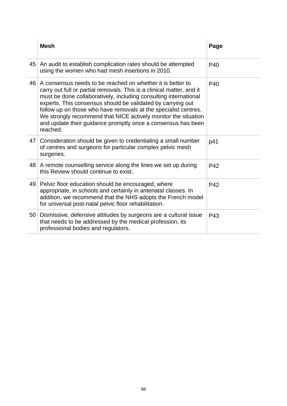|    | <b>Mesh</b>                                                                                                                                                                                                                                                                                                                                                                                                                                                                             | Page |
|----|-----------------------------------------------------------------------------------------------------------------------------------------------------------------------------------------------------------------------------------------------------------------------------------------------------------------------------------------------------------------------------------------------------------------------------------------------------------------------------------------|------|
| 45 | An audit to establish complication rates should be attempted<br>using the women who had mesh insertions in 2010.                                                                                                                                                                                                                                                                                                                                                                        | P40  |
| 46 | A consensus needs to be reached on whether it is better to<br>carry out full or partial removals. This is a clinical matter, and it<br>must be done collaboratively, including consulting international<br>experts. This consensus should be validated by carrying out<br>follow up on those who have removals at the specialist centres.<br>We strongly recommend that NICE actively monitor the situation<br>and update their guidance promptly once a consensus has been<br>reached. | P40  |
| 47 | Consideration should be given to credentialing a small number<br>of centres and surgeons for particular complex pelvic mesh<br>surgeries.                                                                                                                                                                                                                                                                                                                                               | p41  |
|    | 48 A remote counselling service along the lines we set up during<br>this Review should continue to exist.                                                                                                                                                                                                                                                                                                                                                                               | P42  |
| 49 | Pelvic floor education should be encouraged, where<br>appropriate, in schools and certainly in antenatal classes. In<br>addition, we recommend that the NHS adopts the French model<br>for universal post-natal pelvic floor rehabilitation.                                                                                                                                                                                                                                            | P42  |
| 50 | Dismissive, defensive attitudes by surgeons are a cultural issue<br>that needs to be addressed by the medical profession, its<br>professional bodies and regulators.                                                                                                                                                                                                                                                                                                                    | P43  |